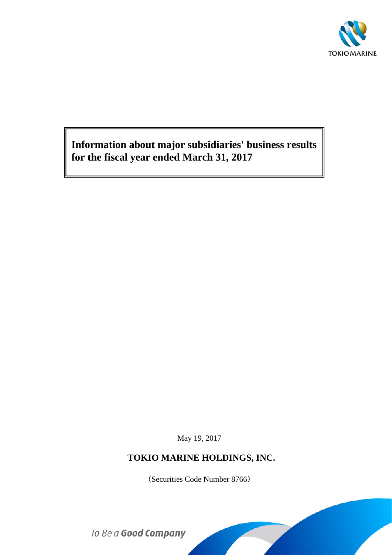

**Information about major subsidiaries' business results for the fiscal year ended March 31, 2017**

May 19, 2017

# **TOKIO MARINE HOLDINGS, INC.**

(Securities Code Number 8766)

To Be a Good Company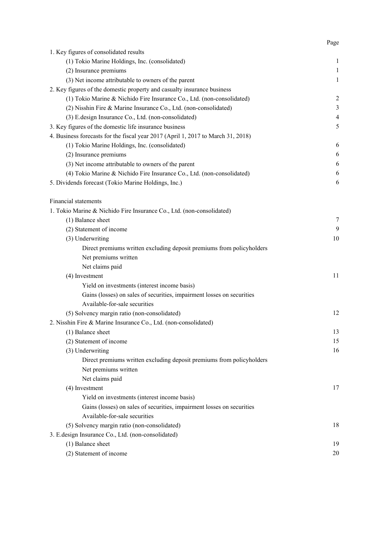|                                                                                  | Page           |
|----------------------------------------------------------------------------------|----------------|
| 1. Key figures of consolidated results                                           |                |
| (1) Tokio Marine Holdings, Inc. (consolidated)                                   | $\mathbf{1}$   |
| (2) Insurance premiums                                                           | $\mathbf{1}$   |
| (3) Net income attributable to owners of the parent                              | $\mathbf{1}$   |
| 2. Key figures of the domestic property and casualty insurance business          |                |
| (1) Tokio Marine & Nichido Fire Insurance Co., Ltd. (non-consolidated)           | 2              |
| (2) Nisshin Fire & Marine Insurance Co., Ltd. (non-consolidated)                 | $\mathfrak{Z}$ |
| (3) E.design Insurance Co., Ltd. (non-consolidated)                              | $\overline{4}$ |
| 3. Key figures of the domestic life insurance business                           | 5              |
| 4. Business forecasts for the fiscal year 2017 (April 1, 2017 to March 31, 2018) |                |
| (1) Tokio Marine Holdings, Inc. (consolidated)                                   | 6              |
| (2) Insurance premiums                                                           | 6              |
| (3) Net income attributable to owners of the parent                              | 6              |
| (4) Tokio Marine & Nichido Fire Insurance Co., Ltd. (non-consolidated)           | 6              |
| 5. Dividends forecast (Tokio Marine Holdings, Inc.)                              | 6              |
|                                                                                  |                |
| <b>Financial statements</b>                                                      |                |
| 1. Tokio Marine & Nichido Fire Insurance Co., Ltd. (non-consolidated)            |                |
| (1) Balance sheet                                                                | $\tau$         |
| (2) Statement of income                                                          | 9              |
| (3) Underwriting                                                                 | 10             |
| Direct premiums written excluding deposit premiums from policyholders            |                |
| Net premiums written                                                             |                |
| Net claims paid                                                                  |                |
| (4) Investment                                                                   | 11             |
| Yield on investments (interest income basis)                                     |                |
| Gains (losses) on sales of securities, impairment losses on securities           |                |
| Available-for-sale securities                                                    |                |
| (5) Solvency margin ratio (non-consolidated)                                     | 12             |
| 2. Nisshin Fire & Marine Insurance Co., Ltd. (non-consolidated)                  |                |
| (1) Balance sheet                                                                | 13             |
| (2) Statement of income                                                          | 15             |
| (3) Underwriting                                                                 | 16             |
| Direct premiums written excluding deposit premiums from policyholders            |                |
| Net premiums written                                                             |                |
| Net claims paid                                                                  |                |
| (4) Investment                                                                   | 17             |
| Yield on investments (interest income basis)                                     |                |
| Gains (losses) on sales of securities, impairment losses on securities           |                |
| Available-for-sale securities                                                    |                |
| (5) Solvency margin ratio (non-consolidated)                                     | 18             |
| 3. E.design Insurance Co., Ltd. (non-consolidated)                               |                |
| (1) Balance sheet                                                                | 19             |
| (2) Statement of income                                                          | 20             |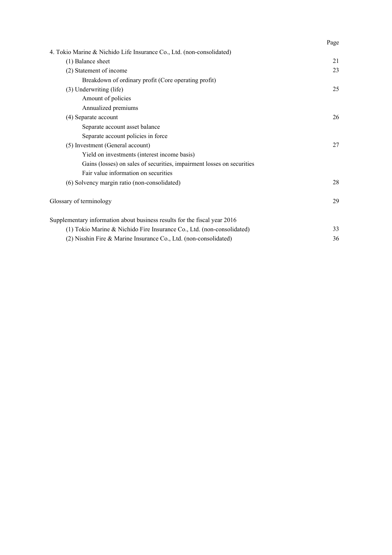|                                                                           | Page |
|---------------------------------------------------------------------------|------|
| 4. Tokio Marine & Nichido Life Insurance Co., Ltd. (non-consolidated)     |      |
| (1) Balance sheet                                                         | 21   |
| (2) Statement of income                                                   | 23   |
| Breakdown of ordinary profit (Core operating profit)                      |      |
| (3) Underwriting (life)                                                   | 25   |
| Amount of policies                                                        |      |
| Annualized premiums                                                       |      |
| (4) Separate account                                                      | 26   |
| Separate account asset balance                                            |      |
| Separate account policies in force                                        |      |
| (5) Investment (General account)                                          | 27   |
| Yield on investments (interest income basis)                              |      |
| Gains (losses) on sales of securities, impairment losses on securities    |      |
| Fair value information on securities                                      |      |
| (6) Solvency margin ratio (non-consolidated)                              | 28   |
| Glossary of terminology                                                   | 29   |
| Supplementary information about business results for the fiscal year 2016 |      |
| (1) Tokio Marine & Nichido Fire Insurance Co., Ltd. (non-consolidated)    | 33   |
| (2) Nisshin Fire & Marine Insurance Co., Ltd. (non-consolidated)          | 36   |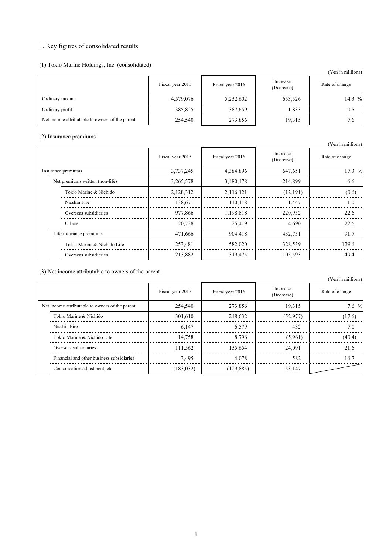# 1. Key figures of consolidated results

(1) Tokio Marine Holdings, Inc. (consolidated)

|                                                 |                  |                  |                        | (Yen in millions) |
|-------------------------------------------------|------------------|------------------|------------------------|-------------------|
|                                                 | Fiscal year 2015 | Fiscal year 2016 | Increase<br>(Decrease) | Rate of change    |
| Ordinary income                                 | 4,579,076        | 5,232,602        | 653,526                | 14.3 %            |
| Ordinary profit                                 | 385,825          | 387,659          | 1,833                  | 0.5               |
| Net income attributable to owners of the parent | 254,540          | 273,856          | 19.315                 | 7.6               |

### (2) Insurance premiums

|  |                                 |                  |                  |                        | Y en in millions) |
|--|---------------------------------|------------------|------------------|------------------------|-------------------|
|  |                                 | Fiscal year 2015 | Fiscal year 2016 | Increase<br>(Decrease) | Rate of change    |
|  | Insurance premiums              | 3,737,245        | 4,384,896        | 647,651                | 17.3 %            |
|  | Net premiums written (non-life) | 3,265,578        | 3,480,478        | 214,899                | 6.6               |
|  | Tokio Marine & Nichido          | 2,128,312        | 2,116,121        | (12,191)               | (0.6)             |
|  | Nisshin Fire                    | 138.671          | 140.118          | 1.447                  | 1.0               |
|  | Overseas subsidiaries           | 977,866          | 1,198,818        | 220,952                | 22.6              |
|  | Others                          | 20,728           | 25,419           | 4.690                  | 22.6              |
|  | Life insurance premiums         | 471,666          | 904,418          | 432,751                | 91.7              |
|  | Tokio Marine & Nichido Life     | 253,481          | 582,020          | 328,539                | 129.6             |
|  | Overseas subsidiaries           | 213,882          | 319,475          | 105,593                | 49.4              |

(3) Net income attributable to owners of the parent

|                                                 | $\mathcal{L}_{\mathcal{L}}$ . The module all found to obtain of the parent |                  |                  |                        | (Yen in millions) |
|-------------------------------------------------|----------------------------------------------------------------------------|------------------|------------------|------------------------|-------------------|
|                                                 |                                                                            | Fiscal year 2015 | Fiscal year 2016 | Increase<br>(Decrease) | Rate of change    |
| Net income attributable to owners of the parent |                                                                            | 254,540          | 273,856          | 19,315                 | $7.6\%$           |
|                                                 | Tokio Marine & Nichido                                                     | 301,610          | 248,632          | (52, 977)              | (17.6)            |
|                                                 | Nisshin Fire                                                               | 6.147            | 6.579            | 432                    | 7.0               |
|                                                 | Tokio Marine & Nichido Life                                                | 14,758           | 8.796            | (5,961)                | (40.4)            |
|                                                 | Overseas subsidiaries                                                      | 111,562          | 135,654          | 24.091                 | 21.6              |
|                                                 | Financial and other business subsidiaries                                  | 3.495            | 4.078            | 582                    | 16.7              |
|                                                 | Consolidation adjustment, etc.                                             | (183, 032)       | (129, 885)       | 53,147                 |                   |

(Yen in millions)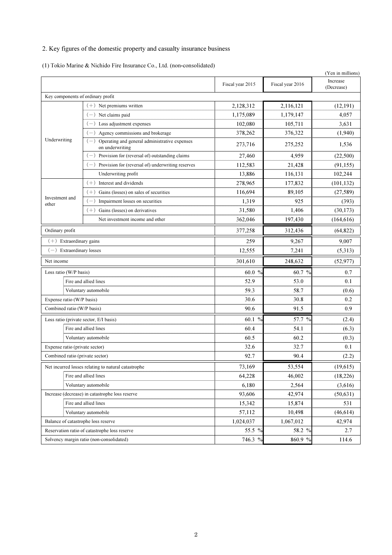# 2. Key figures of the domestic property and casualty insurance business

(1) Tokio Marine & Nichido Fire Insurance Co., Ltd. (non-consolidated)

|                                     |                                                                  |                  |                  | (Yen in millions)      |
|-------------------------------------|------------------------------------------------------------------|------------------|------------------|------------------------|
|                                     |                                                                  | Fiscal year 2015 | Fiscal year 2016 | Increase<br>(Decrease) |
| Key components of ordinary profit   |                                                                  |                  |                  |                        |
|                                     | $(+)$ Net premiums written                                       | 2,128,312        | 2,116,121        | (12, 191)              |
|                                     | $-$ ) Net claims paid                                            | 1,175,089        | 1,179,147        | 4,057                  |
|                                     | $(-)$ Loss adjustment expenses                                   | 102,080          | 105,711          | 3,631                  |
|                                     | Agency commissions and brokerage                                 | 378,262          | 376,322          | (1,940)                |
| Underwriting                        | Operating and general administrative expenses<br>on underwriting | 273,716          | 275,252          | 1,536                  |
|                                     | $(-)$ Provision for (reversal of) outstanding claims             | 27,460           | 4,959            | (22,500)               |
|                                     | Provision for (reversal of) underwriting reserves                | 112,583          | 21,428           | (91, 155)              |
|                                     | Underwriting profit                                              | 13,886           | 116,131          | 102,244                |
|                                     | $(+)$ Interest and dividends                                     | 278,965          | 177,832          | (101, 132)             |
|                                     | Gains (losses) on sales of securities                            | 116,694          | 89,105           | (27, 589)              |
| Investment and<br>other             | Impairment losses on securities                                  | 1,319            | 925              | (393)                  |
|                                     | $(+)$ Gains (losses) on derivatives                              | 31,580           | 1,406            | (30, 173)              |
|                                     | Net investment income and other                                  | 362,046          | 197,430          | (164, 616)             |
| Ordinary profit                     |                                                                  | 377,258          | 312,436          | (64, 822)              |
| $(+)$ Extraordinary gains           |                                                                  | 259              | 9,267            | 9,007                  |
|                                     | $(-)$ Extraordinary losses                                       |                  | 7,241            | (5,313)                |
| Net income                          |                                                                  |                  | 248,632          | (52, 977)              |
| Loss ratio (W/P basis)              |                                                                  | $60.0\%$         | 60.7 %           | 0.7                    |
|                                     | Fire and allied lines                                            | 52.9             | 53.0             | 0.1                    |
|                                     | Voluntary automobile                                             | 59.3             | 58.7             | (0.6)                  |
| Expense ratio (W/P basis)           |                                                                  | 30.6             | 30.8             | 0.2                    |
| Combined ratio (W/P basis)          |                                                                  | 90.6             | 91.5             | 0.9                    |
|                                     | Loss ratio (private sector, E/I basis)                           | 60.1 %           | 57.7 %           | (2.4)                  |
|                                     | Fire and allied lines                                            | 60.4             | 54.1             | (6.3)                  |
|                                     | Voluntary automobile                                             | 60.5             | 60.2             | (0.3)                  |
| Expense ratio (private sector)      |                                                                  | 32.6             | 32.7             | 0.1                    |
| Combined ratio (private sector)     |                                                                  | 92.7             | 90.4             | (2.2)                  |
|                                     | Net incurred losses relating to natural catastrophe              | 73,169           | 53,554           | (19, 615)              |
|                                     | Fire and allied lines                                            | 64,228           | 46,002           | (18,226)               |
|                                     | Voluntary automobile                                             | 6,180            | 2,564            | (3,616)                |
|                                     | Increase (decrease) in catastrophe loss reserve                  | 93,606           | 42,974           | (50, 631)              |
|                                     | Fire and allied lines                                            | 15,342           | 15,874           | 531                    |
|                                     | Voluntary automobile                                             | 57,112           | 10,498           | (46, 614)              |
| Balance of catastrophe loss reserve |                                                                  | 1,024,037        | 1,067,012        | 42,974                 |
|                                     | Reservation ratio of catastrophe loss reserve                    | 55.5 %           | 58.2 %           | 2.7                    |
|                                     | Solvency margin ratio (non-consolidated)                         | 746.3 %          | 860.9 %          | 114.6                  |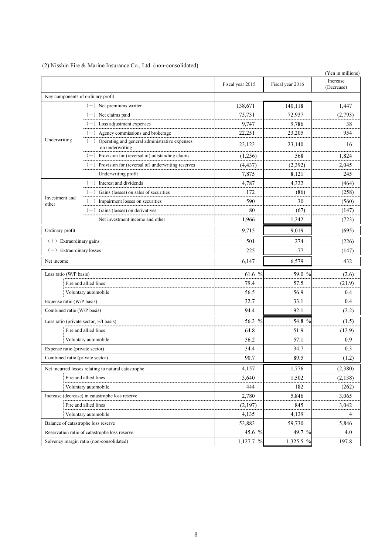|                                                 |                                                                        |                  |                  | (Yen in millions)      |
|-------------------------------------------------|------------------------------------------------------------------------|------------------|------------------|------------------------|
|                                                 |                                                                        | Fiscal year 2015 | Fiscal year 2016 | Increase<br>(Decrease) |
| Key components of ordinary profit               |                                                                        |                  |                  |                        |
|                                                 | $(+)$ Net premiums written                                             | 138.671          | 140,118          | 1.447                  |
|                                                 | $(-)$ Net claims paid                                                  | 75,731           | 72,937           | (2,793)                |
|                                                 | $(-)$ Loss adjustment expenses                                         | 9.747            | 9,786            | 38                     |
|                                                 | $(-)$ Agency commissions and brokerage                                 | 22,251           | 23,205           | 954                    |
| Underwriting                                    | $(-)$ Operating and general administrative expenses<br>on underwriting | 23,123           | 23,140           | 16                     |
|                                                 | $(-)$ Provision for (reversal of) outstanding claims                   | (1,256)          | 568              | 1,824                  |
|                                                 | $(-)$ Provision for (reversal of) underwriting reserves                | (4, 437)         | (2,392)          | 2,045                  |
|                                                 | Underwriting profit                                                    | 7,875            | 8,121            | 245                    |
|                                                 | $(+)$ Interest and dividends                                           | 4,787            | 4.322            | (464)                  |
|                                                 | Gains (losses) on sales of securities<br>$(+)$                         | 172              | (86)             | (258)                  |
| Investment and<br>other                         | $(-)$ Impairment losses on securities                                  | 590              | 30               | (560)                  |
|                                                 | $(+)$ Gains (losses) on derivatives                                    | 80               | (67)             | (147)                  |
|                                                 | Net investment income and other                                        | 1.966            | 1,242            | (723)                  |
| Ordinary profit                                 |                                                                        | 9,715            | 9,019            | (695)                  |
| $(+)$ Extraordinary gains                       |                                                                        | 501              | 274              | (226)                  |
| $(-)$ Extraordinary losses                      |                                                                        | 225              | 77               | (147)                  |
| Net income                                      |                                                                        | 6.147            | 6,579            | 432                    |
| Loss ratio (W/P basis)                          |                                                                        | 61.6 %           | 59.0 %           | (2.6)                  |
|                                                 | Fire and allied lines                                                  | 79.4             | 57.5             | (21.9)                 |
|                                                 | Voluntary automobile                                                   | 56.5             | 56.9             | 0.4                    |
| Expense ratio (W/P basis)                       |                                                                        | 32.7             | 33.1             | 0.4                    |
| Combined ratio (W/P basis)                      |                                                                        | 94.4             | 92.1             | (2.2)                  |
|                                                 | Loss ratio (private sector, E/I basis)                                 | 56.3 %           | 54.8 %           | (1.5)                  |
|                                                 | Fire and allied lines                                                  | 64.8             | 51.9             | (12.9)                 |
|                                                 | Voluntary automobile                                                   | 56.2             | 57.1             | 0.9                    |
| Expense ratio (private sector)                  |                                                                        | 34.4             | 34.7             | 0.3                    |
| Combined ratio (private sector)                 |                                                                        | 90.7             | 89.5             | (1.2)                  |
|                                                 | Net incurred losses relating to natural catastrophe                    | 4,157            | 1,776            | (2,380)                |
| Fire and allied lines                           |                                                                        | 3,640            | 1,502            | (2,138)                |
| Voluntary automobile                            |                                                                        | 444              | 182              | (262)                  |
| Increase (decrease) in catastrophe loss reserve |                                                                        | 2,780            | 5,846            | 3,065                  |
| Fire and allied lines                           |                                                                        | (2,197)          | 845              | 3,042                  |
|                                                 | Voluntary automobile                                                   |                  | 4,139            | 4                      |
| Balance of catastrophe loss reserve             |                                                                        | 53,883           | 59,730           | 5,846                  |
|                                                 | Reservation ratio of catastrophe loss reserve                          | 45.6 %           | 49.7 %           | 4.0                    |
|                                                 | Solvency margin ratio (non-consolidated)                               |                  | 1,325.5 %        | 197.8                  |

(2) Nisshin Fire & Marine Insurance Co., Ltd. (non-consolidated)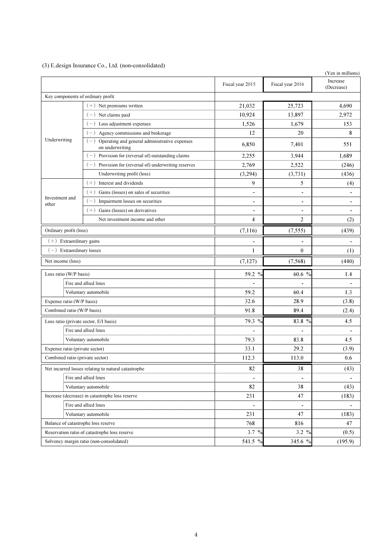## (3) E.design Insurance Co., Ltd. (non-consolidated)

|                                        |                                                                        |                  |                  | (Yen in millions)      |
|----------------------------------------|------------------------------------------------------------------------|------------------|------------------|------------------------|
|                                        |                                                                        | Fiscal year 2015 | Fiscal year 2016 | Increase<br>(Decrease) |
| Key components of ordinary profit      |                                                                        |                  |                  |                        |
|                                        | $(+)$ Net premiums written                                             | 21,032           | 25,723           | 4,690                  |
|                                        | $(-)$ Net claims paid                                                  | 10.924           | 13,897           | 2,972                  |
|                                        | $(-)$ Loss adjustment expenses                                         | 1,526            | 1,679            | 153                    |
|                                        | $(-)$ Agency commissions and brokerage                                 | 12               | 20               | 8                      |
| Underwriting                           | $(-)$ Operating and general administrative expenses<br>on underwriting | 6,850            | 7,401            | 551                    |
|                                        | $(-)$ Provision for (reversal of) outstanding claims                   | 2,255            | 3.944            | 1,689                  |
|                                        | $(-)$ Provision for (reversal of) underwriting reserves                | 2,769            | 2,522            | (246)                  |
|                                        | Underwriting profit (loss)                                             | (3,294)          | (3,731)          | (436)                  |
|                                        | $(+)$ Interest and dividends                                           | 9                | 5                | (4)                    |
|                                        | Gains (losses) on sales of securities<br>$(+)$                         |                  |                  |                        |
| Investment and<br>other                | $(-)$ Impairment losses on securities                                  |                  |                  |                        |
|                                        | $(+)$ Gains (losses) on derivatives                                    |                  |                  |                        |
|                                        | Net investment income and other                                        | $\overline{4}$   | 2                | (2)                    |
| Ordinary profit (loss)                 |                                                                        | (7,116)          | (7, 555)         | (439)                  |
| $(+)$ Extraordinary gains              |                                                                        |                  | $\blacksquare$   |                        |
| Extraordinary losses<br>$(-)$          |                                                                        | 1                | $\overline{0}$   | (1)                    |
| Net income (loss)                      |                                                                        | (7,127)          | (7,568)          | (440)                  |
| Loss ratio (W/P basis)                 |                                                                        | 59.2 %           | 60.6 $%$         | 1.4                    |
|                                        | Fire and allied lines                                                  |                  |                  |                        |
|                                        | Voluntary automobile                                                   | 59.2             | 60.4             | 1.3                    |
| Expense ratio (W/P basis)              |                                                                        | 32.6             | 28.9             | (3.8)                  |
| Combined ratio (W/P basis)             |                                                                        | 91.8             | 89.4             | (2.4)                  |
| Loss ratio (private sector, E/I basis) |                                                                        | 79.3 %           | 83.8 %           | 4.5                    |
|                                        | Fire and allied lines                                                  |                  |                  |                        |
|                                        | Voluntary automobile                                                   | 79.3             | 83.8             | 4.5                    |
| Expense ratio (private sector)         |                                                                        | 33.1             | 29.2             | (3.9)                  |
| Combined ratio (private sector)        |                                                                        | 112.3            | 113.0            | 0.6                    |
|                                        | Net incurred losses relating to natural catastrophe                    | 82               | 38               | (43)                   |
|                                        | Fire and allied lines                                                  |                  |                  |                        |
|                                        | Voluntary automobile                                                   | 82               | 38               | (43)                   |
|                                        | Increase (decrease) in catastrophe loss reserve                        | 231              | 47               | (183)                  |
|                                        | Fire and allied lines                                                  |                  |                  |                        |
|                                        | Voluntary automobile                                                   | 231              | 47               | (183)                  |
| Balance of catastrophe loss reserve    |                                                                        | 768              | 816              | 47                     |
|                                        | Reservation ratio of catastrophe loss reserve                          | 3.7 $%$          | 3.2 %            | (0.5)                  |
|                                        | Solvency margin ratio (non-consolidated)                               | 541.5 %          | 345.6 %          | (195.9)                |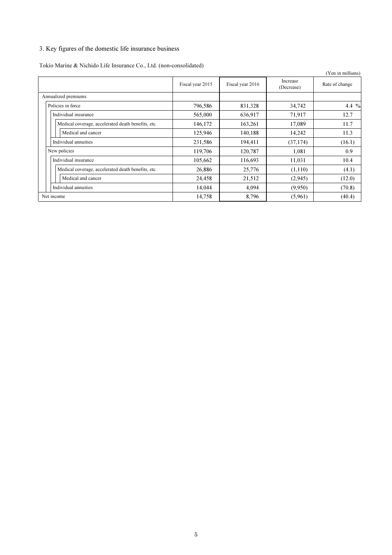# 3. Key figures of the domestic life insurance business

Tokio Marine & Nichido Life Insurance Co., Ltd. (non-consolidated)

|                                                    |                  |                  |                        | (Yen in millions) |
|----------------------------------------------------|------------------|------------------|------------------------|-------------------|
|                                                    | Fiscal year 2015 | Fiscal year 2016 | Increase<br>(Decrease) | Rate of change    |
| Annualized premiums                                |                  |                  |                        |                   |
| Policies in force                                  | 796,586          | 831,328          | 34,742                 | 4.4 $%$           |
| Individual insurance                               | 565,000          | 636,917          | 71,917                 | 12.7              |
| Medical coverage, accelerated death benefits, etc. | 146,172          | 163,261          | 17,089                 | 11.7              |
| Medical and cancer                                 | 125,946          | 140,188          | 14,242                 | 11.3              |
| Individual annuities                               | 231,586          | 194,411          | (37, 174)              | (16.1)            |
| New policies                                       | 119,706          | 120,787          | 1.081                  | 0.9               |
| Individual insurance                               | 105,662          | 116,693          | 11,031                 | 10.4              |
| Medical coverage, accelerated death benefits, etc. | 26,886           | 25,776           | (1,110)                | (4.1)             |
| Medical and cancer                                 | 24,458           | 21,512           | (2,945)                | (12.0)            |
| Individual annuities                               | 14,044           | 4,094            | (9.950)                | (70.8)            |
| Net income                                         | 14,758           | 8,796            | (5,961)                | (40.4)            |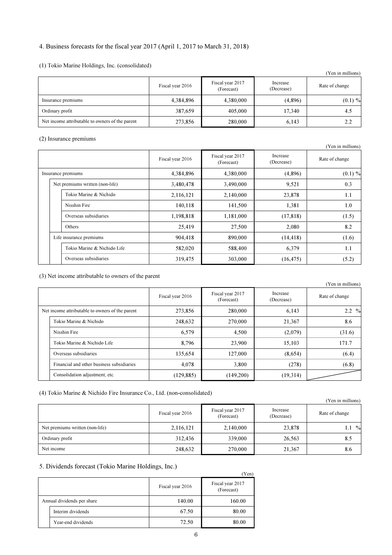## 4. Business forecasts for the fiscal year 2017 (April 1, 2017 to March 31, 2018)

## (1) Tokio Marine Holdings, Inc. (consolidated)

|                                                 |                  |                                |                        | (Yen in millions) |
|-------------------------------------------------|------------------|--------------------------------|------------------------|-------------------|
|                                                 | Fiscal year 2016 | Fiscal year 2017<br>(Forecast) | Increase<br>(Decrease) | Rate of change    |
| Insurance premiums                              | 4,384,896        | 4,380,000                      | (4,896)                | $(0.1) \%$        |
| Ordinary profit                                 | 387,659          | 405,000                        | 17.340                 | 4.5               |
| Net income attributable to owners of the parent | 273,856          | 280,000                        | 6,143                  | 2.2               |

#### (2) Insurance premiums

|  |                                 |                  |                                |                        | I CII III IIIIIIIIIIIIII |
|--|---------------------------------|------------------|--------------------------------|------------------------|--------------------------|
|  |                                 | Fiscal year 2016 | Fiscal year 2017<br>(Forecast) | Increase<br>(Decrease) | Rate of change           |
|  | Insurance premiums              | 4,384,896        | 4,380,000                      | (4,896)                | $(0.1) \%$               |
|  | Net premiums written (non-life) | 3,480,478        | 3,490,000                      | 9.521                  | 0.3                      |
|  | Tokio Marine & Nichido          | 2,116,121        | 2,140,000                      | 23,878                 | 1.1                      |
|  | Nisshin Fire                    | 140.118          | 141.500                        | 1.381                  | 1.0                      |
|  | Overseas subsidiaries           | 1,198,818        | 1,181,000                      | (17, 818)              | (1.5)                    |
|  | Others                          | 25,419           | 27,500                         | 2,080                  | 8.2                      |
|  | Life insurance premiums         | 904,418          | 890,000                        | (14, 418)              | (1.6)                    |
|  | Tokio Marine & Nichido Life     | 582,020          | 588,400                        | 6,379                  | 1.1                      |
|  | Overseas subsidiaries           | 319,475          | 303,000                        | (16, 475)              | (5.2)                    |

(3) Net income attributable to owners of the parent

|                                                 |                                           |                  |                                |                        | (Yen in millions) |
|-------------------------------------------------|-------------------------------------------|------------------|--------------------------------|------------------------|-------------------|
|                                                 |                                           | Fiscal year 2016 | Fiscal year 2017<br>(Forecast) | Increase<br>(Decrease) | Rate of change    |
| Net income attributable to owners of the parent |                                           | 273,856          | 280,000                        | 6.143                  | $2.2 \frac{9}{6}$ |
|                                                 | Tokio Marine & Nichido                    | 248,632          | 270,000                        | 21,367                 | 8.6               |
|                                                 | Nisshin Fire                              | 6.579            | 4.500                          | (2.079)                | (31.6)            |
|                                                 | Tokio Marine & Nichido Life               | 8.796            | 23,900                         | 15.103                 | 171.7             |
|                                                 | Overseas subsidiaries                     | 135.654          | 127,000                        | (8.654)                | (6.4)             |
|                                                 | Financial and other business subsidiaries | 4.078            | 3.800                          | (278)                  | (6.8)             |
|                                                 | Consolidation adjustment, etc.            | (129.885)        | (149,200)                      | (19,314)               |                   |

### (4) Tokio Marine & Nichido Fire Insurance Co., Ltd. (non-consolidated)

|                                 |                  |                                |                        | (Yen in millions) |
|---------------------------------|------------------|--------------------------------|------------------------|-------------------|
|                                 | Fiscal year 2016 | Fiscal year 2017<br>(Forecast) | Increase<br>(Decrease) | Rate of change    |
| Net premiums written (non-life) | 2,116,121        | 2,140,000                      | 23,878                 | 1.1 %             |
| Ordinary profit                 | 312,436          | 339,000                        | 26,563                 | 8.5               |
| Net income                      | 248,632          | 270,000                        | 21,367                 | 8.6               |

### 5. Dividends forecast (Tokio Marine Holdings, Inc.)

|                    | $\cdots$                   | (Yen)                          |
|--------------------|----------------------------|--------------------------------|
|                    | Fiscal year 2016           | Fiscal year 2017<br>(Forecast) |
|                    | 140.00                     | 160.00                         |
| Interim dividends  | 67.50                      | 80.00                          |
| Year-end dividends | 72.50                      | 80.00                          |
|                    | Annual dividends per share |                                |

(Yen in millions)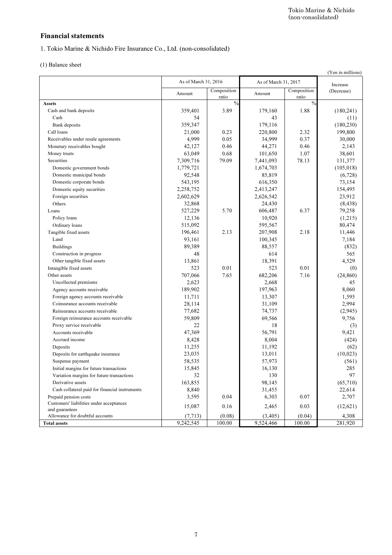# Financial statements

1. Tokio Marine & Nichido Fire Insurance Co., Ltd. (non-consolidated)

(1) Balance sheet

|                                                | As of March 31, 2016 |                      | As of March 31, 2017 |                      | Increase   |
|------------------------------------------------|----------------------|----------------------|----------------------|----------------------|------------|
|                                                | Amount               | Composition<br>ratio | Amount               | Composition<br>ratio | (Decrease) |
| <b>Assets</b>                                  |                      | $\frac{0}{0}$        |                      | $\frac{0}{0}$        |            |
| Cash and bank deposits                         | 359,401              | 3.89                 | 179,160              | 1.88                 | (180, 241) |
| Cash                                           | 54                   |                      | 43                   |                      | (11)       |
| Bank deposits                                  | 359,347              |                      | 179,116              |                      | (180, 230) |
| Call loans                                     | 21,000               | 0.23                 | 220,800              | 2.32                 | 199,800    |
| Receivables under resale agreements            | 4,999                | 0.05                 | 34,999               | 0.37                 | 30,000     |
| Monetary receivables bought                    | 42,127               | 0.46                 | 44,271               | 0.46                 | 2,143      |
| Money trusts                                   | 63,049               | 0.68                 | 101,650              | 1.07                 | 38,601     |
| Securities                                     | 7,309,716            | 79.09                | 7,441,093            | 78.13                | 131,377    |
| Domestic government bonds                      | 1,779,721            |                      | 1,674,703            |                      | (105, 018) |
| Domestic municipal bonds                       | 92,548               |                      | 85,819               |                      | (6,728)    |
| Domestic corporate bonds                       | 543,195              |                      | 616,350              |                      | 73,154     |
| Domestic equity securities                     | 2,258,752            |                      | 2,413,247            |                      | 154,495    |
| Foreign securities                             | 2,602,629            |                      | 2,626,542            |                      | 23,912     |
| Others                                         | 32,868               |                      | 24,430               |                      | (8, 438)   |
| Loans                                          | 527,229              | 5.70                 | 606,487              | 6.37                 | 79,258     |
| Policy loans                                   | 12,136               |                      | 10,920               |                      | (1,215)    |
| Ordinary loans                                 | 515,092              |                      | 595,567              |                      | 80,474     |
| Tangible fixed assets                          | 196,461              | 2.13                 | 207,908              | 2.18                 | 11,446     |
| Land                                           | 93,161               |                      | 100,345              |                      | 7,184      |
| <b>Buildings</b>                               | 89,389               |                      | 88,557               |                      | (832)      |
| Construction in progress                       | 48                   |                      | 614                  |                      | 565        |
| Other tangible fixed assets                    | 13,861               |                      | 18,391               |                      | 4,529      |
| Intangible fixed assets                        | 523                  | 0.01                 | 523                  | 0.01                 | (0)        |
| Other assets                                   | 707,066              | 7.65                 | 682,206              | 7.16                 | (24, 860)  |
| Uncollected premiums                           | 2,623                |                      | 2,668                |                      | 45         |
| Agency accounts receivable                     | 189,902              |                      | 197,963              |                      | 8,060      |
| Foreign agency accounts receivable             | 11,711               |                      | 13,307               |                      | 1,595      |
| Coinsurance accounts receivable                | 28,114               |                      | 31,109               |                      | 2,994      |
| Reinsurance accounts receivable                | 77,682               |                      | 74,737               |                      | (2,945)    |
| Foreign reinsurance accounts receivable        | 59,809               |                      | 69,566               |                      | 9,756      |
| Proxy service receivable                       | 22                   |                      | 18                   |                      | (3)        |
| Accounts receivable                            | 47,369               |                      | 56,791               |                      | 9,421      |
| Accrued income                                 | 8,428                |                      | 8,004                |                      | (424)      |
| Deposits                                       | 11,255               |                      | 11,192               |                      | (62)       |
| Deposits for earthquake insurance              | 23,035               |                      | 13,011               |                      | (10,023)   |
| Suspense payment                               | 58,535               |                      | 57,973               |                      | (561)      |
| Initial margins for future transactions        | 15,845               |                      | 16,130               |                      | 285        |
| Variation margins for future transactions      | 32                   |                      | 130                  |                      | 97         |
| Derivative assets                              | 163,855              |                      | 98,145               |                      | (65,710)   |
| Cash collateral paid for financial instruments | 8,840                |                      | 31,455               |                      | 22,614     |
| Prepaid pension costs                          | 3,595                | 0.04                 | 6,303                | 0.07                 | 2,707      |
| Customers' liabilities under acceptances       | 15,087               | 0.16                 | 2,465                | 0.03                 | (12, 621)  |
| and guarantees                                 |                      |                      |                      |                      |            |
| Allowance for doubtful accounts                | (7, 713)             | (0.08)               | (3,405)              | (0.04)               | 4,308      |
| <b>Total assets</b>                            | 9,242,545            | 100.00               | 9,524,466            | 100.00               | 281,920    |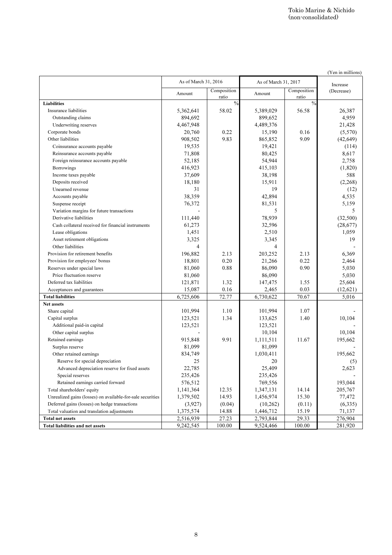(Yen in millions)

|                                                            | As of March 31, 2016 |                      |                     | As of March 31, 2017 |                        |  |
|------------------------------------------------------------|----------------------|----------------------|---------------------|----------------------|------------------------|--|
|                                                            | Amount               | Composition<br>ratio | Amount              | Composition<br>ratio | Increase<br>(Decrease) |  |
| <b>Liabilities</b>                                         |                      | $\frac{0}{0}$        |                     | $\frac{0}{0}$        |                        |  |
| Insurance liabilities                                      | 5,362,641            | 58.02                | 5,389,029           | 56.58                | 26,387                 |  |
| Outstanding claims                                         | 894,692              |                      | 899,652             |                      | 4,959                  |  |
| Underwriting reserves                                      | 4,467,948            |                      | 4,489,376           |                      | 21,428                 |  |
| Corporate bonds                                            | 20,760               | 0.22                 | 15,190              | 0.16                 | (5,570)                |  |
| Other liabilities                                          | 908,502              | 9.83                 | 865,852             | 9.09                 | (42, 649)              |  |
| Coinsurance accounts payable                               | 19,535               |                      | 19,421              |                      | (114)                  |  |
| Reinsurance accounts payable                               | 71,808               |                      | 80,425              |                      | 8,617                  |  |
| Foreign reinsurance accounts payable                       | 52,185               |                      | 54,944              |                      | 2,758                  |  |
| Borrowings                                                 | 416,923              |                      | 415,103             |                      | (1,820)                |  |
| Income taxes payable                                       | 37,609               |                      | 38,198              |                      | 588                    |  |
| Deposits received                                          | 18,180               |                      | 15,911              |                      | (2,268)                |  |
| Unearned revenue                                           | 31                   |                      | 19                  |                      | (12)                   |  |
| Accounts payable                                           | 38,359               |                      | 42,894              |                      | 4,535                  |  |
| Suspense receipt                                           | 76,372               |                      | 81,531              |                      | 5,159                  |  |
| Variation margins for future transactions                  |                      |                      | 5                   |                      | 5                      |  |
| Derivative liabilities                                     | 111,440              |                      | 78,939              |                      | (32,500)               |  |
| Cash collateral received for financial instruments         | 61,273               |                      | 32,596              |                      | (28,677)               |  |
| Lease obligations                                          | 1,451                |                      | 2,510               |                      | 1,059                  |  |
| Asset retirement obligations                               | 3,325                |                      | 3,345               |                      | 19                     |  |
| Other liabilities                                          | 4                    |                      | 4                   |                      |                        |  |
| Provision for retirement benefits                          | 196,882              | 2.13                 | 203,252             | 2.13                 | 6,369                  |  |
| Provision for employees' bonus                             | 18,801               | 0.20                 | 21,266              | 0.22                 | 2,464                  |  |
| Reserves under special laws                                | 81,060               | 0.88                 | 86,090              | 0.90                 | 5,030                  |  |
| Price fluctuation reserve                                  | 81,060               |                      | 86,090              |                      | 5,030                  |  |
| Deferred tax liabilities                                   | 121,871              | 1.32                 | 147,475             | 1.55                 | 25,604                 |  |
|                                                            | 15,087               | 0.16                 | 2,465               | 0.03                 | (12, 621)              |  |
| Acceptances and guarantees<br><b>Total liabilities</b>     | 6,725,606            | 72.77                | 6,730,622           | 70.67                | 5,016                  |  |
| Net assets                                                 |                      |                      |                     |                      |                        |  |
|                                                            | 101,994              | 1.10                 | 101,994             | 1.07                 |                        |  |
| Share capital<br>Capital surplus                           | 123,521              | 1.34                 | 133,625             | 1.40                 | 10,104                 |  |
| Additional paid-in capital                                 | 123,521              |                      | 123,521             |                      |                        |  |
| Other capital surplus                                      |                      |                      | 10,104              |                      | 10,104                 |  |
|                                                            | 915,848              | 9.91                 |                     | 11.67                | 195,662                |  |
| Retained earnings<br>Surplus reserve                       | 81,099               |                      | 1,111,511<br>81,099 |                      |                        |  |
| Other retained earnings                                    | 834,749              |                      |                     |                      | 195,662                |  |
| Reserve for special depreciation                           | 25                   |                      | 1,030,411<br>20     |                      |                        |  |
|                                                            |                      |                      |                     |                      | (5)<br>2,623           |  |
| Advanced depreciation reserve for fixed assets             | 22,785               |                      | 25,409              |                      |                        |  |
| Special reserves                                           | 235,426              |                      | 235,426             |                      |                        |  |
| Retained earnings carried forward                          | 576,512              |                      | 769,556             |                      | 193,044<br>205,767     |  |
| Total shareholders' equity                                 | 1,141,364            | 12.35                | 1,347,131           | 14.14                |                        |  |
| Unrealized gains (losses) on available-for-sale securities | 1,379,502            | 14.93                | 1,456,974           | 15.30                | 77,472                 |  |
| Deferred gains (losses) on hedge transactions              | (3,927)              | (0.04)               | (10, 262)           | (0.11)               | (6,335)                |  |
| Total valuation and translation adjustments                | 1,375,574            | 14.88                | 1,446,712           | 15.19                | 71,137                 |  |
| <b>Total net assets</b>                                    | 2,516,939            | 27.23                | 2,793,844           | 29.33                | 276,904                |  |
| Total liabilities and net assets                           | 9,242,545            | 100.00               | 9,524,466           | 100.00               | 281,920                |  |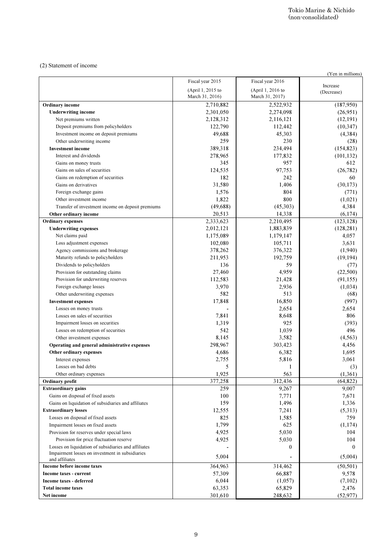### (2) Statement of income

|                                                                 |                                      |                                      | (Yen in millions) |
|-----------------------------------------------------------------|--------------------------------------|--------------------------------------|-------------------|
|                                                                 | Fiscal year 2015                     | Fiscal year 2016                     | Increase          |
|                                                                 | (April 1, 2015 to<br>March 31, 2016) | (April 1, 2016 to<br>March 31, 2017) | (Decrease)        |
| <b>Ordinary</b> income                                          | 2,710,882                            | 2,522,932                            | (187,950)         |
| <b>Underwriting income</b>                                      | 2,301,050                            | 2,274,098                            | (26,951)          |
| Net premiums written                                            | 2,128,312                            | 2,116,121                            | (12, 191)         |
| Deposit premiums from policyholders                             | 122,790                              | 112,442                              | (10, 347)         |
| Investment income on deposit premiums                           | 49,688                               | 45,303                               | (4,384)           |
| Other underwriting income                                       | 259                                  | 230                                  | (28)              |
| <b>Investment</b> income                                        | 389,318                              | 234,494                              | (154, 823)        |
| Interest and dividends                                          | 278,965                              | 177,832                              | (101, 132)        |
| Gains on money trusts                                           | 345                                  | 957                                  | 612               |
| Gains on sales of securities                                    | 124,535                              | 97,753                               | (26, 782)         |
| Gains on redemption of securities                               | 182                                  | 242                                  | 60                |
| Gains on derivatives                                            | 31,580                               | 1,406                                | (30, 173)         |
| Foreign exchange gains                                          | 1,576                                | 804                                  | (771)             |
| Other investment income                                         | 1,822                                | 800                                  | (1,021)           |
| Transfer of investment income on deposit premiums               | (49,688)                             | (45,303)                             | 4,384             |
| Other ordinary income                                           | 20,513                               | 14,338                               | (6,174)           |
| <b>Ordinary expenses</b>                                        | 2,333,623                            | 2,210,495                            | (123, 128)        |
| <b>Underwriting expenses</b>                                    | 2,012,121                            | 1,883,839                            | (128, 281)        |
| Net claims paid                                                 | 1,175,089                            | 1,179,147                            | 4,057             |
| Loss adjustment expenses                                        | 102,080                              | 105,711                              | 3,631             |
| Agency commissions and brokerage                                | 378,262                              | 376,322                              | (1,940)           |
| Maturity refunds to policyholders                               | 211,953                              | 192,759                              | (19, 194)         |
| Dividends to policyholders                                      | 136                                  | 59                                   | (77)              |
| Provision for outstanding claims                                | 27,460                               | 4,959                                | (22,500)          |
| Provision for underwriting reserves                             | 112,583                              | 21,428                               | (91, 155)         |
| Foreign exchange losses                                         | 3,970                                | 2,936                                | (1,034)           |
| Other underwriting expenses                                     | 582                                  | 513                                  | (68)              |
| <b>Investment expenses</b>                                      | 17,848                               | 16,850                               | (997)             |
| Losses on money trusts                                          |                                      | 2,654                                | 2,654             |
| Losses on sales of securities                                   | 7,841                                | 8,648                                | 806               |
| Impairment losses on securities                                 | 1,319                                | 925                                  | (393)             |
| Losses on redemption of securities                              | 542                                  | 1,039                                | 496               |
| Other investment expenses                                       | 8,145                                | 3,582                                | (4, 563)          |
| Operating and general administrative expenses                   | 298,967                              | 303,423                              | 4,456             |
| Other ordinary expenses                                         | 4,686                                | 6,382                                | 1,695             |
| Interest expenses                                               | 2,755                                | 5,816                                | 3,061             |
| Losses on bad debts                                             | 5                                    |                                      | (3)               |
| Other ordinary expenses                                         | 1,925                                | 563                                  | (1,361)           |
| <b>Ordinary profit</b>                                          | 377,258                              | 312,436                              | (64, 822)         |
| <b>Extraordinary gains</b><br>Gains on disposal of fixed assets | 259                                  | 9,267                                | 9,007             |
| Gains on liquidation of subsidiaries and affiliates             | 100<br>159                           | 7,771<br>1,496                       | 7,671             |
| <b>Extraordinary losses</b>                                     | 12,555                               | 7,241                                | 1,336<br>(5,313)  |
| Losses on disposal of fixed assets                              | 825                                  | 1,585                                | 759               |
| Impairment losses on fixed assets                               | 1,799                                | 625                                  | (1,174)           |
| Provision for reserves under special laws                       | 4,925                                | 5,030                                | 104               |
| Provision for price fluctuation reserve                         | 4,925                                | 5,030                                | 104               |
| Losses on liquidation of subsidiaries and affiliates            |                                      | $\bf{0}$                             | $\boldsymbol{0}$  |
| Impairment losses on investment in subsidiaries                 |                                      |                                      |                   |
| and affiliates                                                  | 5,004                                |                                      | (5,004)           |
| Income before income taxes                                      | 364,963                              | 314,462                              | (50, 501)         |
| Income taxes - current                                          | 57,309                               | 66,887                               | 9,578             |
| <b>Income taxes - deferred</b>                                  | 6,044                                | (1,057)                              | (7,102)           |
| <b>Total income taxes</b>                                       | 63,353                               | 65,829                               | 2,476             |
| Net income                                                      | 301,610                              | 248,632                              | (52, 977)         |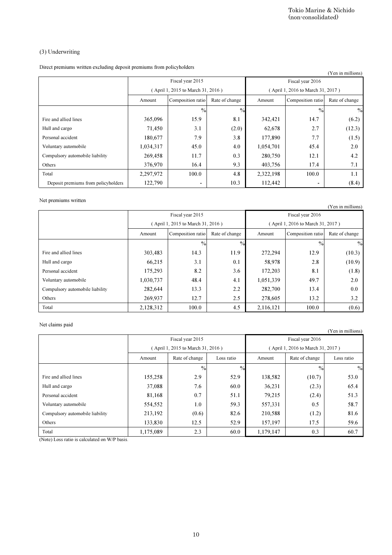# (3) Underwriting

|                                                                       |                      |                                   |                |                      | Tokio Marine & Nichido<br>(non-consolidated) |                       |
|-----------------------------------------------------------------------|----------------------|-----------------------------------|----------------|----------------------|----------------------------------------------|-----------------------|
|                                                                       |                      |                                   |                |                      |                                              |                       |
|                                                                       |                      |                                   |                |                      |                                              |                       |
| (3) Underwriting                                                      |                      |                                   |                |                      |                                              |                       |
| Direct premiums written excluding deposit premiums from policyholders |                      |                                   |                |                      |                                              | (Yen in millions)     |
|                                                                       |                      | Fiscal year 2015                  |                |                      | Fiscal year 2016                             |                       |
|                                                                       |                      | (April 1, 2015 to March 31, 2016) |                |                      | (April 1, 2016 to March 31, 2017)            |                       |
|                                                                       | Amount               | Composition ratio                 | Rate of change | Amount               | Composition ratio                            | Rate of change        |
|                                                                       |                      | $\%$                              | $\frac{0}{0}$  |                      | $\frac{0}{0}$                                | $\frac{0}{0}$         |
| Fire and allied lines                                                 | 365,096              | 15.9                              | 8.1            | 342,421              | 14.7                                         | (6.2)                 |
| Hull and cargo                                                        | 71,450               | 3.1                               | (2.0)          | 62,678               | 2.7                                          | (12.3)                |
| Personal accident                                                     | 180,677              | 7.9                               | 3.8            | 177,890              | 7.7                                          | (1.5)                 |
| Voluntary automobile                                                  | 1,034,317            | 45.0                              | 4.0            | 1,054,701            | 45.4                                         | 2.0                   |
| Compulsory automobile liability                                       | 269,458              | 11.7                              | 0.3            | 280,750              | 12.1                                         | 4.2                   |
| Others                                                                | 376,970              | 16.4                              | 9.3            | 403,756              | 17.4                                         | 7.1                   |
| Total                                                                 | 2,297,972            | 100.0                             | 4.8            | 2,322,198            | 100.0                                        | 1.1                   |
| Deposit premiums from policyholders                                   | 122,790              | ٠                                 | 10.3           | 112,442              |                                              | (8.4)                 |
|                                                                       |                      |                                   |                |                      |                                              |                       |
| Net premiums written                                                  |                      |                                   |                |                      |                                              |                       |
|                                                                       |                      | Fiscal year 2015                  |                |                      | Fiscal year 2016                             | (Yen in millions)     |
|                                                                       |                      | (April 1, 2015 to March 31, 2016) |                |                      | (April 1, 2016 to March 31, 2017)            |                       |
|                                                                       | Amount               | Composition ratio                 | Rate of change | Amount               | Composition ratio                            | Rate of change        |
|                                                                       |                      |                                   |                |                      |                                              |                       |
| Fire and allied lines                                                 |                      | $\frac{0}{0}$                     | $\%$           |                      | $\frac{0}{0}$                                | $\frac{0}{2}$         |
|                                                                       | 303,483              | 14.3<br>3.1                       | 11.9<br>0.1    | 272,294              | 12.9<br>2.8                                  | (10.3)                |
| Hull and cargo<br>Personal accident                                   | 66,215               | 8.2                               | 3.6            | 58,978               | 8.1                                          | (10.9)                |
| Voluntary automobile                                                  | 175,293<br>1,030,737 | 48.4                              | 4.1            | 172,203<br>1,051,339 | 49.7                                         | (1.8)<br>2.0          |
| Compulsory automobile liability                                       | 282,644              | 13.3                              | 2.2            | 282,700              | 13.4                                         | 0.0                   |
| Others                                                                | 269,937              | 12.7                              | 2.5            | 278,605              | 13.2                                         | 3.2                   |
| Total                                                                 | 2,128,312            | 100.0                             | 4.5            | 2,116,121            | 100.0                                        | (0.6)                 |
|                                                                       |                      |                                   |                |                      |                                              |                       |
| Net claims paid                                                       |                      |                                   |                |                      |                                              |                       |
|                                                                       |                      |                                   |                |                      |                                              | (Yen in millions)     |
|                                                                       |                      | Fiscal year 2015                  |                |                      | Fiscal year 2016                             |                       |
|                                                                       |                      |                                   |                |                      |                                              |                       |
|                                                                       |                      | (April 1, 2015 to March 31, 2016) |                |                      | (April 1, 2016 to March 31, 2017)            |                       |
|                                                                       | Amount               | Rate of change                    | Loss ratio     | Amount               | Rate of change                               | Loss ratio            |
|                                                                       |                      | $\frac{0}{2}$                     | $\frac{0}{0}$  |                      | $\frac{0}{0}$                                |                       |
| Fire and allied lines                                                 | 155,258              | 2.9                               | 52.9           | 138,582              | (10.7)                                       | 53.0                  |
| Hull and cargo                                                        | 37,088               | 7.6                               | 60.0           | 36,231               | (2.3)                                        | 65.4                  |
| Personal accident                                                     | 81,168               | 0.7                               | 51.1           | 79,215               | (2.4)                                        | 51.3                  |
| Voluntary automobile                                                  | 554,552              | 1.0                               | 59.3           | 557,331              | 0.5                                          | 58.7                  |
| Compulsory automobile liability                                       | 213,192              | (0.6)                             | 82.6           | 210,588              | (1.2)                                        | $\frac{0}{0}$<br>81.6 |
| Others<br>Total                                                       | 133,830<br>1,175,089 | 12.5<br>2.3                       | 52.9<br>60.0   | 157,197<br>1,179,147 | 17.5<br>0.3                                  | 59.6<br>60.7          |

### Net premiums written

| $\cdots$                        |           |                                   |                |           |                                   | (Yen in millions) |
|---------------------------------|-----------|-----------------------------------|----------------|-----------|-----------------------------------|-------------------|
|                                 |           | Fiscal year 2015                  |                |           | Fiscal year 2016                  |                   |
|                                 |           | (April 1, 2015 to March 31, 2016) |                |           | (April 1, 2016 to March 31, 2017) |                   |
|                                 | Amount    | Composition ratio                 | Rate of change | Amount    | Composition ratio                 | Rate of change    |
|                                 |           | $\frac{0}{0}$                     | $\frac{0}{0}$  |           | $\frac{0}{0}$                     | $\%$              |
| Fire and allied lines           | 303,483   | 14.3                              | 11.9           | 272,294   | 12.9                              | (10.3)            |
| Hull and cargo                  | 66,215    | 3.1                               | 0.1            | 58,978    | 2.8                               | (10.9)            |
| Personal accident               | 175,293   | 8.2                               | 3.6            | 172,203   | 8.1                               | (1.8)             |
| Voluntary automobile            | 1,030,737 | 48.4                              | 4.1            | 1,051,339 | 49.7                              | 2.0               |
| Compulsory automobile liability | 282,644   | 13.3                              | 2.2            | 282,700   | 13.4                              | 0.0               |
| Others                          | 269,937   | 12.7                              | 2.5            | 278,605   | 13.2                              | 3.2               |
| Total                           | 2,128,312 | 100.0                             | 4.5            | 2.116.121 | 100.0                             | (0.6)             |

### Net claims paid

|                                 |           |                                   |               |           |                                   | (Yen in millions) |
|---------------------------------|-----------|-----------------------------------|---------------|-----------|-----------------------------------|-------------------|
|                                 |           | Fiscal year 2015                  |               |           | Fiscal year 2016                  |                   |
|                                 |           | (April 1, 2015 to March 31, 2016) |               |           | (April 1, 2016 to March 31, 2017) |                   |
|                                 | Amount    | Rate of change                    | Loss ratio    | Amount    | Rate of change                    | Loss ratio        |
|                                 |           | $\%$                              | $\frac{0}{0}$ |           | $\frac{0}{0}$                     | $\%$              |
| Fire and allied lines           | 155,258   | 2.9                               | 52.9          | 138,582   | (10.7)                            | 53.0              |
| Hull and cargo                  | 37,088    | 7.6                               | 60.0          | 36,231    | (2.3)                             | 65.4              |
| Personal accident               | 81,168    | 0.7                               | 51.1          | 79,215    | (2.4)                             | 51.3              |
| Voluntary automobile            | 554,552   | 1.0                               | 59.3          | 557,331   | 0.5                               | 58.7              |
| Compulsory automobile liability | 213,192   | (0.6)                             | 82.6          | 210,588   | (1.2)                             | 81.6              |
| Others                          | 133,830   | 12.5                              | 52.9          | 157,197   | 17.5                              | 59.6              |
| Total                           | 1,175,089 | 2.3                               | 60.0          | 1,179,147 | 0.3                               | 60.7              |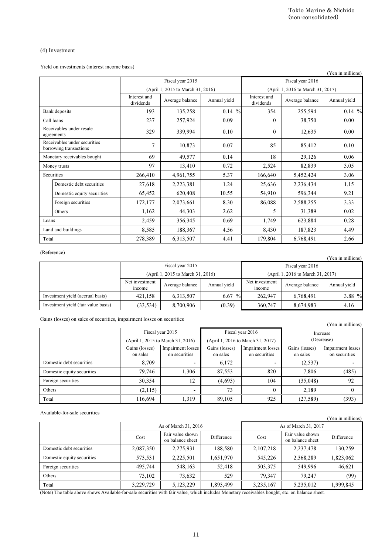## (4) Investment

|        |                                                                                                                                                |                            |                                           |                                   |                                    | Tokio Marine & Nichido<br>(non-consolidated) |                                    |
|--------|------------------------------------------------------------------------------------------------------------------------------------------------|----------------------------|-------------------------------------------|-----------------------------------|------------------------------------|----------------------------------------------|------------------------------------|
|        |                                                                                                                                                |                            |                                           |                                   |                                    |                                              |                                    |
|        | $(4)$ Investment                                                                                                                               |                            |                                           |                                   |                                    |                                              |                                    |
|        | Yield on investments (interest income basis)                                                                                                   |                            |                                           |                                   |                                    |                                              | (Yen in millions)                  |
|        |                                                                                                                                                |                            | Fiscal year 2015                          |                                   |                                    | Fiscal year 2016                             |                                    |
|        |                                                                                                                                                |                            | (April 1, 2015 to March 31, 2016)         |                                   |                                    | (April 1, 2016 to March 31, 2017)            |                                    |
|        |                                                                                                                                                | Interest and<br>dividends  | Average balance                           | Annual yield                      | Interest and<br>dividends          | Average balance                              | Annual yield                       |
|        | Bank deposits                                                                                                                                  | 193                        | 135,258                                   | $0.14\%$                          | 354                                | 255,594                                      | $0.14\%$                           |
|        | Call loans                                                                                                                                     | 237                        | 257,924                                   | 0.09                              | $\boldsymbol{0}$                   | 38,750                                       | 0.00                               |
|        | Receivables under resale<br>agreements                                                                                                         | 329                        | 339,994                                   | 0.10                              | $\boldsymbol{0}$                   | 12,635                                       | 0.00                               |
|        | Receivables under securities<br>borrowing transactions                                                                                         | $\overline{7}$             | 10,873                                    | 0.07                              | 85                                 | 85,412                                       | 0.10                               |
|        | Monetary receivables bought                                                                                                                    | 69                         | 49.577                                    | 0.14                              | 18                                 | 29,126                                       | 0.06                               |
|        | Money trusts                                                                                                                                   | 97                         | 13,410                                    | 0.72                              | 2,524                              | 82,839                                       | 3.05                               |
|        | Securities                                                                                                                                     | 266,410                    | 4,961,755                                 | 5.37                              | 166,640                            | 5,452,424                                    | 3.06                               |
|        | Domestic debt securities                                                                                                                       | 27,618                     | 2,223,381                                 | 1.24                              | 25,636                             | 2,236,434                                    | 1.15                               |
|        | Domestic equity securities                                                                                                                     | 65,452                     | 620,408                                   | 10.55                             | 54,910                             | 596,344                                      | 9.21                               |
|        | Foreign securities                                                                                                                             | 172,177                    | 2,073,661                                 | 8.30                              | 86,088                             | 2,588,255                                    | 3.33                               |
|        | Others                                                                                                                                         | 1,162                      | 44,303                                    | 2.62                              | 5                                  | 31,389                                       | 0.02                               |
| Loans  |                                                                                                                                                | 2,459                      | 356,345                                   | 0.69                              | 1,749                              | 623,884                                      | 0.28                               |
|        | Land and buildings                                                                                                                             | 8,585                      | 188,367                                   | 4.56                              | 8,430                              | 187,823                                      | 4.49                               |
| Total  |                                                                                                                                                | 278,389                    | 6,313,507                                 | 4.41                              | 179,804                            | 6,768,491                                    | 2.66                               |
|        | (Reference)                                                                                                                                    |                            | Fiscal year 2015                          |                                   |                                    | Fiscal year 2016                             | (Yen in millions)                  |
|        |                                                                                                                                                | Net investment             | (April 1, 2015 to March 31, 2016)         |                                   | Net investment                     | (April 1, 2016 to March 31, 2017)            |                                    |
|        |                                                                                                                                                | income                     | Average balance                           | Annual yield                      | income                             | Average balance                              | Annual yield                       |
|        | Investment yield (accrual basis)                                                                                                               | 421,158                    | 6,313,507                                 | $6.67\%$                          | 262,947                            | 6,768,491                                    | 3.88 %                             |
|        | Investment yield (fair value basis)                                                                                                            | (33, 534)                  | 8,700,906                                 | (0.39)                            | 360,747                            | 8,674,983                                    | 4.16                               |
|        | Gains (losses) on sales of securities, impairment losses on securities                                                                         |                            |                                           |                                   |                                    |                                              | (Yen in millions)                  |
|        |                                                                                                                                                |                            | Fiscal year 2015                          | Fiscal year 2016                  |                                    |                                              | Increase                           |
|        |                                                                                                                                                |                            | (April 1, 2015 to March 31, 2016)         | (April 1, 2016 to March 31, 2017) |                                    | (Decrease)                                   |                                    |
|        |                                                                                                                                                | Gains (losses)<br>on sales | <b>Impairment</b> losses<br>on securities | Gains (losses)<br>on sales        | Impairment losses<br>on securities | Gains (losses)<br>on sales                   | Impairment losses<br>on securities |
|        | Domestic debt securities                                                                                                                       | 8.709                      |                                           | 6,172                             |                                    | (2,537)                                      |                                    |
|        | Domestic equity securities                                                                                                                     | 79,746                     | 1,306                                     | 87,553                            | 820                                | 7,806                                        | (485)                              |
|        | Foreign securities                                                                                                                             | 30.354                     | 12                                        | (4,693)                           | 104                                | (35, 048)                                    | 92                                 |
| Others |                                                                                                                                                | (2,115)                    |                                           | 73                                | $\boldsymbol{0}$                   | 2,189                                        | $\boldsymbol{0}$                   |
| Total  |                                                                                                                                                | 116,694                    | 1,319                                     | 89,105                            | 925                                | (27, 589)                                    | (393)                              |
|        | Available-for-sale securities                                                                                                                  |                            |                                           |                                   |                                    |                                              |                                    |
|        |                                                                                                                                                |                            | As of March 31, 2016                      |                                   |                                    | As of March 31, 2017                         | (Yen in millions)                  |
|        |                                                                                                                                                |                            | Fair value shown                          |                                   |                                    | Fair value shown                             |                                    |
|        |                                                                                                                                                | Cost                       | on balance sheet                          | Difference                        | Cost                               | on balance sheet                             | Difference                         |
|        | Domestic debt securities                                                                                                                       | 2,087,350                  | 2,275,931                                 | 188,580                           | 2,107,218                          | 2,237,478                                    | 130,259                            |
|        | Domestic equity securities                                                                                                                     | 573,531                    | 2,225,501                                 | 1,651,970                         | 545,226                            | 2,368,289                                    | 1,823,062                          |
|        | Foreign securities                                                                                                                             | 495,744                    | 548,163                                   | 52,418                            | 503,375                            | 549,996                                      | 46,621                             |
| Others |                                                                                                                                                | 73,102                     | 73,632                                    | 529<br>1,893,499                  | 79,347                             | 79,247                                       | (99)<br>1,999,845                  |
| Total  | (Note) The table above shows Available-for-sale securities with fair value, which includes Monetary receivables bought, etc. on balance sheet. | 3,229,729                  | 5,123,229                                 |                                   | 3,235,167                          | 5,235,012                                    |                                    |
|        |                                                                                                                                                |                            |                                           |                                   |                                    |                                              |                                    |
|        |                                                                                                                                                |                            | 11                                        |                                   |                                    |                                              |                                    |

### (Reference)

| 11010101007                         |                          |                                   |              |                          |                                   | (Yen in millions) |
|-------------------------------------|--------------------------|-----------------------------------|--------------|--------------------------|-----------------------------------|-------------------|
|                                     |                          | Fiscal year 2015                  |              |                          | Fiscal year 2016                  |                   |
|                                     |                          | (April 1, 2015 to March 31, 2016) |              |                          | (April 1, 2016 to March 31, 2017) |                   |
|                                     | Net investment<br>income | Average balance                   | Annual yield | Net investment<br>income | Average balance                   | Annual yield      |
| Investment yield (accrual basis)    | 421,158                  | 6,313,507                         | 6.67 $%$     | 262,947                  | 6,768,491                         | 3.88 %            |
| Investment yield (fair value basis) | (33, 534)                | 8,700,906                         | (0.39)       | 360,747                  | 8,674,983                         | 4.16              |

| <u>omin (robbes) on bares or beemings, impairment robbes on beemings</u> |                                   |                                    |                                   |                                    |                            | (Yen in millions)                         |
|--------------------------------------------------------------------------|-----------------------------------|------------------------------------|-----------------------------------|------------------------------------|----------------------------|-------------------------------------------|
|                                                                          |                                   | Fiscal year 2015                   |                                   | Fiscal year 2016                   |                            | Increase                                  |
|                                                                          | (April 1, 2015 to March 31, 2016) |                                    | (April 1, 2016 to March 31, 2017) |                                    |                            | (Decrease)                                |
|                                                                          | Gains (losses)<br>on sales        | Impairment losses<br>on securities | Gains (losses)<br>on sales        | Impairment losses<br>on securities | Gains (losses)<br>on sales | <b>Impairment</b> losses<br>on securities |
| Domestic debt securities                                                 | 8.709                             |                                    | 6,172                             |                                    | (2,537)                    |                                           |
| Domestic equity securities                                               | 79.746                            | 1.306                              | 87,553                            | 820                                | 7.806                      | (485)                                     |
| Foreign securities                                                       | 30,354                            | 12                                 | (4,693)                           | 104                                | (35, 048)                  | 92                                        |
| Others                                                                   | (2,115)                           |                                    | 73                                |                                    | 2.189                      |                                           |
| Total                                                                    | 116,694                           | 1.319                              | 89.105                            | 925                                | (27, 589)                  | (393)                                     |

#### Available-for-sale securities

| Trandone for sale securities |           |                                      |            |                      |                                      | (Yen in millions) |
|------------------------------|-----------|--------------------------------------|------------|----------------------|--------------------------------------|-------------------|
|                              |           | As of March 31, 2016                 |            | As of March 31, 2017 |                                      |                   |
|                              | Cost      | Fair value shown<br>on balance sheet | Difference | Cost                 | Fair value shown<br>on balance sheet | Difference        |
| Domestic debt securities     | 2,087,350 | 2,275,931                            | 188.580    | 2,107,218            | 2,237,478                            | 130.259           |
| Domestic equity securities   | 573.531   | 2.225.501                            | 1,651,970  | 545,226              | 2,368,289                            | 1,823,062         |
| Foreign securities           | 495.744   | 548,163                              | 52.418     | 503,375              | 549,996                              | 46,621            |
| Others                       | 73.102    | 73,632                               | 529        | 79.347               | 79.247                               | (99)              |
| Total                        | 3,229,729 | 5.123.229                            | 1,893,499  | 3,235,167            | 5.235,012                            | 1,999,845         |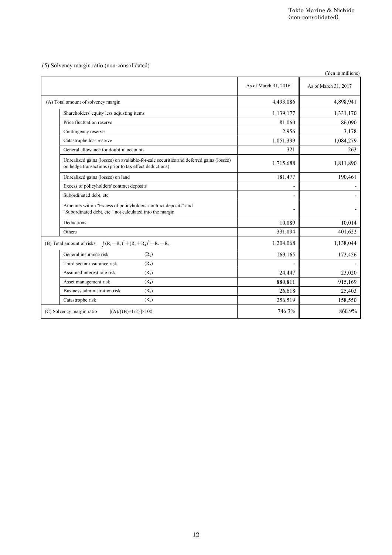|                                                                                                                                                  |                      | Tokio Marine & Nichido<br>(non-consolidated) |
|--------------------------------------------------------------------------------------------------------------------------------------------------|----------------------|----------------------------------------------|
|                                                                                                                                                  |                      |                                              |
| (5) Solvency margin ratio (non-consolidated)                                                                                                     |                      | (Yen in millions)                            |
|                                                                                                                                                  | As of March 31, 2016 | As of March 31, 2017                         |
| (A) Total amount of solvency margin                                                                                                              | 4,493,086            | 4,898,941                                    |
| Shareholders' equity less adjusting items                                                                                                        | 1,139,177            | 1,331,170                                    |
| Price fluctuation reserve                                                                                                                        | 81,060               | 86,090                                       |
| Contingency reserve                                                                                                                              | 2,956                | 3,178                                        |
| Catastrophe loss reserve                                                                                                                         | 1,051,399            | 1,084,279                                    |
| General allowance for doubtful accounts                                                                                                          | 321                  | 263                                          |
| Unrealized gains (losses) on available-for-sale securities and deferred gains (losses)<br>on hedge transactions (prior to tax effect deductions) | 1,715,688            | 1,811,890                                    |
| Unrealized gains (losses) on land                                                                                                                | 181,477              | 190,461                                      |
| Excess of policyholders' contract deposits                                                                                                       |                      |                                              |
| Subordinated debt, etc.                                                                                                                          |                      | $\overline{\phantom{a}}$                     |
| Amounts within "Excess of policyholders' contract deposits" and<br>"Subordinated debt, etc." not calculated into the margin                      |                      |                                              |
| Deductions                                                                                                                                       | 10,089               | 10,014                                       |
| Others                                                                                                                                           | 331,094              | 401,622                                      |
| $\sqrt{(R_1+R_2)^2+(R_3+R_4)^2}+R_5+R_6$<br>(B) Total amount of risks                                                                            | 1,204,068            | 1,138,044                                    |
| General insurance risk<br>(R <sub>1</sub> )                                                                                                      | 169,165              | 173,456                                      |
| (R <sub>2</sub> )<br>Third sector insurance risk                                                                                                 | $\blacksquare$       |                                              |
| Assumed interest rate risk<br>$(R_3)$                                                                                                            | 24,447               | 23,020                                       |
| Asset management risk<br>(R <sub>4</sub> )                                                                                                       | 880,811              | 915,169                                      |
| Business administration risk<br>$(R_5)$                                                                                                          | 26,618               | 25,403                                       |
| Catastrophe risk<br>(R <sub>6</sub> )                                                                                                            | 256,519              | 158,550                                      |
| (C) Solvency margin ratio<br>$[(A) / {(B) \times 1/2}] \times 100$                                                                               | 746.3%               | 860.9%                                       |
|                                                                                                                                                  |                      |                                              |
| $12\,$                                                                                                                                           |                      |                                              |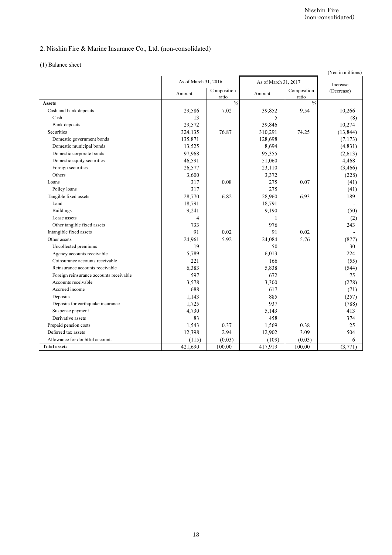# 2. Nisshin Fire & Marine Insurance Co., Ltd. (non-consolidated)

|  |  |  | (1) Balance sheet |
|--|--|--|-------------------|
|--|--|--|-------------------|

| As of March 31, 2016<br>Amount<br>29,586<br>13<br>29,572<br>324,135<br>135,871<br>13,525<br>97,968<br>46,591<br>26,577<br>3,600<br>317 | Composition<br>ratio<br>$\frac{0}{0}$<br>7.02<br>76.87                                                                | As of March 31, 2017<br>Amount<br>39,852<br>5<br>39,846<br>310,291<br>128,698<br>8,694<br>95,355<br>51,060<br>23,110 | Composition<br>ratio<br>$\frac{0}{0}$<br>9.54<br>74.25                                        | Increase<br>(Decrease)<br>10,266<br>(8)<br>10,274<br>(13, 844)<br>(7, 173)<br>(4, 831)<br>(2,613) |
|----------------------------------------------------------------------------------------------------------------------------------------|-----------------------------------------------------------------------------------------------------------------------|----------------------------------------------------------------------------------------------------------------------|-----------------------------------------------------------------------------------------------|---------------------------------------------------------------------------------------------------|
|                                                                                                                                        |                                                                                                                       |                                                                                                                      |                                                                                               |                                                                                                   |
|                                                                                                                                        |                                                                                                                       |                                                                                                                      |                                                                                               |                                                                                                   |
|                                                                                                                                        |                                                                                                                       |                                                                                                                      |                                                                                               |                                                                                                   |
|                                                                                                                                        |                                                                                                                       |                                                                                                                      |                                                                                               |                                                                                                   |
|                                                                                                                                        |                                                                                                                       |                                                                                                                      |                                                                                               |                                                                                                   |
|                                                                                                                                        |                                                                                                                       |                                                                                                                      |                                                                                               |                                                                                                   |
|                                                                                                                                        |                                                                                                                       |                                                                                                                      |                                                                                               |                                                                                                   |
|                                                                                                                                        |                                                                                                                       |                                                                                                                      |                                                                                               |                                                                                                   |
|                                                                                                                                        |                                                                                                                       |                                                                                                                      |                                                                                               | 4,468                                                                                             |
|                                                                                                                                        |                                                                                                                       |                                                                                                                      |                                                                                               | (3, 466)                                                                                          |
|                                                                                                                                        | 0.08                                                                                                                  | 3,372<br>275                                                                                                         | 0.07                                                                                          | (228)<br>(41)                                                                                     |
| 317                                                                                                                                    |                                                                                                                       | 275                                                                                                                  |                                                                                               | (41)                                                                                              |
| 28,770                                                                                                                                 | 6.82                                                                                                                  | 28,960                                                                                                               | 6.93                                                                                          | 189                                                                                               |
|                                                                                                                                        |                                                                                                                       | 18,791                                                                                                               |                                                                                               |                                                                                                   |
| 9,241                                                                                                                                  |                                                                                                                       | 9,190                                                                                                                |                                                                                               | (50)                                                                                              |
| 4                                                                                                                                      |                                                                                                                       | 1                                                                                                                    |                                                                                               | (2)                                                                                               |
|                                                                                                                                        |                                                                                                                       |                                                                                                                      |                                                                                               | 243                                                                                               |
|                                                                                                                                        |                                                                                                                       |                                                                                                                      |                                                                                               |                                                                                                   |
|                                                                                                                                        |                                                                                                                       |                                                                                                                      |                                                                                               | (877)<br>30                                                                                       |
|                                                                                                                                        |                                                                                                                       |                                                                                                                      |                                                                                               | 224                                                                                               |
| 221                                                                                                                                    |                                                                                                                       | 166                                                                                                                  |                                                                                               | (55)                                                                                              |
| 6,383                                                                                                                                  |                                                                                                                       | 5,838                                                                                                                |                                                                                               | (544)                                                                                             |
| 597                                                                                                                                    |                                                                                                                       | 672                                                                                                                  |                                                                                               | 75                                                                                                |
|                                                                                                                                        |                                                                                                                       |                                                                                                                      |                                                                                               | (278)                                                                                             |
|                                                                                                                                        |                                                                                                                       |                                                                                                                      |                                                                                               | (71)<br>(257)                                                                                     |
|                                                                                                                                        |                                                                                                                       |                                                                                                                      |                                                                                               | (788)                                                                                             |
|                                                                                                                                        |                                                                                                                       |                                                                                                                      |                                                                                               | 413                                                                                               |
| 83                                                                                                                                     |                                                                                                                       | 458                                                                                                                  |                                                                                               | 374                                                                                               |
| 1,543                                                                                                                                  | 0.37                                                                                                                  | 1,569                                                                                                                | 0.38                                                                                          | $25\,$                                                                                            |
|                                                                                                                                        | 2.94                                                                                                                  | 12,902                                                                                                               | 3.09                                                                                          | 504                                                                                               |
|                                                                                                                                        |                                                                                                                       |                                                                                                                      |                                                                                               | 6                                                                                                 |
|                                                                                                                                        |                                                                                                                       |                                                                                                                      |                                                                                               | (3, 771)                                                                                          |
|                                                                                                                                        | 18,791<br>733<br>91<br>24,961<br>19<br>5,789<br>3,578<br>688<br>1,143<br>1,725<br>4,730<br>12,398<br>(115)<br>421,690 | 0.02<br>5.92<br>(0.03)<br>100.00                                                                                     | 976<br>91<br>24,084<br>50<br>6,013<br>3,300<br>617<br>885<br>937<br>5,143<br>(109)<br>417,919 | 0.02<br>5.76<br>(0.03)<br>$100.00\,$                                                              |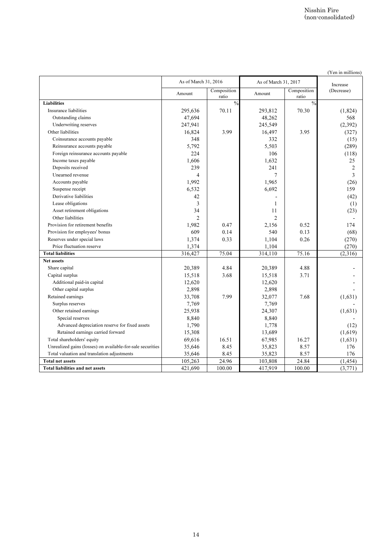|                                                                                          |                   | As of March 31, 2016   |                   | As of March 31, 2017   |                        |
|------------------------------------------------------------------------------------------|-------------------|------------------------|-------------------|------------------------|------------------------|
|                                                                                          | Amount            | Composition            | Amount            | Composition            | Increase<br>(Decrease) |
| <b>Liabilities</b>                                                                       |                   | ratio<br>$\frac{0}{0}$ |                   | ratio<br>$\frac{0}{6}$ |                        |
| Insurance liabilities                                                                    | 295,636           | 70.11                  | 293,812           | 70.30                  | (1,824)                |
| Outstanding claims<br>Underwriting reserves                                              | 47,694<br>247,941 |                        | 48,262<br>245,549 |                        | 568<br>(2, 392)        |
| Other liabilities                                                                        | 16,824            | 3.99                   | 16,497            | 3.95                   | (327)                  |
| Coinsurance accounts payable                                                             | 348               |                        | 332               |                        | (15)                   |
| Reinsurance accounts payable                                                             | 5,792             |                        | 5,503             |                        | (289)                  |
| Foreign reinsurance accounts payable<br>Income taxes payable                             | 224<br>1,606      |                        | 106<br>1,632      |                        | (118)<br>25            |
| Deposits received                                                                        | 239               |                        | 241               |                        | 2                      |
| Unearned revenue                                                                         | 4                 |                        | 7                 |                        | 3                      |
| Accounts payable                                                                         | 1,992             |                        | 1,965             |                        | (26)                   |
| Suspense receipt<br>Derivative liabilities                                               | 6,532             |                        | 6,692             |                        | 159                    |
| Lease obligations                                                                        | 42<br>3           |                        | 1                 |                        | (42)<br>(1)            |
| Asset retirement obligations                                                             | 34                |                        | 11                |                        | (23)                   |
| Other liabilities                                                                        | 2                 |                        | $\overline{2}$    |                        |                        |
| Provision for retirement benefits                                                        | 1,982             | 0.47                   | 2,156             | 0.52                   | 174                    |
| Provision for employees' bonus<br>Reserves under special laws                            | 609<br>1,374      | 0.14<br>0.33           | 540<br>1,104      | 0.13<br>0.26           | (68)<br>(270)          |
| Price fluctuation reserve                                                                | 1,374             |                        | 1,104             |                        | (270)                  |
| <b>Total liabilities</b>                                                                 | 316,427           | 75.04                  | 314,110           | 75.16                  | (2,316)                |
| Net assets                                                                               |                   |                        |                   |                        |                        |
| Share capital<br>Capital surplus                                                         | 20,389<br>15,518  | 4.84<br>3.68           | 20,389<br>15,518  | 4.88<br>3.71           |                        |
| Additional paid-in capital                                                               | 12,620            |                        | 12,620            |                        |                        |
| Other capital surplus                                                                    | 2,898             |                        | 2,898             |                        |                        |
| Retained earnings                                                                        | 33,708            | 7.99                   | 32,077            | 7.68                   | (1,631)                |
| Surplus reserves<br>Other retained earnings                                              | 7,769<br>25,938   |                        | 7,769<br>24,307   |                        | (1,631)                |
| Special reserves                                                                         | 8,840             |                        | 8,840             |                        |                        |
| Advanced depreciation reserve for fixed assets                                           | 1,790             |                        | 1,778             |                        | (12)                   |
| Retained earnings carried forward                                                        | 15,308            |                        | 13,689            |                        | (1,619)                |
| Total shareholders' equity<br>Unrealized gains (losses) on available-for-sale securities | 69,616            | 16.51<br>8.45          | 67,985            | 16.27<br>8.57          | (1,631)<br>176         |
| Total valuation and translation adjustments                                              | 35,646<br>35,646  | 8.45                   | 35,823<br>35,823  | 8.57                   | 176                    |
| <b>Total net assets</b>                                                                  | 105,263           | 24.96                  | 103,808           | 24.84                  | (1, 454)               |
| Total liabilities and net assets                                                         | 421,690           | 100.00                 | 417,919           | 100.00                 | (3,771)                |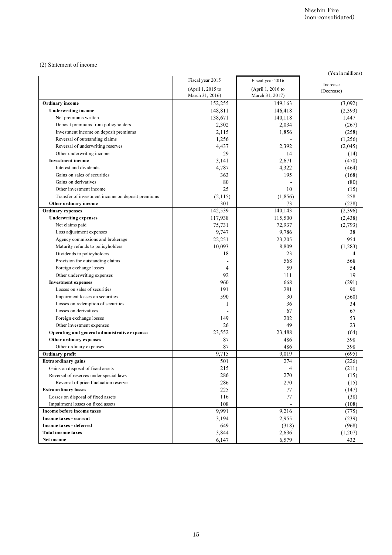#### (2) Statement of income

|                                                                              |                                      |                                      | (Yen in millions) |
|------------------------------------------------------------------------------|--------------------------------------|--------------------------------------|-------------------|
|                                                                              | Fiscal year 2015                     | Fiscal year 2016                     | Increase          |
|                                                                              | (April 1, 2015 to<br>March 31, 2016) | (April 1, 2016 to<br>March 31, 2017) | (Decrease)        |
| Ordinary income                                                              | 152,255                              | 149,163                              | (3,092)           |
| <b>Underwriting income</b>                                                   | 148,811                              | 146,418                              | (2, 393)          |
| Net premiums written                                                         | 138,671                              | 140,118                              | 1,447             |
| Deposit premiums from policyholders<br>Investment income on deposit premiums | 2,302<br>2,115                       | 2,034<br>1,856                       | (267)<br>(258)    |
| Reversal of outstanding claims                                               | 1,256                                |                                      | (1,256)           |
| Reversal of underwriting reserves                                            | 4,437                                | 2,392                                | (2,045)           |
| Other underwriting income                                                    | 29                                   | 14                                   | (14)              |
| <b>Investment</b> income                                                     | 3,141                                | 2,671                                | (470)             |
| Interest and dividends                                                       | 4,787                                | 4,322                                | (464)             |
| Gains on sales of securities<br>Gains on derivatives                         | 363<br>80                            | 195                                  | (168)<br>(80)     |
| Other investment income                                                      | 25                                   | 10                                   | (15)              |
| Transfer of investment income on deposit premiums                            | (2,115)                              | (1, 856)                             | 258               |
| Other ordinary income                                                        | 301                                  | 73                                   | (228)             |
| <b>Ordinary expenses</b>                                                     | 142,539                              | 140,143                              | (2,396)           |
| <b>Underwriting expenses</b>                                                 | 117,938                              | 115,500                              | (2, 438)          |
| Net claims paid                                                              | 75,731                               | 72,937<br>9,786                      | (2,793)           |
| Loss adjustment expenses<br>Agency commissions and brokerage                 | 9,747<br>22,251                      | 23,205                               | 38<br>954         |
| Maturity refunds to policyholders                                            | 10,093                               | 8,809                                | (1,283)           |
| Dividends to policyholders                                                   | 18                                   | 23                                   |                   |
| Provision for outstanding claims                                             |                                      | 568                                  | 568               |
| Foreign exchange losses                                                      | $\overline{4}$                       | 59                                   | 54                |
| Other underwriting expenses                                                  | 92                                   | 111                                  | 19                |
| <b>Investment expenses</b><br>Losses on sales of securities                  | 960<br>191                           | 668<br>281                           | (291)<br>90       |
| Impairment losses on securities                                              | 590                                  | 30                                   | (560)             |
| Losses on redemption of securities                                           | $\mathbf{1}$                         | 36                                   | 34                |
| Losses on derivatives                                                        |                                      | 67                                   | 67                |
| Foreign exchange losses                                                      | 149                                  | 202                                  | 53                |
| Other investment expenses                                                    | 26                                   | 49                                   | 23                |
| Operating and general administrative expenses<br>Other ordinary expenses     | 23,552<br>87                         | 23,488<br>486                        | (64)<br>398       |
| Other ordinary expenses                                                      | 87                                   | 486                                  | 398               |
| Ordinary profit                                                              | 9,715                                | 9,019                                | (695)             |
| <b>Extraordinary gains</b>                                                   | 501                                  | 274                                  | (226)             |
| Gains on disposal of fixed assets                                            | 215                                  | 4                                    | (211)             |
| Reversal of reserves under special laws                                      | 286                                  | 270                                  | (15)              |
| Reversal of price fluctuation reserve                                        | 286                                  | 270                                  | (15)              |
| <b>Extraordinary losses</b><br>Losses on disposal of fixed assets            | 225<br>116                           | 77<br>$77 \,$                        | (147)<br>(38)     |
| Impairment losses on fixed assets                                            | 108                                  |                                      | (108)             |
| Income before income taxes                                                   | 9,991                                | 9,216                                | (775)             |
| Income taxes - current                                                       | 3,194                                | 2,955                                | (239)             |
| Income taxes - deferred                                                      | 649                                  | (318)                                | (968)             |
| <b>Total income taxes</b>                                                    | 3,844<br>6,147                       | 2,636<br>6,579                       | (1,207)<br>432    |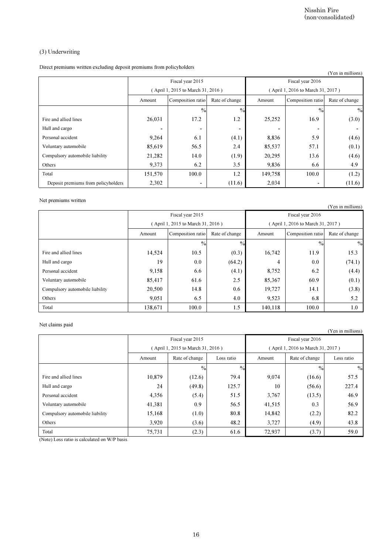# (3) Underwriting

|                          |                          |                                                                       |                                                                                                             | Nisshin Fire             | (non-consolidated)                                                                                          |
|--------------------------|--------------------------|-----------------------------------------------------------------------|-------------------------------------------------------------------------------------------------------------|--------------------------|-------------------------------------------------------------------------------------------------------------|
|                          |                          |                                                                       |                                                                                                             |                          |                                                                                                             |
|                          |                          |                                                                       |                                                                                                             |                          |                                                                                                             |
|                          |                          |                                                                       |                                                                                                             |                          | (Yen in millions)                                                                                           |
|                          | Fiscal year 2015         |                                                                       |                                                                                                             | Fiscal year 2016         |                                                                                                             |
|                          |                          |                                                                       |                                                                                                             |                          |                                                                                                             |
| Amount                   | Composition ratio        | Rate of change                                                        | Amount                                                                                                      | Composition ratio        | Rate of change                                                                                              |
|                          | $\%$                     | $\frac{0}{0}$                                                         |                                                                                                             | $\frac{0}{6}$            | $\frac{0}{0}$                                                                                               |
| 26,031                   | 17.2                     | 1.2                                                                   | 25,252                                                                                                      | 16.9                     | (3.0)                                                                                                       |
| $\overline{\phantom{a}}$ | $\overline{\phantom{a}}$ | $\qquad \qquad \blacksquare$                                          | $\blacksquare$                                                                                              | $\overline{\phantom{a}}$ | $\blacksquare$                                                                                              |
| 9,264                    | 6.1                      | (4.1)                                                                 | 8,836                                                                                                       | 5.9                      | (4.6)                                                                                                       |
| 85,619                   | 56.5                     | 2.4                                                                   | 85,537                                                                                                      | 57.1                     | (0.1)                                                                                                       |
| 21,282                   | 14.0                     | (1.9)                                                                 | 20,295                                                                                                      | 13.6                     | (4.6)                                                                                                       |
| 9,373                    | 6.2                      | 3.5                                                                   | 9,836                                                                                                       | 6.6                      | 4.9                                                                                                         |
| 151,570                  | 100.0                    | 1.2                                                                   | 149,758                                                                                                     | 100.0                    | (1.2)                                                                                                       |
| 2,302                    | $\overline{a}$           | (11.6)                                                                | 2,034                                                                                                       | $\overline{a}$           | (11.6)                                                                                                      |
|                          |                          |                                                                       |                                                                                                             |                          |                                                                                                             |
|                          |                          |                                                                       |                                                                                                             |                          | (Yen in millions)                                                                                           |
|                          | Fiscal year 2015         |                                                                       |                                                                                                             | Fiscal year 2016         |                                                                                                             |
|                          |                          |                                                                       |                                                                                                             |                          |                                                                                                             |
| Amount                   | Composition ratio        | Rate of change                                                        | Amount                                                                                                      | Composition ratio        | Rate of change                                                                                              |
|                          | $\%$                     | $\frac{0}{0}$                                                         |                                                                                                             | $\frac{1}{2}$            | $\%$                                                                                                        |
| 14,524                   | 10.5                     | (0.3)                                                                 | 16,742                                                                                                      | 11.9                     | 15.3                                                                                                        |
| 19                       | 0.0                      | (64.2)                                                                | 4                                                                                                           | 0.0                      | (74.1)                                                                                                      |
| 9,158                    | 6.6                      | (4.1)                                                                 | 8,752                                                                                                       | 6.2                      | (4.4)                                                                                                       |
| 85,417                   | 61.6                     | 2.5                                                                   | 85,367                                                                                                      | 60.9                     | (0.1)                                                                                                       |
| 20,500                   | 14.8                     | 0.6                                                                   | 19,727                                                                                                      | 14.1                     | (3.8)                                                                                                       |
| 9,051                    | 6.5                      | 4.0                                                                   | 9,523                                                                                                       | 6.8                      | 5.2                                                                                                         |
| 138,671                  | 100.0                    | 1.5                                                                   | 140,118                                                                                                     | 100.0                    | 1.0                                                                                                         |
|                          |                          |                                                                       |                                                                                                             |                          |                                                                                                             |
|                          |                          |                                                                       |                                                                                                             |                          | (Yen in millions)                                                                                           |
|                          | Fiscal year 2015         |                                                                       |                                                                                                             | Fiscal year 2016         |                                                                                                             |
|                          |                          |                                                                       |                                                                                                             |                          |                                                                                                             |
| Amount                   | Rate of change           | Loss ratio                                                            | Amount                                                                                                      | Rate of change           | Loss ratio                                                                                                  |
|                          |                          |                                                                       |                                                                                                             |                          |                                                                                                             |
|                          | $\frac{0}{0}$            | $\frac{0}{0}$                                                         |                                                                                                             | $\frac{0}{0}$            |                                                                                                             |
| 10,879                   | (12.6)                   | 79.4                                                                  | 9,074                                                                                                       | (16.6)                   | 57.5                                                                                                        |
| 24                       | (49.8)                   | 125.7                                                                 | 10                                                                                                          | (56.6)                   | 227.4                                                                                                       |
| 4,356                    | (5.4)                    | 51.5                                                                  | 3,767                                                                                                       | (13.5)                   | 46.9                                                                                                        |
| 41,381                   | 0.9                      | 56.5                                                                  | 41,515                                                                                                      | 0.3                      | 56.9                                                                                                        |
| 15,168                   | (1.0)                    | 80.8                                                                  | 14,842                                                                                                      | (2.2)                    | 82.2                                                                                                        |
| 3,920                    | (3.6)                    | 48.2                                                                  | 3,727                                                                                                       | (4.9)                    | $\frac{0}{0}$<br>43.8                                                                                       |
|                          |                          | Direct premiums written excluding deposit premiums from policyholders | (April 1, 2015 to March 31, 2016)<br>(April 1, 2015 to March 31, 2016)<br>(April 1, 2015 to March 31, 2016) |                          | (April 1, 2016 to March 31, 2017)<br>(April 1, 2016 to March 31, 2017)<br>(April 1, 2016 to March 31, 2017) |

### Net premiums written

| $\cdots$                        |                                   |                   |                |                  |                                   | (Yen in millions) |
|---------------------------------|-----------------------------------|-------------------|----------------|------------------|-----------------------------------|-------------------|
|                                 |                                   | Fiscal year 2015  |                | Fiscal year 2016 |                                   |                   |
|                                 | (April 1, 2015 to March 31, 2016) |                   |                |                  | (April 1, 2016 to March 31, 2017) |                   |
|                                 | Amount                            | Composition ratio | Rate of change | Amount           | Composition ratio                 | Rate of change    |
|                                 |                                   | $\frac{0}{0}$     | $\frac{0}{0}$  |                  | $\frac{0}{0}$                     | $\%$              |
| Fire and allied lines           | 14,524                            | 10.5              | (0.3)          | 16,742           | 11.9                              | 15.3              |
| Hull and cargo                  | 19                                | 0.0               | (64.2)         | 4                | 0.0                               | (74.1)            |
| Personal accident               | 9,158                             | 6.6               | (4.1)          | 8,752            | 6.2                               | (4.4)             |
| Voluntary automobile            | 85,417                            | 61.6              | 2.5            | 85,367           | 60.9                              | (0.1)             |
| Compulsory automobile liability | 20,500                            | 14.8              | 0.6            | 19,727           | 14.1                              | (3.8)             |
| Others                          | 9,051                             | 6.5               | 4.0            | 9,523            | 6.8                               | 5.2               |
| Total                           | 138,671                           | 100.0             | 1.5            | 140,118          | 100.0                             | 1.0               |

### Net claims paid

|                                 |                                   |                |               |                  |                                   | (Yen in millions) |
|---------------------------------|-----------------------------------|----------------|---------------|------------------|-----------------------------------|-------------------|
|                                 | Fiscal year 2015                  |                |               | Fiscal year 2016 |                                   |                   |
|                                 | (April 1, 2015 to March 31, 2016) |                |               |                  | (April 1, 2016 to March 31, 2017) |                   |
|                                 | Amount                            | Rate of change | Loss ratio    | Amount           | Rate of change                    | Loss ratio        |
|                                 |                                   | $\%$           | $\frac{0}{0}$ |                  | $\frac{0}{0}$                     | $\frac{0}{2}$     |
| Fire and allied lines           | 10,879                            | (12.6)         | 79.4          | 9,074            | (16.6)                            | 57.5              |
| Hull and cargo                  | 24                                | (49.8)         | 125.7         | 10               | (56.6)                            | 227.4             |
| Personal accident               | 4,356                             | (5.4)          | 51.5          | 3,767            | (13.5)                            | 46.9              |
| Voluntary automobile            | 41,381                            | 0.9            | 56.5          | 41,515           | 0.3                               | 56.9              |
| Compulsory automobile liability | 15,168                            | (1.0)          | 80.8          | 14,842           | (2.2)                             | 82.2              |
| Others                          | 3,920                             | (3.6)          | 48.2          | 3,727            | (4.9)                             | 43.8              |
| Total                           | 75,731                            | (2.3)          | 61.6          | 72,937           | (3.7)                             | 59.0              |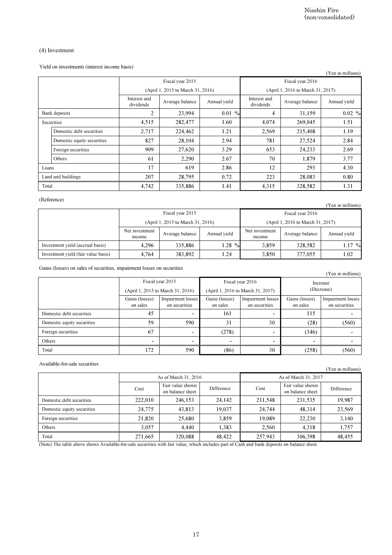## (4) Investment

|                                                                                                                                             |                              |                                      |                            |                                           |                                      | Nisshin Fire<br>(non-consolidated)        |
|---------------------------------------------------------------------------------------------------------------------------------------------|------------------------------|--------------------------------------|----------------------------|-------------------------------------------|--------------------------------------|-------------------------------------------|
| $(4)$ Investment                                                                                                                            |                              |                                      |                            |                                           |                                      |                                           |
| Yield on investments (interest income basis)                                                                                                |                              |                                      |                            |                                           |                                      | (Yen in millions)                         |
|                                                                                                                                             |                              | Fiscal year 2015                     |                            |                                           | Fiscal year 2016                     |                                           |
|                                                                                                                                             |                              | (April 1, 2015 to March 31, 2016)    |                            |                                           | (April 1, 2016 to March 31, 2017)    |                                           |
|                                                                                                                                             | Interest and<br>dividends    | Average balance                      | Annual yield               | Interest and<br>dividends                 | Average balance                      | Annual yield                              |
| Bank deposits                                                                                                                               | $\overline{2}$               | 23,994                               | $0.01\%$                   | $\overline{4}$                            | 31,159                               | $0.02\%$                                  |
| Securities                                                                                                                                  | 4,515                        | 282,477                              | 1.60                       | 4,074                                     | 269,045                              | 1.51                                      |
| Domestic debt securities                                                                                                                    | 2,717                        | 224,462                              | 1.21                       | 2,569                                     | 215,408                              | 1.19                                      |
| Domestic equity securities                                                                                                                  | 827                          | 28,104                               | 2.94                       | 781                                       | 27,524                               | 2.84                                      |
| Foreign securities                                                                                                                          | 909                          | 27,620                               | 3.29                       | 653                                       | 24,233                               | 2.69                                      |
| Others                                                                                                                                      | 61                           | 2,290                                | 2.67                       | 70                                        | 1,879                                | 3.77                                      |
| Loans                                                                                                                                       | 17                           | 619                                  | 2.86                       | 12                                        | 293                                  | 4.30                                      |
| Land and buildings                                                                                                                          | 207                          | 28,795                               | 0.72                       | 223                                       | 28,083                               | 0.80                                      |
| Total                                                                                                                                       | 4,742                        | 335,886                              | 1.41                       | 4,315                                     | 328,582                              | 1.31                                      |
| (Reference)                                                                                                                                 |                              |                                      |                            |                                           |                                      | (Yen in millions)                         |
|                                                                                                                                             |                              | Fiscal year 2015                     |                            |                                           | Fiscal year 2016                     |                                           |
|                                                                                                                                             |                              | (April 1, 2015 to March 31, 2016)    |                            |                                           | (April 1, 2016 to March 31, 2017)    |                                           |
|                                                                                                                                             | Net investment<br>income     | Average balance                      | Annual yield               | Net investment<br>income                  | Average balance                      | Annual yield                              |
| Investment yield (accrual basis)                                                                                                            | 4,296                        | 335,886                              | 1.28 %                     | 3,859                                     | 328,582                              | 1.17 %                                    |
| Investment yield (fair value basis)                                                                                                         | 4,764                        | 383,892                              | 1.24                       | 3,850                                     | 377,055                              | 1.02                                      |
| Gains (losses) on sales of securities, impairment losses on securities                                                                      |                              |                                      |                            |                                           |                                      | (Yen in millions)                         |
|                                                                                                                                             |                              | Fiscal year 2015                     |                            | Fiscal year 2016                          |                                      | Increase                                  |
|                                                                                                                                             |                              | (April 1, 2015 to March 31, 2016)    |                            | (April 1, 2016 to March 31, 2017)         |                                      | (Decrease)                                |
|                                                                                                                                             | Gains (losses)<br>on sales   | Impairment losses<br>on securities   | Gains (losses)<br>on sales | <b>Impairment</b> losses<br>on securities | Gains (losses)<br>on sales           | <b>Impairment</b> losses<br>on securities |
| Domestic debt securities                                                                                                                    | 45                           |                                      | 161                        | $\overline{\phantom{a}}$                  | 115                                  |                                           |
| Domestic equity securities                                                                                                                  | 59                           | 590                                  | 31                         | 30                                        | (28)                                 | (560)                                     |
| Foreign securities                                                                                                                          | 67                           |                                      | (278)                      | $\overline{\phantom{a}}$                  | (346)                                | $\overline{\phantom{a}}$                  |
| Others                                                                                                                                      | $\qquad \qquad \blacksquare$ |                                      |                            | ۰                                         |                                      |                                           |
| Total                                                                                                                                       | 172                          | 590                                  | (86)                       | 30                                        | (258)                                | (560)                                     |
| Available-for-sale securities                                                                                                               |                              |                                      |                            |                                           |                                      | (Yen in millions)                         |
|                                                                                                                                             |                              | As of March 31, 2016                 |                            |                                           | As of March 31, 2017                 |                                           |
|                                                                                                                                             | Cost                         | Fair value shown<br>on balance sheet | Difference                 | Cost                                      | Fair value shown<br>on balance sheet | Difference                                |
| Domestic debt securities                                                                                                                    | 222,010                      | 246,153                              | 24,142                     | 211,548                                   | 231,535                              | 19,987                                    |
| Domestic equity securities                                                                                                                  | 24,775                       | 43,813                               | 19,037                     | 24,744                                    | 48,314                               | 23,569                                    |
| Foreign securities                                                                                                                          | 21,820                       | 25,680                               | 3,859                      | 19,089                                    | 22,230                               | 3,140                                     |
| Others                                                                                                                                      | 3,057                        | 4,440                                | 1,383                      | 2,560                                     | 4,318                                | 1,757                                     |
| Total                                                                                                                                       | 271,665                      | 320,088                              | 48,422                     | 257,943                                   | 306,398                              | 48,455                                    |
| (Note) The table above shows Available-for-sale securities with fair value, which includes part of Cash and bank deposits on balance sheet. |                              |                                      |                            |                                           |                                      |                                           |

#### (Reference)

| , <sub>.</sub>                      |                                   |                 |              |                                   |                  | (Yen in millions) |  |
|-------------------------------------|-----------------------------------|-----------------|--------------|-----------------------------------|------------------|-------------------|--|
|                                     | Fiscal year 2015                  |                 |              |                                   | Fiscal year 2016 |                   |  |
|                                     | (April 1, 2015 to March 31, 2016) |                 |              | (April 1, 2016 to March 31, 2017) |                  |                   |  |
|                                     | Net investment<br>income          | Average balance | Annual yield | Net investment<br>income          | Average balance  | Annual vield      |  |
| Investment yield (accrual basis)    | 4.296                             | 335,886         | $1.28\,%$    | 3.859                             | 328,582          | $1.17\%$          |  |
| Investment yield (fair value basis) | 4,764                             | 383,892         | 1.24         | 3,850                             | 377,055          | 1.02              |  |

|                            |                                   |                                    |                                   |                                    |                            | (Yen in millions)                  |  |
|----------------------------|-----------------------------------|------------------------------------|-----------------------------------|------------------------------------|----------------------------|------------------------------------|--|
|                            |                                   | Fiscal year 2015                   |                                   | Fiscal year 2016                   |                            | Increase                           |  |
|                            | (April 1, 2015 to March 31, 2016) |                                    | (April 1, 2016 to March 31, 2017) |                                    | (Decrease)                 |                                    |  |
|                            | Gains (losses)<br>on sales        | Impairment losses<br>on securities | Gains (losses)<br>on sales        | Impairment losses<br>on securities | Gains (losses)<br>on sales | Impairment losses<br>on securities |  |
| Domestic debt securities   | 45                                |                                    | 161                               |                                    | 115                        |                                    |  |
| Domestic equity securities | 59                                | 590                                | 31                                | 30                                 | (28)                       | (560)                              |  |
| Foreign securities         | 67                                | ٠                                  | (278)                             | $\blacksquare$                     | (346)                      |                                    |  |
| Others                     | ٠                                 |                                    | ٠                                 | ٠                                  | ٠                          |                                    |  |
| Total                      | 172                               | 590                                | (86)                              | 30                                 | (258)                      | (560)                              |  |

#### Available-for-sale securities

|                            | As of March 31, 2016 |                                      |            | As of March 31, 2017 |                                      |            |  |
|----------------------------|----------------------|--------------------------------------|------------|----------------------|--------------------------------------|------------|--|
|                            | Cost                 | Fair value shown<br>on balance sheet | Difference | Cost                 | Fair value shown<br>on balance sheet | Difference |  |
| Domestic debt securities   | 222,010              | 246,153                              | 24.142     | 211,548              | 231,535                              | 19,987     |  |
| Domestic equity securities | 24,775               | 43,813                               | 19.037     | 24.744               | 48,314                               | 23,569     |  |
| Foreign securities         | 21.820               | 25.680                               | 3.859      | 19.089               | 22.230                               | 3,140      |  |
| Others                     | 3.057                | 4.440                                | 1.383      | 2.560                | 4.318                                | 1.757      |  |
| Total                      | 271.665              | 320.088                              | 48.422     | 257,943              | 306,398                              | 48.455     |  |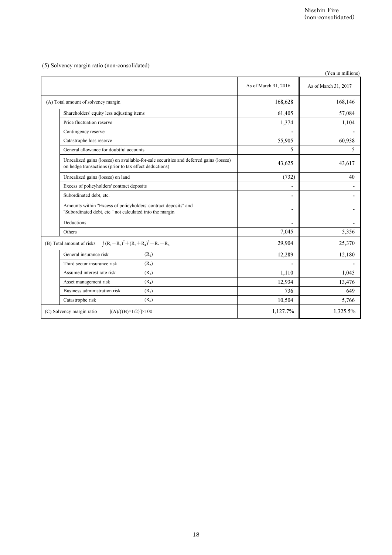|                                                                                                                                                  |                      | Nisshin Fire<br>(non-consolidated)        |
|--------------------------------------------------------------------------------------------------------------------------------------------------|----------------------|-------------------------------------------|
|                                                                                                                                                  |                      |                                           |
| (5) Solvency margin ratio (non-consolidated)                                                                                                     |                      |                                           |
|                                                                                                                                                  | As of March 31, 2016 | (Yen in millions)<br>As of March 31, 2017 |
| (A) Total amount of solvency margin                                                                                                              | 168,628              | 168,146                                   |
| Shareholders' equity less adjusting items                                                                                                        | 61,405               | 57,084                                    |
| Price fluctuation reserve                                                                                                                        | 1,374                | 1,104                                     |
| Contingency reserve                                                                                                                              |                      |                                           |
| Catastrophe loss reserve                                                                                                                         | 55,905               | 60,938                                    |
| General allowance for doubtful accounts                                                                                                          | 5                    | 5                                         |
| Unrealized gains (losses) on available-for-sale securities and deferred gains (losses)<br>on hedge transactions (prior to tax effect deductions) | 43,625               | 43,617                                    |
| Unrealized gains (losses) on land                                                                                                                | (732)                | 40                                        |
| Excess of policyholders' contract deposits                                                                                                       |                      |                                           |
| Subordinated debt, etc.                                                                                                                          | $\blacksquare$       | $\qquad \qquad \blacksquare$              |
| Amounts within "Excess of policyholders' contract deposits" and<br>"Subordinated debt, etc." not calculated into the margin                      |                      |                                           |
| Deductions                                                                                                                                       | $\blacksquare$       | -                                         |
| Others                                                                                                                                           | 7,045                | 5,356                                     |
| $\sqrt{(R_1+R_2)^2+(R_3+R_4)^2}+R_5+R_6$<br>(B) Total amount of risks                                                                            | 29,904               | 25,370                                    |
| General insurance risk<br>(R <sub>1</sub> )                                                                                                      | 12,289               | 12,180                                    |
| (R <sub>2</sub> )<br>Third sector insurance risk                                                                                                 |                      |                                           |
| Assumed interest rate risk<br>$(R_3)$                                                                                                            | 1,110                | 1,045                                     |
| Asset management risk<br>(R <sub>4</sub> )                                                                                                       | 12,934               | 13,476                                    |
| Business administration risk<br>$(R_5)$                                                                                                          | 736                  | 649                                       |
| Catastrophe risk<br>(R <sub>6</sub> )                                                                                                            | 10,504               | 5,766                                     |
| (C) Solvency margin ratio<br>$[(A) / {(B) \times 1/2}] \times 100$                                                                               | 1,127.7%             | 1,325.5%                                  |
|                                                                                                                                                  |                      |                                           |
| $18\,$                                                                                                                                           |                      |                                           |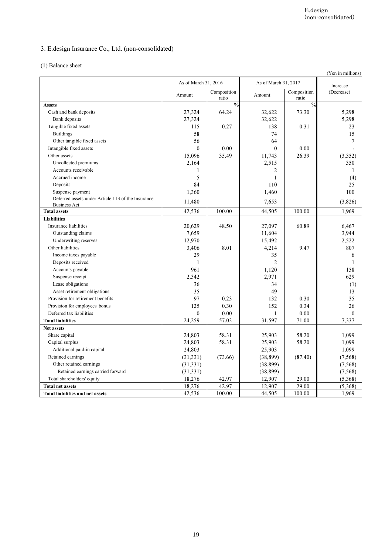# 3. E.design Insurance Co., Ltd. (non-consolidated)

## (1) Balance sheet

|                                                    |                                |                        |                                |                        | (Yen in millions)      |
|----------------------------------------------------|--------------------------------|------------------------|--------------------------------|------------------------|------------------------|
|                                                    | As of March 31, 2016<br>Amount | Composition            | As of March 31, 2017<br>Amount | Composition            | Increase<br>(Decrease) |
| <b>Assets</b>                                      |                                | ratio<br>$\frac{0}{2}$ |                                | ratio<br>$\frac{0}{2}$ |                        |
| Cash and bank deposits                             | 27,324                         | 64.24                  | 32,622                         | 73.30                  | 5,298                  |
| Bank deposits                                      | 27,324                         |                        | 32,622                         |                        | 5,298                  |
| Tangible fixed assets                              | 115                            | 0.27                   | 138                            | 0.31                   | 23                     |
| <b>Buildings</b>                                   | 58                             |                        | 74                             |                        | 15                     |
| Other tangible fixed assets                        | 56                             |                        | 64                             |                        | 7                      |
| Intangible fixed assets                            | $\theta$                       | 0.00                   | $\theta$                       | 0.00                   |                        |
| Other assets<br>Uncollected premiums               | 15,096                         | 35.49                  | 11,743                         | 26.39                  | (3,352)                |
| Accounts receivable                                | 2,164<br>1                     |                        | 2,515<br>$\overline{2}$        |                        | 350<br>1               |
| Accrued income                                     | 5                              |                        | $\mathbf{1}$                   |                        | (4)                    |
| Deposits                                           | 84                             |                        | 110                            |                        | 25                     |
| Suspense payment                                   | 1,360                          |                        | 1,460                          |                        | 100                    |
| Deferred assets under Article 113 of the Insurance | 11,480                         |                        | 7,653                          |                        | (3,826)                |
| <b>Business Act</b>                                |                                |                        |                                |                        |                        |
| <b>Total assets</b><br><b>Liabilities</b>          | 42,536                         | 100.00                 | 44,505                         | 100.00                 | 1,969                  |
| Insurance liabilities                              | 20,629                         | 48.50                  | 27,097                         | 60.89                  | 6,467                  |
| Outstanding claims                                 | 7,659                          |                        | 11,604                         |                        | 3,944                  |
| Underwriting reserves                              | 12,970                         |                        | 15,492                         |                        | 2,522                  |
| Other liabilities                                  | 3,406                          | 8.01                   | 4,214                          | 9.47                   | 807                    |
| Income taxes payable                               | 29                             |                        | 35                             |                        | 6                      |
| Deposits received                                  | 1                              |                        | $\overline{2}$                 |                        | 1                      |
| Accounts payable                                   | 961                            |                        | 1,120                          |                        | 158                    |
| Suspense receipt                                   | 2,342                          |                        | 2,971                          |                        | 629                    |
| Lease obligations<br>Asset retirement obligations  | 36<br>35                       |                        | 34<br>49                       |                        | (1)                    |
| Provision for retirement benefits                  | 97                             | 0.23                   | 132                            | 0.30                   | 13<br>35               |
| Provision for employees' bonus                     | 125                            | $0.30\,$               | 152                            | 0.34                   | 26                     |
| Deferred tax liabilities                           | $\boldsymbol{0}$               | $0.00\,$               | 1                              | 0.00                   | $\boldsymbol{0}$       |
| <b>Total liabilities</b>                           | 24,259                         | 57.03                  | 31,597                         | 71.00                  | 7,337                  |
| Net assets                                         |                                |                        |                                |                        |                        |
| Share capital                                      | 24,803                         | 58.31                  | 25,903                         | 58.20                  | 1,099                  |
| Capital surplus                                    | 24,803                         | 58.31                  | 25,903                         | 58.20                  | 1,099                  |
| Additional paid-in capital                         | 24,803                         |                        | 25,903                         |                        | 1,099                  |
| Retained earnings<br>Other retained earnings       | (31, 331)                      | (73.66)                | (38, 899)                      | (87.40)                | (7, 568)               |
| Retained earnings carried forward                  | (31, 331)<br>(31, 331)         |                        | (38, 899)<br>(38, 899)         |                        | (7, 568)<br>(7, 568)   |
| Total shareholders' equity                         | 18,276                         | 42.97                  | 12,907                         | 29.00                  | (5,368)                |
| <b>Total net assets</b>                            | 18,276                         | 42.97                  | 12,907                         | 29.00                  | (5,368)                |
| <b>Total liabilities and net assets</b>            | 42,536                         | 100.00                 | 44,505                         | $100.00\,$             | 1,969                  |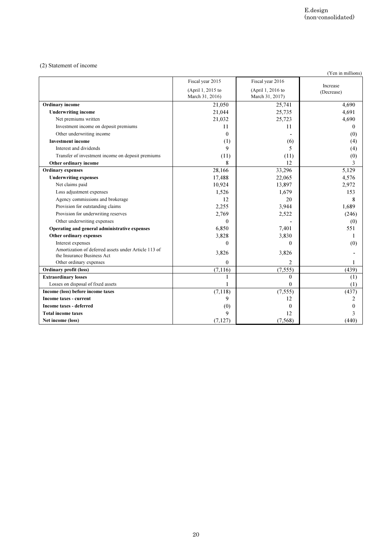### (2) Statement of income

|                                                                                    |                                                          |                                                          | (Yen in millions)         |
|------------------------------------------------------------------------------------|----------------------------------------------------------|----------------------------------------------------------|---------------------------|
|                                                                                    | Fiscal year 2015<br>(April 1, 2015 to<br>March 31, 2016) | Fiscal year 2016<br>(April 1, 2016 to<br>March 31, 2017) | Increase<br>(Decrease)    |
| Ordinary income                                                                    | 21,050                                                   | 25,741                                                   | 4,690                     |
| <b>Underwriting income</b>                                                         | 21,044                                                   | 25,735                                                   | 4,691                     |
| Net premiums written<br>Investment income on deposit premiums                      | 21,032<br>11                                             | 25,723<br>11                                             | 4,690<br>$\boldsymbol{0}$ |
| Other underwriting income                                                          | $\mathbf{0}$                                             |                                                          | (0)                       |
| <b>Investment</b> income                                                           | (1)                                                      | (6)                                                      | (4)                       |
| Interest and dividends                                                             | 9                                                        | 5                                                        | (4)                       |
| Transfer of investment income on deposit premiums                                  | (11)                                                     | (11)                                                     | (0)                       |
| Other ordinary income<br><b>Ordinary expenses</b>                                  | 8<br>28,166                                              | 12<br>33,296                                             | 3<br>5,129                |
| <b>Underwriting expenses</b>                                                       | 17,488                                                   | 22,065                                                   | 4,576                     |
| Net claims paid                                                                    | 10,924                                                   | 13,897                                                   | 2,972                     |
| Loss adjustment expenses                                                           | 1,526                                                    | 1,679                                                    | 153                       |
| Agency commissions and brokerage                                                   | 12                                                       | 20                                                       | 8                         |
| Provision for outstanding claims                                                   | 2,255                                                    | 3,944                                                    | 1,689                     |
| Provision for underwriting reserves<br>Other underwriting expenses                 | 2,769<br>$\boldsymbol{0}$                                | 2,522<br>٠                                               | (246)<br>(0)              |
| Operating and general administrative expenses                                      | 6,850                                                    | 7,401                                                    | 551                       |
| Other ordinary expenses                                                            | 3,828                                                    | 3,830                                                    | 1                         |
| Interest expenses                                                                  | $\mathbf{0}$                                             | $\mathbf{0}$                                             | (0)                       |
| Amortization of deferred assets under Article 113 of<br>the Insurance Business Act | 3,826                                                    | 3,826                                                    |                           |
| Other ordinary expenses                                                            | $\boldsymbol{0}$                                         | $\overline{2}$                                           | 1                         |
| Ordinary profit (loss)                                                             | (7, 116)                                                 | (7, 555)                                                 | (439)                     |
| <b>Extraordinary losses</b>                                                        | $\mathbf{1}$                                             | $\mathbf{0}$                                             | (1)                       |
| Losses on disposal of fixed assets<br>Income (loss) before income taxes            | 1<br>(7, 118)                                            | $\boldsymbol{0}$<br>(7, 555)                             | (1)<br>(437)              |
| Income taxes - current                                                             | 9                                                        | 12                                                       | $\overline{2}$            |
| Income taxes - deferred                                                            | (0)                                                      | $\boldsymbol{0}$                                         | $\boldsymbol{0}$          |
| <b>Total income taxes</b>                                                          | 9                                                        | 12                                                       | $\mathfrak{Z}$            |
| Net income (loss)                                                                  | (7, 127)                                                 | (7,568)                                                  | (440)                     |
|                                                                                    |                                                          |                                                          |                           |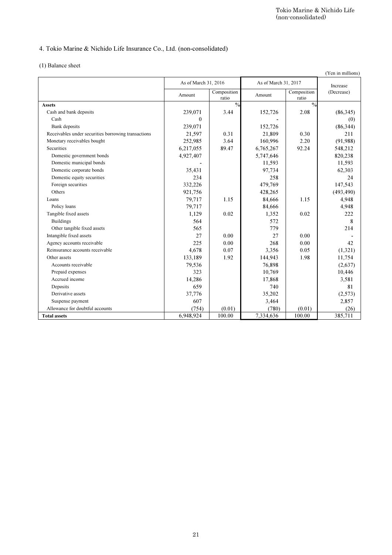# 4. Tokio Marine & Nichido Life Insurance Co., Ltd. (non-consolidated)

|                                                     |                                |                        |                                |                        |                       |  |  | (Yen in millions) |
|-----------------------------------------------------|--------------------------------|------------------------|--------------------------------|------------------------|-----------------------|--|--|-------------------|
|                                                     | As of March 31, 2016<br>Amount | Composition            | As of March 31, 2017<br>Amount | Increase<br>(Decrease) |                       |  |  |                   |
| <b>Assets</b>                                       |                                | ratio<br>$\frac{0}{0}$ |                                | ratio<br>$\frac{0}{0}$ |                       |  |  |                   |
| Cash and bank deposits                              | 239,071                        | 3.44                   | 152,726                        | 2.08                   | (86,345)              |  |  |                   |
| Cash                                                | $\boldsymbol{0}$               |                        |                                |                        | (0)                   |  |  |                   |
| Bank deposits                                       | 239,071                        |                        | 152,726                        |                        | (86, 344)             |  |  |                   |
| Receivables under securities borrowing transactions | 21,597                         | 0.31                   | 21,809                         | 0.30                   | 211                   |  |  |                   |
| Monetary receivables bought                         | 252,985                        | 3.64                   | 160,996                        | 2.20                   | (91, 988)             |  |  |                   |
| Securities                                          | 6,217,055                      | 89.47                  | 6,765,267                      | 92.24                  | 548,212               |  |  |                   |
| Domestic government bonds                           | 4,927,407                      |                        | 5,747,646                      |                        | 820,238               |  |  |                   |
| Domestic municipal bonds                            |                                |                        | 11,593                         |                        | 11,593                |  |  |                   |
| Domestic corporate bonds                            | 35,431                         |                        | 97,734                         |                        | 62,303                |  |  |                   |
| Domestic equity securities                          | 234                            |                        | 258                            |                        | 24                    |  |  |                   |
| Foreign securities<br>Others                        | 332,226<br>921,756             |                        | 479,769<br>428,265             |                        | 147,543<br>(493, 490) |  |  |                   |
| Loans                                               | 79,717                         | 1.15                   | 84,666                         | 1.15                   | 4,948                 |  |  |                   |
| Policy loans                                        | 79,717                         |                        | 84,666                         |                        | 4,948                 |  |  |                   |
| Tangible fixed assets                               | 1,129                          | 0.02                   | 1,352                          | 0.02                   | 222                   |  |  |                   |
| <b>Buildings</b>                                    | 564                            |                        | 572                            |                        | 8                     |  |  |                   |
| Other tangible fixed assets                         | 565                            |                        | 779                            |                        | 214                   |  |  |                   |
| Intangible fixed assets                             | 27                             | 0.00                   | 27                             | 0.00                   |                       |  |  |                   |
| Agency accounts receivable                          | 225                            | 0.00                   | 268                            | 0.00                   | 42                    |  |  |                   |
| Reinsurance accounts receivable                     | 4,678                          | 0.07                   | 3,356                          | 0.05                   | (1,321)               |  |  |                   |
| Other assets                                        | 133,189                        | 1.92                   | 144,943                        | 1.98                   | 11,754                |  |  |                   |
| Accounts receivable                                 | 79,536                         |                        | 76,898                         |                        | (2,637)               |  |  |                   |
| Prepaid expenses                                    | 323                            |                        | 10,769                         |                        | 10,446                |  |  |                   |
| Accrued income                                      | 14,286                         |                        | 17,868                         |                        | 3,581                 |  |  |                   |
| Deposits<br>Derivative assets                       | 659<br>37,776                  |                        | 740<br>35,202                  |                        | 81<br>(2,573)         |  |  |                   |
| Suspense payment                                    | 607                            |                        | 3,464                          |                        | 2,857                 |  |  |                   |
| Allowance for doubtful accounts                     | (754)                          | (0.01)                 | (780)                          | (0.01)                 | (26)                  |  |  |                   |
| <b>Total assets</b>                                 | 6,948,924                      | 100.00                 | 7,334,636                      | 100.00                 | 385,711               |  |  |                   |
|                                                     |                                |                        |                                |                        |                       |  |  |                   |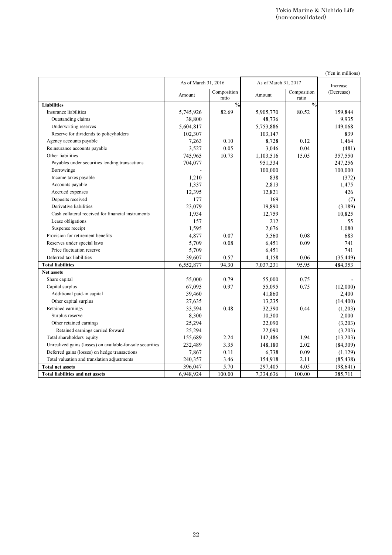|                                                                                          |                                |                      |                                | (non-consolidated)   | Tokio Marine & Nichido Life |
|------------------------------------------------------------------------------------------|--------------------------------|----------------------|--------------------------------|----------------------|-----------------------------|
|                                                                                          |                                |                      |                                |                      |                             |
|                                                                                          |                                |                      |                                |                      |                             |
|                                                                                          |                                |                      |                                |                      |                             |
|                                                                                          |                                |                      |                                |                      | (Yen in millions)           |
|                                                                                          | As of March 31, 2016<br>Amount | Composition<br>ratio | As of March 31, 2017<br>Amount | Composition<br>ratio | Increase<br>(Decrease)      |
| <b>Liabilities</b>                                                                       |                                | $\frac{0}{0}$        |                                | $\frac{0}{0}$        |                             |
| <b>Insurance liabilities</b>                                                             | 5,745,926                      | 82.69                | 5,905,770                      | 80.52                | 159,844                     |
| Outstanding claims<br>Underwriting reserves                                              | 38,800<br>5,604,817            |                      | 48,736<br>5,753,886            |                      | 9,935<br>149,068            |
| Reserve for dividends to policyholders                                                   | 102,307                        |                      | 103,147                        |                      | 839                         |
| Agency accounts payable                                                                  | 7,263                          | 0.10                 | 8,728                          | 0.12                 | 1,464                       |
| Reinsurance accounts payable                                                             | 3,527                          | 0.05                 | 3,046                          | 0.04                 | (481)                       |
| Other liabilities                                                                        | 745,965                        | 10.73                | 1,103,516                      | 15.05                | 357,550                     |
| Payables under securities lending transactions<br>Borrowings                             | 704,077                        |                      | 951,334<br>100,000             |                      | 247,256<br>100,000          |
| Income taxes payable                                                                     | 1,210                          |                      | 838                            |                      | (372)                       |
| Accounts payable                                                                         | 1,337                          |                      | 2,813                          |                      | 1,475                       |
| Accrued expenses                                                                         | 12,395                         |                      | 12,821                         |                      | 426                         |
| Deposits received                                                                        | 177                            |                      | 169                            |                      | (7)                         |
| Derivative liabilities                                                                   | 23,079                         |                      | 19,890                         |                      | (3,189)                     |
| Cash collateral received for financial instruments                                       | 1,934                          |                      | 12,759                         |                      | 10,825                      |
| Lease obligations<br>Suspense receipt                                                    | 157<br>1,595                   |                      | 212<br>2,676                   |                      | 55<br>1,080                 |
| Provision for retirement benefits                                                        | 4,877                          | 0.07                 | 5,560                          | 0.08                 | 683                         |
| Reserves under special laws                                                              | 5,709                          | 0.08                 | 6,451                          | 0.09                 | 741                         |
| Price fluctuation reserve                                                                | 5,709                          |                      | 6,451                          |                      | 741                         |
| Deferred tax liabilities                                                                 | 39,607                         | 0.57                 | 4,158                          | 0.06                 | (35, 449)                   |
| <b>Total liabilities</b>                                                                 | 6,552,877                      | 94.30                | 7,037,231                      | 95.95                | 484,353                     |
| Net assets                                                                               |                                |                      |                                |                      |                             |
| Share capital<br>Capital surplus                                                         | 55,000<br>67,095               | 0.79<br>0.97         | 55,000<br>55,095               | 0.75<br>0.75         | (12,000)                    |
| Additional paid-in capital                                                               | 39,460                         |                      | 41,860                         |                      | 2,400                       |
| Other capital surplus                                                                    | 27,635                         |                      | 13,235                         |                      | (14, 400)                   |
| Retained earnings                                                                        | 33,594                         | $0.48\,$             | 32,390                         | 0.44                 | (1,203)                     |
| Surplus reserve                                                                          | 8,300                          |                      | 10,300                         |                      | 2,000                       |
| Other retained earnings                                                                  | 25,294                         |                      | 22,090                         |                      | (3,203)                     |
| Retained earnings carried forward                                                        | 25,294                         |                      | 22,090                         |                      | (3,203)                     |
| Total shareholders' equity<br>Unrealized gains (losses) on available-for-sale securities | 155,689                        | 2.24                 | 142,486                        | 1.94                 | (13,203)                    |
| Deferred gains (losses) on hedge transactions                                            | 232,489<br>7,867               | 3.35<br>0.11         | 148,180<br>6,738               | 2.02<br>$0.09\,$     | (84,309)<br>(1,129)         |
| Total valuation and translation adjustments                                              | 240,357                        | 3.46                 | 154,918                        | 2.11                 | (85, 438)                   |
| <b>Total net assets</b>                                                                  | 396,047                        | 5.70                 | 297,405                        | 4.05                 | (98, 641)                   |
| <b>Total liabilities and net assets</b>                                                  | 6,948,924                      | 100.00               | 7,334,636                      | 100.00               | 385,711                     |
|                                                                                          |                                |                      |                                |                      |                             |
|                                                                                          | $22\,$                         |                      |                                |                      |                             |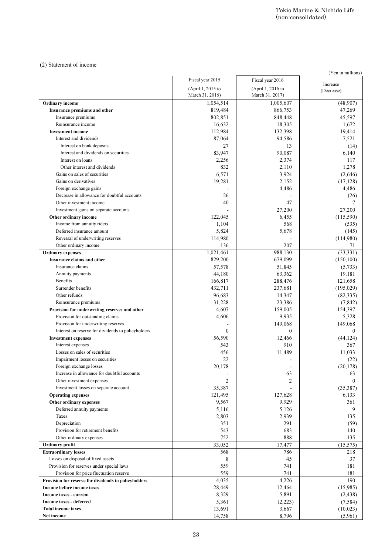#### (2) Statement of income

|                                                                       |                                      | (non-consolidated)                   |                        |
|-----------------------------------------------------------------------|--------------------------------------|--------------------------------------|------------------------|
|                                                                       |                                      |                                      |                        |
|                                                                       |                                      |                                      |                        |
| (2) Statement of income                                               |                                      |                                      | (Yen in millions)      |
|                                                                       | Fiscal year 2015                     | Fiscal year 2016                     |                        |
|                                                                       | (April 1, 2015 to<br>March 31, 2016) | (April 1, 2016 to<br>March 31, 2017) | Increase<br>(Decrease) |
| Ordinary income                                                       | 1,054,514                            | 1,005,607                            | (48,907)               |
| Insurance premiums and other                                          | 819,484                              | 866,753                              | 47,269                 |
| Insurance premiums<br>Reinsurance income                              | 802,851<br>16,632                    | 848,448<br>18,305                    | 45,597<br>1,672        |
| <b>Investment</b> income                                              | 112,984                              | 132,398                              | 19,414                 |
| Interest and dividends                                                | 87,064                               | 94,586                               | 7,521                  |
| Interest on bank deposits                                             | 27                                   | 13                                   | (14)                   |
| Interest and dividends on securities                                  | 83,947                               | 90,087                               | 6,140                  |
| Interest on loans                                                     | 2,256                                | 2,374                                | 117                    |
| Other interest and dividends                                          | 832                                  | 2,110                                | 1,278                  |
| Gains on sales of securities                                          | 6,571                                | 3,924                                | (2,646)                |
| Gains on derivatives                                                  | 19,281                               | 2,152                                | (17, 128)<br>4,486     |
| Foreign exchange gains<br>Decrease in allowance for doubtful accounts | 26                                   | 4,486                                | (26)                   |
| Other investment income                                               | 40                                   | 47                                   | 7                      |
| Investment gains on separate accounts                                 |                                      | 27,200                               | 27,200                 |
| Other ordinary income                                                 | 122,045                              | 6,455                                | (115,590)              |
| Income from annuity riders                                            | 1,104                                | 568                                  | (535)                  |
| Deferred insurance amount                                             | 5,824                                | 5,678                                | (145)                  |
| Reversal of underwriting reserves                                     | 114,980                              |                                      | (114,980)              |
| Other ordinary income                                                 | 136                                  | 207                                  | 71                     |
| <b>Ordinary</b> expenses                                              | 1,021,461                            | 988,130                              | (33, 331)              |
| Insurance claims and other<br>Insurance claims                        | 829,200<br>57,578                    | 679,099                              | (150, 100)             |
| Annuity payments                                                      | 44,180                               | 51,845<br>63,362                     | (5,733)<br>19,181      |
| Benefits                                                              | 166,817                              | 288,476                              | 121,658                |
| Surrender benefits                                                    | 432,711                              | 237,681                              | (195, 029)             |
| Other refunds                                                         | 96,683                               | 14,347                               | (82, 335)              |
| Reinsurance premiums                                                  | 31,228                               | 23,386                               | (7, 842)               |
| Provision for underwriting reserves and other                         | 4,607                                | 159,005                              | 154,397                |
| Provision for outstanding claims                                      | 4,606                                | 9,935                                | 5,328                  |
| Provision for underwriting reserves                                   |                                      | 149,068                              | 149,068                |
| Interest on reserve for dividends to policyholders                    | $\mathbf{0}$                         | $\Omega$                             | $\mathbf{0}$           |
| <b>Investment expenses</b>                                            | 56,590                               | 12,466                               | (44, 124)              |
| Interest expenses<br>Losses on sales of securities                    | 543<br>456                           | 910<br>11,489                        | 367<br>11,033          |
| Impairment losses on securities                                       | 22                                   |                                      | (22)                   |
| Foreign exchange losses                                               | 20,178                               |                                      | (20, 178)              |
| Increase in allowance for doubtful accounts                           |                                      | 63                                   | 63                     |
| Other investment expenses                                             | 2                                    | 2                                    | $\mathbf{0}$           |
| Investment losses on separate account                                 | 35,387                               |                                      | (35, 387)              |
| <b>Operating expenses</b>                                             | 121,495                              | 127,628                              | 6,133                  |
| Other ordinary expenses                                               | 9,567                                | 9,929                                | 361                    |
| Deferred annuity payments                                             | 5,116                                | 5,126                                | 9                      |
| Taxes<br>Depreciation                                                 | 2,803<br>351                         | 2,939<br>291                         | 135<br>(59)            |
| Provision for retirement benefits                                     | 543                                  | 683                                  | 140                    |
| Other ordinary expenses                                               | 752                                  | 888                                  | 135                    |
| Ordinary profit                                                       | 33,052                               | 17,477                               | (15, 575)              |
| <b>Extraordinary losses</b>                                           | 568                                  | 786                                  | 218                    |
| Losses on disposal of fixed assets                                    | 8                                    | 45                                   | 37                     |
| Provision for reserves under special laws                             | 559                                  | 741                                  | 181                    |
| Provision for price fluctuation reserve                               | 559                                  | 741                                  | 181                    |
| Provision for reserve for dividends to policyholders                  | 4,035                                | 4,226                                | 190                    |
| Income before income taxes<br>Income taxes - current                  | 28,449<br>8,329                      | 12,464<br>5,891                      | (15,985)<br>(2, 438)   |
| Income taxes - deferred                                               | 5,361                                | (2,223)                              | (7,584)                |
| <b>Total income taxes</b>                                             | 13,691                               | 3,667                                | (10,023)               |
| Net income                                                            | 14,758                               | 8,796                                | (5,961)                |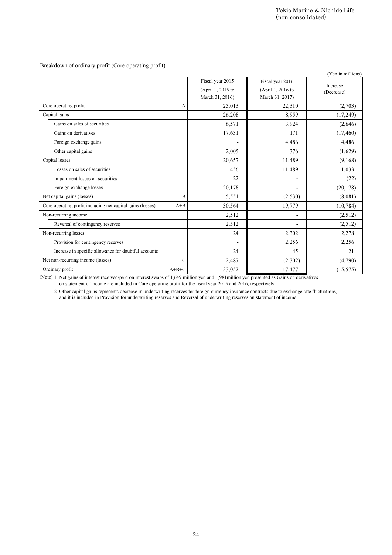|                                                                                                                         |                           | (non-consolidated)        |                   |
|-------------------------------------------------------------------------------------------------------------------------|---------------------------|---------------------------|-------------------|
|                                                                                                                         |                           |                           |                   |
|                                                                                                                         |                           |                           |                   |
|                                                                                                                         |                           |                           |                   |
| Breakdown of ordinary profit (Core operating profit)                                                                    |                           |                           |                   |
|                                                                                                                         |                           |                           | (Yen in millions) |
|                                                                                                                         | Fiscal year 2015          | Fiscal year 2016          | Increase          |
|                                                                                                                         | (April 1, 2015 to         | (April 1, 2016 to         | (Decrease)        |
| Core operating profit<br>A                                                                                              | March 31, 2016)<br>25,013 | March 31, 2017)<br>22,310 | (2,703)           |
| Capital gains                                                                                                           | 26,208                    | 8,959                     | (17,249)          |
| Gains on sales of securities                                                                                            | 6,571                     | 3,924                     | (2,646)           |
| Gains on derivatives                                                                                                    | 17,631                    | 171                       | (17, 460)         |
| Foreign exchange gains                                                                                                  |                           | 4,486                     | 4,486             |
| Other capital gains                                                                                                     | 2,005                     | 376                       | (1,629)           |
| Capital losses                                                                                                          | 20,657                    | 11,489                    | (9,168)           |
| Losses on sales of securities                                                                                           | 456                       | 11,489                    | 11,033            |
| Impairment losses on securities                                                                                         | 22                        |                           | (22)              |
| Foreign exchange losses                                                                                                 | 20,178                    |                           | (20, 178)         |
| Net capital gains (losses)<br>$\mathbf B$                                                                               | 5,551                     | (2,530)                   | (8,081)           |
| Core operating profit including net capital gains (losses)<br>$A + B$                                                   | 30,564                    | 19,779                    | (10, 784)         |
| Non-recurring income                                                                                                    | 2,512                     | $\overline{\phantom{a}}$  | (2,512)           |
| Reversal of contingency reserves                                                                                        | 2,512                     | $\overline{a}$            | (2,512)           |
| Non-recurring losses                                                                                                    | 24                        | 2,302                     | 2,278             |
| Provision for contingency reserves                                                                                      | $\blacksquare$            | 2,256                     | 2,256             |
| Increase in specific allowance for doubtful accounts                                                                    | 24                        | 45                        | 21                |
| $\mathcal{C}$<br>Net non-recurring income (losses)                                                                      | 2,487                     | (2,302)                   | (4,790)           |
| and it is included in Provision for underwriting reserves and Reversal of underwriting reserves on statement of income. |                           |                           |                   |
|                                                                                                                         |                           |                           |                   |
|                                                                                                                         |                           |                           |                   |
|                                                                                                                         |                           |                           |                   |
|                                                                                                                         |                           |                           |                   |
|                                                                                                                         |                           |                           |                   |
|                                                                                                                         |                           |                           |                   |
|                                                                                                                         |                           |                           |                   |
|                                                                                                                         |                           |                           |                   |
|                                                                                                                         |                           |                           |                   |
|                                                                                                                         |                           |                           |                   |
|                                                                                                                         |                           |                           |                   |
|                                                                                                                         |                           |                           |                   |
|                                                                                                                         |                           |                           |                   |
|                                                                                                                         |                           |                           |                   |
|                                                                                                                         |                           |                           |                   |
|                                                                                                                         |                           |                           |                   |
|                                                                                                                         |                           |                           |                   |
|                                                                                                                         |                           |                           |                   |
|                                                                                                                         |                           |                           |                   |
|                                                                                                                         |                           |                           |                   |
|                                                                                                                         |                           |                           |                   |
|                                                                                                                         |                           |                           |                   |
|                                                                                                                         |                           |                           |                   |
|                                                                                                                         |                           |                           |                   |
|                                                                                                                         | $\sqrt{24}$               |                           |                   |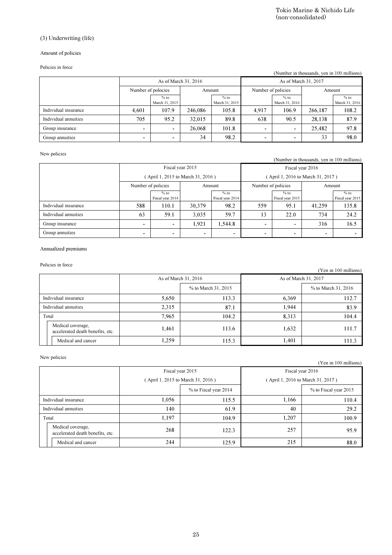## (3) Underwriting (life)

#### Amount of policies

#### Policies in force

| (Number in thousands, yen in 100 millions) |                    |                          |         |                          |                    |                          |         |                          |  |  |
|--------------------------------------------|--------------------|--------------------------|---------|--------------------------|--------------------|--------------------------|---------|--------------------------|--|--|
|                                            |                    | As of March 31, 2016     |         |                          |                    | As of March 31, 2017     |         |                          |  |  |
|                                            | Number of polocies |                          | Amount  |                          | Number of policies |                          |         | Amount                   |  |  |
|                                            |                    | $%$ to<br>March 31, 2015 |         | $%$ to<br>March 31, 2015 |                    | $%$ to<br>March 31, 2016 |         | $%$ to<br>March 31, 2016 |  |  |
| Individual insurance                       | 4.601              | 107.9                    | 246,086 | 105.8                    | 4.917              | 106.9                    | 266.187 | 108.2                    |  |  |
| Individual annuities                       | 705                | 95.2                     | 32,015  | 89.8                     | 638                | 90.5                     | 28.138  | 87.9                     |  |  |
| Group insurance                            | ۰                  | $\overline{\phantom{0}}$ | 26,068  | 101.8                    | -                  | -                        | 25.482  | 97.8                     |  |  |
| Group annuities                            | ۰                  | $\overline{\phantom{0}}$ | 34      | 98.2                     | -                  | -                        | 33      | 98.0                     |  |  |

#### New policies

|                      | Fiscal year 2015                 |                            |        |                            | Fiscal year 2016                  |                            |                |                            |  |
|----------------------|----------------------------------|----------------------------|--------|----------------------------|-----------------------------------|----------------------------|----------------|----------------------------|--|
|                      | April 1, 2015 to March 31, 2016) |                            |        |                            | (April 1, 2016 to March 31, 2017) |                            |                |                            |  |
|                      | Number of policies               |                            | Amount |                            | Number of policies                |                            |                | Amount                     |  |
|                      |                                  | $%$ to<br>Fiscal year 2014 |        | $%$ to<br>Fiscal year 2014 |                                   | $%$ to<br>Fiscal year 2015 |                | $%$ to<br>Fiscal year 2015 |  |
| Individual insurance | 588                              | 110.1                      | 30,379 | 98.2                       | 559                               | 95.1                       | 41,259         | 135.8                      |  |
| Individual annuities | 63                               | 59.1                       | 3,035  | 59.7                       | 13                                | 22.0                       | 734            | 24.2                       |  |
| Group insurance      | ۰                                | ۰                          | 1,921  | 1.544.8                    | ۰                                 |                            | 316            | 16.5                       |  |
| Group annuities      | ۰                                | $\blacksquare$             | ۰      | $\blacksquare$             | ۰                                 | ۰                          | $\blacksquare$ |                            |  |

### Annualized premiums

### Policies in force

|                      | T ANCICS IN IOILE                                     |       |                      |       | (Yen in 100 millions) |
|----------------------|-------------------------------------------------------|-------|----------------------|-------|-----------------------|
|                      |                                                       |       | As of March 31, 2016 |       | As of March 31, 2017  |
|                      |                                                       |       | % to March 31, 2015  |       | % to March 31, 2016   |
| Individual insurance |                                                       | 5,650 | 113.3                | 6,369 | 112.7                 |
| Individual annuities |                                                       | 2,315 | 87.1                 | 1,944 | 83.9                  |
|                      | Total                                                 | 7,965 | 104.2                | 8.313 | 104.4                 |
|                      | Medical coverage,<br>accelerated death benefits, etc. | 1,461 | 113.6                | 1,632 | 111.7                 |
|                      | Medical and cancer                                    | 1,259 | 115.3                | 1,401 | 111.3                 |

### New policies

|       |                                                       |                                                |                                                |                                   |                             |                                                | (non-consolidated)                                   | Tokio Marine & Nichido Life |                                            |
|-------|-------------------------------------------------------|------------------------------------------------|------------------------------------------------|-----------------------------------|-----------------------------|------------------------------------------------|------------------------------------------------------|-----------------------------|--------------------------------------------|
|       | (3) Underwriting (life)                               |                                                |                                                |                                   |                             |                                                |                                                      |                             |                                            |
|       | Amount of policies                                    |                                                |                                                |                                   |                             |                                                |                                                      |                             |                                            |
|       | Policies in force                                     |                                                |                                                |                                   |                             |                                                |                                                      |                             |                                            |
|       |                                                       |                                                |                                                |                                   |                             |                                                |                                                      |                             | (Number in thousands, yen in 100 millions) |
|       |                                                       |                                                | As of March 31, 2016                           |                                   |                             |                                                | As of March 31, 2017                                 |                             |                                            |
|       |                                                       | Number of polocies                             | $%$ to                                         |                                   | Amount<br>$\%$ to           | Number of policies                             | $\%$ to                                              |                             | Amount<br>$%$ to                           |
|       |                                                       |                                                | March 31, 2015                                 |                                   | March 31, 2015              |                                                | March 31, 2016                                       |                             | March 31, 2016                             |
|       | Individual insurance                                  | 4,601                                          | 107.9                                          | 246,086                           | 105.8                       | 4,917                                          | 106.9                                                | 266,187                     | 108.2                                      |
|       | Individual annuities                                  | 705                                            | 95.2                                           | 32,015                            | 89.8                        | 638                                            | 90.5                                                 | 28,138                      | 87.9                                       |
|       | Group insurance<br>Group annuities                    | $\qquad \qquad \blacksquare$<br>$\overline{a}$ | $\qquad \qquad \blacksquare$<br>$\blacksquare$ | 26,068<br>34                      | 101.8<br>98.2               | $\qquad \qquad \blacksquare$<br>$\blacksquare$ | $\overline{\phantom{a}}$<br>$\overline{\phantom{a}}$ | 25,482<br>33                | 97.8<br>98.0                               |
|       |                                                       |                                                |                                                |                                   |                             |                                                |                                                      |                             |                                            |
|       | New policies                                          |                                                |                                                |                                   |                             |                                                |                                                      |                             | (Number in thousands, yen in 100 millions) |
|       |                                                       |                                                | Fiscal year 2015                               |                                   |                             |                                                | Fiscal year 2016                                     |                             |                                            |
|       |                                                       |                                                |                                                | (April 1, 2015 to March 31, 2016) |                             |                                                | (April 1, 2016 to March 31, 2017)                    |                             |                                            |
|       |                                                       | Number of policies                             |                                                |                                   | Amount                      | Number of policies                             |                                                      |                             | Amount                                     |
|       |                                                       |                                                | $\%$ to<br>Fiscal year 2014                    |                                   | $\%$ to<br>Fiscal year 2014 |                                                | $%$ to<br>Fiscal year 2015                           |                             | $%$ to<br>Fiscal year 2015                 |
|       | Individual insurance                                  | 588                                            | 110.1                                          | 30,379                            | 98.2                        | 559                                            | 95.1                                                 | 41,259                      | 135.8                                      |
|       | Individual annuities                                  | 63                                             | 59.1                                           | 3,035                             | 59.7                        | 13                                             | 22.0                                                 | 734                         | 24.2                                       |
|       | Group insurance                                       | $\overline{\phantom{a}}$                       | $\overline{\phantom{a}}$                       | 1,921                             | 1,544.8                     | $\qquad \qquad \blacksquare$                   | $\overline{\phantom{a}}$                             | 316                         | 16.5                                       |
|       | Group annuities                                       | $\overline{a}$                                 | $\overline{a}$                                 | $\frac{1}{2}$                     |                             | $\overline{a}$                                 | ÷,                                                   | $\blacksquare$              | $\blacksquare$                             |
|       | Policies in force                                     |                                                | As of March 31, 2016                           |                                   |                             |                                                | As of March 31, 2017                                 |                             | (Yen in 100 millions)                      |
|       |                                                       |                                                |                                                |                                   | % to March 31, 2015         |                                                |                                                      |                             | % to March 31, 2016                        |
|       | Individual insurance                                  |                                                | 5,650                                          | 113.3                             |                             | 6,369                                          |                                                      |                             | 112.7                                      |
|       | Individual annuities                                  |                                                | 2,315                                          | 87.1                              |                             | 1,944                                          |                                                      |                             | 83.9                                       |
| Total |                                                       |                                                | 7,965                                          |                                   | 104.2                       |                                                | 8,313                                                |                             | 104.4                                      |
|       | Medical coverage,<br>accelerated death benefits, etc. |                                                | 1,461                                          |                                   | 113.6                       |                                                | 1,632                                                |                             | 111.7                                      |
|       | Medical and cancer                                    |                                                | 1,259                                          |                                   | 115.3                       |                                                | 1,401                                                |                             | 111.3                                      |
|       | New policies                                          |                                                |                                                |                                   |                             |                                                |                                                      |                             | (Yen in 100 millions)                      |
|       |                                                       |                                                | Fiscal year 2015                               |                                   |                             |                                                | Fiscal year 2016                                     |                             |                                            |
|       |                                                       |                                                |                                                | (April 1, 2015 to March 31, 2016) |                             |                                                | (April 1, 2016 to March 31, 2017)                    |                             |                                            |
|       |                                                       |                                                |                                                |                                   | % to Fiscal year 2014       |                                                |                                                      | % to Fiscal year 2015       |                                            |
|       | Individual insurance                                  |                                                | 1,056                                          |                                   | 115.5                       |                                                | 1,166                                                |                             | 110.4                                      |
|       | Individual annuities                                  |                                                | 140                                            |                                   | 61.9                        |                                                | 40                                                   |                             | 29.2                                       |
| Total |                                                       |                                                | 1,197                                          |                                   | 104.9                       |                                                | 1,207                                                |                             | 100.9                                      |
|       | Medical coverage,<br>accelerated death benefits, etc. |                                                | 268                                            |                                   | 122.3                       |                                                | 257                                                  |                             | 95.9                                       |
|       | Medical and cancer                                    |                                                | 244                                            |                                   | 125.9                       |                                                | 215                                                  |                             | 88.0                                       |
|       |                                                       |                                                |                                                |                                   |                             |                                                |                                                      |                             |                                            |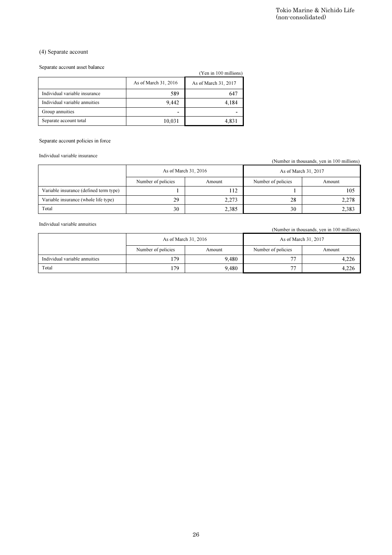### (4) Separate account

#### Separate account asset balance

|                               |                      | (Yen in 100 millions) |
|-------------------------------|----------------------|-----------------------|
|                               | As of March 31, 2016 | As of March 31, 2017  |
| Individual variable insurance | 589                  | 647                   |
| Individual variable annuities | 9.442                | 4,184                 |
| Group annuities               |                      |                       |
| Separate account total        | 10,031               | 4,831                 |

#### Separate account policies in force

|                                        |                          |                       | (non-consolidated)   | Tokio Marine & Nichido Life                |
|----------------------------------------|--------------------------|-----------------------|----------------------|--------------------------------------------|
|                                        |                          |                       |                      |                                            |
|                                        |                          |                       |                      |                                            |
| (4) Separate account                   |                          |                       |                      |                                            |
| Separate account asset balance         |                          |                       |                      |                                            |
|                                        |                          | (Yen in 100 millions) |                      |                                            |
|                                        | As of March 31, 2016     | As of March 31, 2017  |                      |                                            |
| Individual variable insurance          | 589                      | 647                   |                      |                                            |
| Individual variable annuities          | 9,442                    | 4,184                 |                      |                                            |
| Group annuities                        | $\overline{\phantom{a}}$ | $\blacksquare$        |                      |                                            |
| Separate account total                 | 10,031                   | 4,831                 |                      |                                            |
|                                        |                          |                       |                      |                                            |
| Separate account policies in force     |                          |                       |                      |                                            |
|                                        |                          |                       |                      |                                            |
| Individual variable insurance          |                          |                       |                      | (Number in thousands, yen in 100 millions) |
|                                        |                          | As of March 31, 2016  | As of March 31, 2017 |                                            |
|                                        | Number of policies       | Amount                | Number of policies   | Amount                                     |
| Variable insurance (defined term type) | $\mathbf{1}$             | 112                   | $\mathbf{1}$         | 105                                        |
| Variable insurance (whole life type)   | 29                       | 2,273                 | 28                   | 2,278                                      |
| Total                                  | 30                       | 2,385                 | 30                   | 2,383                                      |
|                                        |                          |                       |                      |                                            |
| Individual variable annuities          |                          |                       |                      | (Number in thousands, yen in 100 millions) |
|                                        |                          | As of March 31, 2016  | As of March 31, 2017 |                                            |
|                                        |                          |                       |                      |                                            |
|                                        | Number of policies       | Amount                | Number of policies   | Amount                                     |
| Individual variable annuities<br>Total | 179<br>179               | 9,480<br>9,480        | $77\,$<br>$77\,$     | 4,226<br>4,226                             |
|                                        |                          |                       |                      |                                            |
|                                        |                          |                       |                      |                                            |
|                                        |                          | ${\bf 26}$            |                      |                                            |

|                               |                    | As of March 31, 2016 | As of March 31, 2017     |        |  |
|-------------------------------|--------------------|----------------------|--------------------------|--------|--|
|                               | Number of policies | Amount               | Number of policies       | Amount |  |
| Individual variable annuities | 179                | 9.480                | $\overline{\phantom{a}}$ | 4,226  |  |
| Total                         | 179                | 9,480                | $\overline{\phantom{a}}$ | 4.226  |  |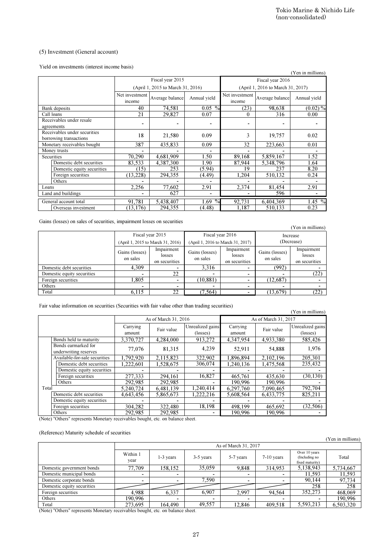#### (5) Investment (General account)

| (5) Investment (General account)                                                                                                                                                                                                                                 |                            |                                            |                                   |                                                |                                   |                                |                                                                                              |
|------------------------------------------------------------------------------------------------------------------------------------------------------------------------------------------------------------------------------------------------------------------|----------------------------|--------------------------------------------|-----------------------------------|------------------------------------------------|-----------------------------------|--------------------------------|----------------------------------------------------------------------------------------------|
| Yield on investments (interest income basis)                                                                                                                                                                                                                     |                            |                                            |                                   |                                                |                                   | (Yen in millions)              |                                                                                              |
|                                                                                                                                                                                                                                                                  |                            | Fiscal year 2015                           |                                   |                                                | Fiscal year 2016                  |                                |                                                                                              |
|                                                                                                                                                                                                                                                                  |                            | (April 1, 2015 to March 31, 2016)          |                                   |                                                | (April 1, 2016 to March 31, 2017) |                                |                                                                                              |
|                                                                                                                                                                                                                                                                  | Net investment<br>income   | Average balance                            | Annual yield                      | Net investment<br>income                       | Average balance                   | Annual yield                   |                                                                                              |
| Bank deposits<br>Call loans                                                                                                                                                                                                                                      | 40<br>21                   | 74,581<br>29,827                           | $0.05\%$<br>0.07                  | (23)<br>0                                      | 98,638<br>316                     | $(0.02)\%$<br>0.00             |                                                                                              |
| Receivables under resale                                                                                                                                                                                                                                         | $\blacksquare$             |                                            | $\overline{a}$                    |                                                |                                   |                                |                                                                                              |
| agreements<br>Receivables under securities                                                                                                                                                                                                                       |                            |                                            |                                   |                                                |                                   |                                |                                                                                              |
| borrowing transactions                                                                                                                                                                                                                                           | 18                         | 21,580                                     | 0.09                              | 3                                              | 19,757                            | 0.02                           |                                                                                              |
| Monetary receivables bought<br>Money trusts                                                                                                                                                                                                                      | 387<br>$\blacksquare$      | 435,833                                    | 0.09<br>$\overline{a}$            | 32<br>$\blacksquare$                           | 223,663                           | 0.01                           |                                                                                              |
| Securities                                                                                                                                                                                                                                                       | 70,290                     | 4.681.909                                  | 1.50                              | 89,168                                         | 5,859,167                         | 1.52                           |                                                                                              |
| Domestic debt securities<br>Domestic equity securities                                                                                                                                                                                                           | 83,533<br>(15)             | 4,387,300<br>253                           | 1.90<br>(5.94)                    | 87,944<br>19                                   | 5,348,796<br>237                  | 1.64<br>8.20                   |                                                                                              |
| Foreign securities<br>Others                                                                                                                                                                                                                                     | (13,228)                   | 294,355                                    | (4.49)                            | 1,204                                          | 510,132                           | 0.24                           |                                                                                              |
| Loans<br>Land and buildings                                                                                                                                                                                                                                      | 2.256                      | 77,602<br>627                              | 2.91                              | 2,374                                          | 81,454<br>596                     | 2.91                           |                                                                                              |
| General account total                                                                                                                                                                                                                                            | 91,781                     | 5,438,407                                  | 1.69 $%$                          | 92,731                                         | 6,404,369                         | $1.\overline{45\%}$            |                                                                                              |
| Overseas investment                                                                                                                                                                                                                                              | (13, 176)                  | 294,355                                    | (4.48)                            | 1,187                                          | 510,133                           | 0.23                           |                                                                                              |
| Gains (losses) on sales of securities, impairment losses on securities                                                                                                                                                                                           |                            |                                            |                                   |                                                |                                   | (Yen in millions)              |                                                                                              |
|                                                                                                                                                                                                                                                                  |                            | Fiscal year 2015                           | Fiscal year 2016                  |                                                | Increase                          |                                |                                                                                              |
|                                                                                                                                                                                                                                                                  |                            | (April 1, 2015 to March 31, 2016)          | (April 1, 2016 to March 31, 2017) |                                                | (Decrease)                        |                                |                                                                                              |
|                                                                                                                                                                                                                                                                  |                            |                                            |                                   |                                                |                                   |                                |                                                                                              |
|                                                                                                                                                                                                                                                                  | Gains (losses)<br>on sales | Impairment<br>losses                       | Gains (losses)<br>on sales        | Impairment<br>losses                           | Gains (losses)<br>on sales        | Impairment<br>losses           |                                                                                              |
| Domestic debt securities                                                                                                                                                                                                                                         | 4,309                      | on securities                              | 3,316                             | on securities                                  | (992)                             | on securities                  |                                                                                              |
| Domestic equity securities                                                                                                                                                                                                                                       |                            | 22                                         |                                   | $\overline{a}$                                 |                                   | (22)                           |                                                                                              |
| Foreign securities<br>Others                                                                                                                                                                                                                                     | 1,805                      | $\overline{\phantom{a}}$<br>$\blacksquare$ | (10, 881)                         | $\blacksquare$<br>$\qquad \qquad \blacksquare$ | (12,687)                          | ۰<br>$\blacksquare$            |                                                                                              |
|                                                                                                                                                                                                                                                                  | 6.115                      | 22                                         | (7, 564)                          |                                                | (13,679)                          | (22)                           |                                                                                              |
|                                                                                                                                                                                                                                                                  |                            |                                            |                                   |                                                |                                   |                                |                                                                                              |
|                                                                                                                                                                                                                                                                  |                            |                                            |                                   |                                                |                                   | (Yen in millions)              |                                                                                              |
| Total                                                                                                                                                                                                                                                            | Carrying                   | As of March 31, 2016                       | Unrealized gains                  | Carrying                                       | As of March 31, 2017              | Unrealized gains               |                                                                                              |
|                                                                                                                                                                                                                                                                  | amount                     | Fair value                                 | (losses)                          | amount                                         | Fair value                        | (losses)                       |                                                                                              |
| Bonds held to maturity                                                                                                                                                                                                                                           | 3,370,727                  | 4,284,000                                  | 913,272                           | 4,347,954                                      | 4,933,380                         | 585,426                        |                                                                                              |
| Bonds earmarked for<br>underwriting reserves                                                                                                                                                                                                                     | 77,076                     | 81,315                                     | 4,239                             | 52,911                                         | 54,888                            | 1,976                          |                                                                                              |
| Available-for-sale securities                                                                                                                                                                                                                                    | 1,792,920                  | 2,115,823                                  | 322,902                           | 1,896,894                                      | 2,102,196                         | 205,301                        |                                                                                              |
| Domestic debt securities<br>Domestic equity securities                                                                                                                                                                                                           | 1,222,601                  | 1,528,675                                  | 306,074                           | 1,240,136                                      | 1,475,568                         | 235,432                        |                                                                                              |
| Foreign securities                                                                                                                                                                                                                                               | 277,333                    | 294,161                                    | 16,827                            | 465,761                                        | 435,630                           | (30, 130)                      |                                                                                              |
| Others                                                                                                                                                                                                                                                           | 292,985                    | 292,985                                    |                                   | 190,996                                        | 190,996                           |                                |                                                                                              |
| Total<br>Domestic debt securities                                                                                                                                                                                                                                | 5.240.724<br>4,643,456     | 6,481,139<br>5,865,673                     | 1,240,414<br>1,222,216            | 6,297,760<br>5,608,564                         | 7,090,465<br>6,433,775            | 792,704<br>825,211             |                                                                                              |
| Domestic equity securities                                                                                                                                                                                                                                       |                            |                                            |                                   |                                                |                                   |                                |                                                                                              |
| Foreign securities<br>Others                                                                                                                                                                                                                                     | 304,282<br>292,985         | 322,480<br>292,985                         | 18,198                            | 498,199<br>190,996                             | 465,692<br>190,996                | (32, 506)                      |                                                                                              |
|                                                                                                                                                                                                                                                                  |                            |                                            |                                   |                                                |                                   |                                |                                                                                              |
|                                                                                                                                                                                                                                                                  |                            |                                            |                                   |                                                |                                   |                                |                                                                                              |
|                                                                                                                                                                                                                                                                  | Within 1                   |                                            |                                   | As of March 31, 2017                           |                                   | Over 10 years<br>(Including no |                                                                                              |
|                                                                                                                                                                                                                                                                  | year                       | 1-3 years                                  | 3-5 years                         | 5-7 years                                      | 7-10 years                        | fixed maturity)                |                                                                                              |
| Domestic government bonds<br>Domestic municipal bonds                                                                                                                                                                                                            | 77,709<br>٠                | 158,152<br>۰                               | 35,059                            | 9,848<br>۰                                     | 314,953                           | 5,138,943<br>11,593            |                                                                                              |
| Domestic corporate bonds                                                                                                                                                                                                                                         | $\overline{\phantom{a}}$   | $\overline{\phantom{a}}$                   | 7,590                             | $\overline{\phantom{0}}$                       | ٠                                 | 90,144                         |                                                                                              |
| Domestic equity securities                                                                                                                                                                                                                                       |                            |                                            |                                   |                                                |                                   | 258                            |                                                                                              |
| Fair value information on securities (Securities with fair value other than trading securities)<br>(Note) "Others" represents Monetary receivables bought, etc. on balance sheet.<br>(Reference) Maturity schedule of securities<br>Foreign securities<br>Others | 4,988<br>190,996           | 6,337<br>164,490                           | 6,907<br>49,557                   | 2,997<br>12,846                                | 94,564<br>409,518                 | 352,273<br>5,593,213           | (Yen in million<br>Total<br>5,734,667<br>11,593<br>97,734<br>468,069<br>190,996<br>6,503,320 |

|                            |                                                       |                                       |                            |                                                       |                            | (Yen in millions)                     |  |
|----------------------------|-------------------------------------------------------|---------------------------------------|----------------------------|-------------------------------------------------------|----------------------------|---------------------------------------|--|
|                            | Fiscal year 2015<br>(April 1, 2015 to March 31, 2016) |                                       |                            | Fiscal year 2016<br>(April 1, 2016 to March 31, 2017) |                            | Increase<br>(Decrease)                |  |
|                            | Gains (losses)<br>on sales                            | Impairment<br>losses<br>on securities | Gains (losses)<br>on sales | Impairment<br>losses<br>on securities                 | Gains (losses)<br>on sales | Impairment<br>losses<br>on securities |  |
| Domestic debt securities   | 4.309                                                 | $\overline{\phantom{a}}$              | 3.316                      |                                                       | (992)                      |                                       |  |
| Domestic equity securities | -                                                     | 22                                    | ۰                          |                                                       |                            | (22)                                  |  |
| Foreign securities         | .805                                                  | ۰                                     | (10, 881)                  |                                                       | (12,687)                   |                                       |  |
| Others                     |                                                       |                                       |                            |                                                       |                            |                                       |  |
| Total                      | 6.115                                                 | 22                                    | (7.564)                    |                                                       | (13,679)                   | $^{(22)}$                             |  |

|       | ran value information on securities (Securities with fair value other than trading securities) |                    |                      |                                       |                      |            | (Yen in millions)            |
|-------|------------------------------------------------------------------------------------------------|--------------------|----------------------|---------------------------------------|----------------------|------------|------------------------------|
|       |                                                                                                |                    | As of March 31, 2016 |                                       | As of March 31, 2017 |            |                              |
|       |                                                                                                | Carrying<br>amount | Fair value           | Unrealized gains<br>$(\text{losses})$ | Carrying<br>amount   | Fair value | Unrealized gains<br>(losses) |
|       | Bonds held to maturity                                                                         | 3.370.727          | 4.284.000            | 913,272                               | 4.347.954            | 4.933.380  | 585,426                      |
|       | Bonds earmarked for<br>underwriting reserves                                                   | 77.076             | 81,315               | 4,239                                 | 52,911               | 54,888     | 1,976                        |
|       | Available-for-sale securities                                                                  | 1.792.920          | 2.115.823            | 322,902                               | 1.896.894            | 2,102,196  | 205,301                      |
|       | Domestic debt securities                                                                       | 1.222.601          | 1.528.675            | 306,074                               | 1.240.136            | 1,475,568  | 235,432                      |
|       | Domestic equity securities                                                                     |                    |                      |                                       |                      |            |                              |
|       | Foreign securities                                                                             | 277.333            | 294.161              | 16.827                                | 465.761              | 435.630    | (30.130)                     |
|       | Others                                                                                         | 292,985            | 292,985              |                                       | 190.996              | 190,996    |                              |
| Total |                                                                                                | 5.240.724          | 6.481.139            | 1.240.414                             | 6.297.760            | 7.090.465  | 792,704                      |
|       | Domestic debt securities                                                                       | 4.643.456          | 5,865,673            | 1.222.216                             | 5,608,564            | 6,433,775  | 825,211                      |
|       | Domestic equity securities                                                                     |                    |                      |                                       |                      |            |                              |
|       | Foreign securities                                                                             | 304.282            | 322,480              | 18,198                                | 498.199              | 465,692    | (32, 506)                    |
|       | Others                                                                                         | 292,985            | 292,985              |                                       | 190.996              | 190.996    |                              |

#### (Reference) Maturity schedule of securities

| .                          |                          |             |             |                          |              |                                                   | (Yen in millions) |
|----------------------------|--------------------------|-------------|-------------|--------------------------|--------------|---------------------------------------------------|-------------------|
|                            | As of March 31, 2017     |             |             |                          |              |                                                   |                   |
|                            | Within 1<br>vear         | $1-3$ years | 3-5 years   | 5-7 years                | $7-10$ years | Over 10 years<br>(Including no<br>fixed maturity) | Total             |
| Domestic government bonds  | 77,709                   | 158,152     | 35,059      | 9.848                    | 314,953      | 5,138,943                                         | 5,734,667         |
| Domestic municipal bonds   | $\overline{\phantom{a}}$ | ۰           |             |                          |              | 11,593                                            | 11,593            |
| Domestic corporate bonds   |                          |             | 7.590       |                          |              | 90.144                                            | 97,734            |
| Domestic equity securities |                          |             |             |                          |              | 258                                               | 258               |
| Foreign securities         | 4,988                    | 6,337       | 6.907       | 2.997                    | 94,564       | 352,273                                           | 468,069           |
| Others                     | 190.996                  | ٠           | <b>1999</b> | $\overline{\phantom{a}}$ |              |                                                   | 190.996           |
| Total                      | 273,695                  | 164.490     | 49,557      | 12.846                   | 409.518      | 5,593,213                                         | 6,503,320         |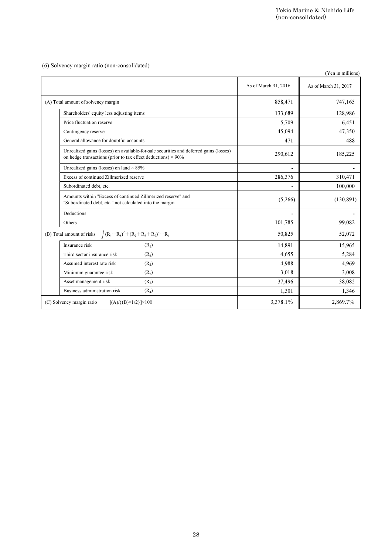|                                                                                                                                                               |                          | Tokio Marine & Nichido Life<br>(non-consolidated) |
|---------------------------------------------------------------------------------------------------------------------------------------------------------------|--------------------------|---------------------------------------------------|
|                                                                                                                                                               |                          |                                                   |
| (6) Solvency margin ratio (non-consolidated)                                                                                                                  |                          | (Yen in millions)                                 |
|                                                                                                                                                               | As of March 31, 2016     | As of March 31, 2017                              |
| (A) Total amount of solvency margin                                                                                                                           | 858,471                  | 747,165                                           |
| Shareholders' equity less adjusting items                                                                                                                     | 133,689                  | 128,986                                           |
| Price fluctuation reserve                                                                                                                                     | 5,709                    | 6,451                                             |
| Contingency reserve                                                                                                                                           | 45,094                   | 47,350                                            |
| General allowance for doubtful accounts                                                                                                                       | 471                      | 488                                               |
| Unrealized gains (losses) on available-for-sale securities and deferred gains (losses)<br>on hedge transactions (prior to tax effect deductions) $\times$ 90% | 290,612                  | 185,225                                           |
| Unrealized gains (losses) on land $\times$ 85%                                                                                                                | $\overline{\phantom{a}}$ |                                                   |
| Excess of continued Zillmerized reserve                                                                                                                       | 286,376                  | 310,471                                           |
| Subordinated debt, etc.                                                                                                                                       |                          | 100,000                                           |
| Amounts within "Excess of continued Zillmerized reserve" and<br>"Subordinated debt, etc." not calculated into the margin                                      | (5,266)                  | (130, 891)                                        |
| Deductions                                                                                                                                                    |                          |                                                   |
| Others                                                                                                                                                        | 101,785                  | 99,082                                            |
| $\int (R_1 + R_8)^2 + (R_2 + R_3 + R_7)^2 + R_4$<br>(B) Total amount of risks                                                                                 | 50,825                   | 52,072                                            |
| Insurance risk<br>(R <sub>1</sub> )                                                                                                                           | 14,891                   | 15,965                                            |
| Third sector insurance risk<br>$(R_8)$                                                                                                                        | 4,655                    | 5,284                                             |
| Assumed interest rate risk<br>(R <sub>2</sub> )                                                                                                               | 4,988                    | 4,969                                             |
| Minimum guarantee risk<br>$(R_7)$                                                                                                                             | 3,018                    | 3,008                                             |
| Asset management risk<br>$(R_3)$                                                                                                                              | 37,496                   | 38,082                                            |
| Business administration risk<br>$(R_4)$<br>(C) Solvency margin ratio<br>$[(A) / {(B) \times 1/2}] \times 100$                                                 | 1,301<br>3,378.1%        | 1,346<br>2,869.7%                                 |
|                                                                                                                                                               |                          |                                                   |
|                                                                                                                                                               |                          |                                                   |
|                                                                                                                                                               |                          |                                                   |
|                                                                                                                                                               |                          |                                                   |
|                                                                                                                                                               |                          |                                                   |
|                                                                                                                                                               |                          |                                                   |
|                                                                                                                                                               |                          |                                                   |
|                                                                                                                                                               |                          |                                                   |
|                                                                                                                                                               |                          |                                                   |
| ${\bf 28}$                                                                                                                                                    |                          |                                                   |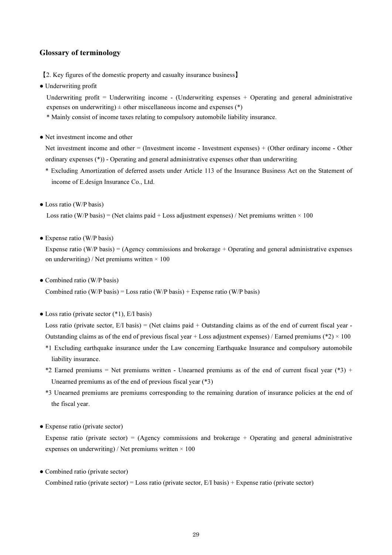### Glossary of terminology

【2. Key figures of the domestic property and casualty insurance business】

• Underwriting profit

Underwriting profit = Underwriting income - (Underwriting expenses  $+$  Operating and general administrative expenses on underwriting)  $\pm$  other miscellaneous income and expenses (\*)

- \* Mainly consist of income taxes relating to compulsory automobile liability insurance.
- Net investment income and other

Net investment income and other = (Investment income - Investment expenses) + (Other ordinary income - Other ordinary expenses (\*)) - Operating and general administrative expenses other than underwriting

- \* Excluding Amortization of deferred assets under Article 113 of the Insurance Business Act on the Statement of income of E.design Insurance Co., Ltd.
- Loss ratio (W/P basis)

Loss ratio (W/P basis) = (Net claims paid + Loss adjustment expenses) / Net premiums written  $\times$  100

• Expense ratio (W/P basis)

Expense ratio (W/P basis) = (Agency commissions and brokerage + Operating and general administrative expenses on underwriting) / Net premiums written  $\times$  100

• Combined ratio (W/P basis)

Combined ratio (W/P basis) = Loss ratio (W/P basis) + Expense ratio (W/P basis)

 $\bullet$  Loss ratio (private sector  $(*1)$ , E/I basis)

Loss ratio (private sector,  $E/I$  basis) = (Net claims paid + Outstanding claims as of the end of current fiscal year -Outstanding claims as of the end of previous fiscal year + Loss adjustment expenses) / Earned premiums (\*2)  $\times$  100

- \*1 Excluding earthquake insurance under the Law concerning Earthquake Insurance and compulsory automobile liability insurance.
- \*2 Earned premiums = Net premiums written Unearned premiums as of the end of current fiscal year (\*3) + Unearned premiums as of the end of previous fiscal year (\*3)
- \*3 Unearned premiums are premiums corresponding to the remaining duration of insurance policies at the end of the fiscal year.
- Expense ratio (private sector)

Expense ratio (private sector) = (Agency commissions and brokerage + Operating and general administrative expenses on underwriting) / Net premiums written  $\times$  100

• Combined ratio (private sector)

Combined ratio (private sector) = Loss ratio (private sector,  $E/I$  basis) + Expense ratio (private sector)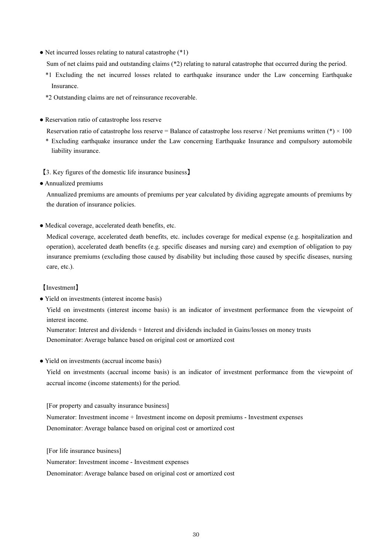• Net incurred losses relating to natural catastrophe (\*1)

Sum of net claims paid and outstanding claims (\*2) relating to natural catastrophe that occurred during the period.

- \*1 Excluding the net incurred losses related to earthquake insurance under the Law concerning Earthquake Insurance.
- \*2 Outstanding claims are net of reinsurance recoverable.
- Reservation ratio of catastrophe loss reserve

Reservation ratio of catastrophe loss reserve = Balance of catastrophe loss reserve / Net premiums written (\*)  $\times$  100

- \* Excluding earthquake insurance under the Law concerning Earthquake Insurance and compulsory automobile liability insurance.
- 【3. Key figures of the domestic life insurance business】
- Annualized premiums

Annualized premiums are amounts of premiums per year calculated by dividing aggregate amounts of premiums by the duration of insurance policies.

● Medical coverage, accelerated death benefits, etc.

Medical coverage, accelerated death benefits, etc. includes coverage for medical expense (e.g. hospitalization and operation), accelerated death benefits (e.g. specific diseases and nursing care) and exemption of obligation to pay insurance premiums (excluding those caused by disability but including those caused by specific diseases, nursing care, etc.).

### 【Investment】

● Yield on investments (interest income basis)

Yield on investments (interest income basis) is an indicator of investment performance from the viewpoint of interest income.

Numerator: Interest and dividends + Interest and dividends included in Gains/losses on money trusts Denominator: Average balance based on original cost or amortized cost

● Yield on investments (accrual income basis)

Yield on investments (accrual income basis) is an indicator of investment performance from the viewpoint of accrual income (income statements) for the period.

[For property and casualty insurance business] Numerator: Investment income + Investment income on deposit premiums - Investment expenses Denominator: Average balance based on original cost or amortized cost

[For life insurance business]

Numerator: Investment income - Investment expenses

Denominator: Average balance based on original cost or amortized cost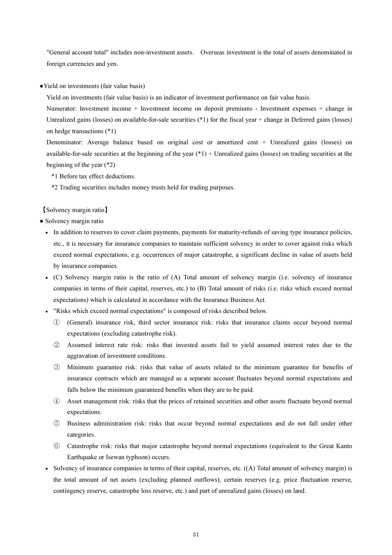"General account total" includes non-investment assets. Overseas investment is the total of assets denominated in foreign currencies and yen.

●Yield on investments (fair value basis)

Yield on investments (fair value basis) is an indicator of investment performance on fair value basis.

Numerator: Investment income + Investment income on deposit premiums - Investment expenses + change in Unrealized gains (losses) on available-for-sale securities  $(*1)$  for the fiscal year + change in Deferred gains (losses) on hedge transactions (\*1)

Denominator: Average balance based on original cost or amortized cost + Unrealized gains (losses) on available-for-sale securities at the beginning of the year  $(*1)$  + Unrealized gains (losses) on trading securities at the beginning of the year (\*2)

\*1 Before tax effect deductions.

\*2 Trading securities includes money trusts held for trading purposes.

#### 【Solvency margin ratio】

• Solvency margin ratio

- In addition to reserves to cover claim payments, payments for maturity-refunds of saving type insurance policies, etc., it is necessary for insurance companies to maintain sufficient solvency in order to cover against risks which exceed normal expectations, e.g. occurrences of major catastrophe, a significant decline in value of assets held by insurance companies.
- (C) Solvency margin ratio is the ratio of (A) Total amount of solvency margin (i.e. solvency of insurance companies in terms of their capital, reserves, etc.) to (B) Total amount of risks (i.e. risks which exceed normal expectations) which is calculated in accordance with the Insurance Business Act.
- "Risks which exceed normal expectations" is composed of risks described below.
	- ① (General) insurance risk, third sector insurance risk: risks that insurance claims occur beyond normal expectations (excluding catastrophe risk).
	- ② Assumed interest rate risk: risks that invested assets fail to yield assumed interest rates due to the aggravation of investment conditions.
	- ③ Minimum guarantee risk: risks that value of assets related to the minimum guarantee for benefits of insurance contracts which are managed as a separate account fluctuates beyond normal expectations and falls below the minimum guaranteed benefits when they are to be paid.
	- ④ Asset management risk: risks that the prices of retained securities and other assets fluctuate beyond normal expectations.
	- ⑤ Business administration risk: risks that occur beyond normal expectations and do not fall under other categories.
	- ⑥ Catastrophe risk: risks that major catastrophe beyond normal expectations (equivalent to the Great Kanto Earthquake or Isewan typhoon) occurs.
- Solvency of insurance companies in terms of their capital, reserves, etc. ((A) Total amount of solvency margin) is the total amount of net assets (excluding planned outflows), certain reserves (e.g. price fluctuation reserve, contingency reserve, catastrophe loss reserve, etc.) and part of unrealized gains (losses) on land.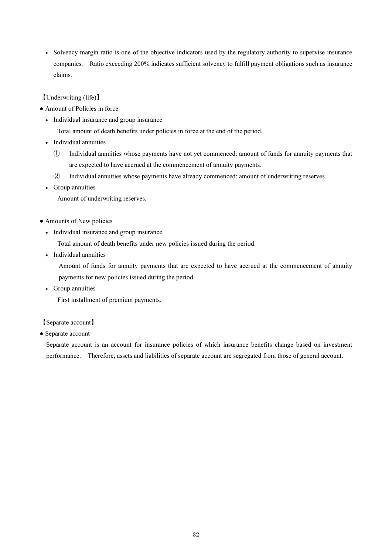• Solvency margin ratio is one of the objective indicators used by the regulatory authority to supervise insurance companies. Ratio exceeding 200% indicates sufficient solvency to fulfill payment obligations such as insurance claims.

【Underwriting (life)】

- Amount of Policies in force
	- Individual insurance and group insurance

Total amount of death benefits under policies in force at the end of the period.

- Individual annuities
	- ① Individual annuities whose payments have not yet commenced: amount of funds for annuity payments that are expected to have accrued at the commencement of annuity payments.
	- ② Individual annuities whose payments have already commenced: amount of underwriting reserves.
- Group annuities

Amount of underwriting reserves.

- Amounts of New policies
	- Individual insurance and group insurance

Total amount of death benefits under new policies issued during the period.

• Individual annuities

Amount of funds for annuity payments that are expected to have accrued at the commencement of annuity payments for new policies issued during the period.

• Group annuities

First installment of premium payments.

### 【Separate account】

• Separate account

Separate account is an account for insurance policies of which insurance benefits change based on investment performance. Therefore, assets and liabilities of separate account are segregated from those of general account.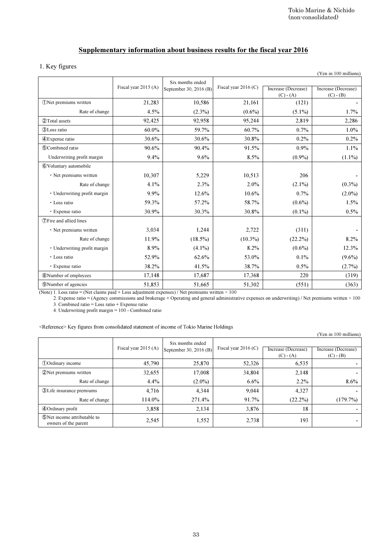# Supplementary information about business results for the fiscal year 2016

### 1. Key figures

| Fiscal year 2015 (A)<br>21,283<br>4.5%<br>92,425<br>60.0%<br>30.6%<br>90.6%<br>9.4%<br>10,307 | Six months ended<br>September 30, 2016 (B)<br>10,586<br>$(2.3\%)$<br>92,958<br>59.7%<br>30.6%<br>90.4%<br>9.6%                            | Fiscal year 2016 (C)<br>21,161<br>$(0.6\%)$<br>95,244<br>60.7%<br>30.8%<br>91.5%<br>8.5% | Increase (Decrease)<br>$(C) - (A)$<br>(121)<br>$(5.1\%)$<br>2,819<br>0.7%<br>0.2%<br>0.9%                                                                                                                              | Increase (Decrease)<br>$(C) - (B)$<br>1.7%<br>2,286<br>1.0%<br>0.2%<br>1.1%                                                                                            |
|-----------------------------------------------------------------------------------------------|-------------------------------------------------------------------------------------------------------------------------------------------|------------------------------------------------------------------------------------------|------------------------------------------------------------------------------------------------------------------------------------------------------------------------------------------------------------------------|------------------------------------------------------------------------------------------------------------------------------------------------------------------------|
|                                                                                               |                                                                                                                                           |                                                                                          |                                                                                                                                                                                                                        |                                                                                                                                                                        |
|                                                                                               |                                                                                                                                           |                                                                                          |                                                                                                                                                                                                                        |                                                                                                                                                                        |
|                                                                                               |                                                                                                                                           |                                                                                          |                                                                                                                                                                                                                        |                                                                                                                                                                        |
|                                                                                               |                                                                                                                                           |                                                                                          |                                                                                                                                                                                                                        |                                                                                                                                                                        |
|                                                                                               |                                                                                                                                           |                                                                                          |                                                                                                                                                                                                                        |                                                                                                                                                                        |
|                                                                                               |                                                                                                                                           |                                                                                          |                                                                                                                                                                                                                        |                                                                                                                                                                        |
|                                                                                               |                                                                                                                                           |                                                                                          |                                                                                                                                                                                                                        |                                                                                                                                                                        |
|                                                                                               |                                                                                                                                           |                                                                                          | $(0.9\%)$                                                                                                                                                                                                              | $(1.1\%)$                                                                                                                                                              |
|                                                                                               |                                                                                                                                           |                                                                                          |                                                                                                                                                                                                                        |                                                                                                                                                                        |
|                                                                                               | 5,229                                                                                                                                     | 10,513                                                                                   | 206                                                                                                                                                                                                                    |                                                                                                                                                                        |
| 4.1%                                                                                          | 2.3%                                                                                                                                      | 2.0%                                                                                     | $(2.1\%)$                                                                                                                                                                                                              | $(0.3\%)$                                                                                                                                                              |
| 9.9%                                                                                          | 12.6%                                                                                                                                     | 10.6%                                                                                    | 0.7%                                                                                                                                                                                                                   | $(2.0\%)$                                                                                                                                                              |
|                                                                                               |                                                                                                                                           |                                                                                          |                                                                                                                                                                                                                        | 1.5%                                                                                                                                                                   |
| 30.9%                                                                                         | 30.3%                                                                                                                                     | 30.8%                                                                                    | $(0.1\%)$                                                                                                                                                                                                              | $0.5\%$                                                                                                                                                                |
|                                                                                               |                                                                                                                                           |                                                                                          |                                                                                                                                                                                                                        |                                                                                                                                                                        |
| 3,034                                                                                         | 1,244                                                                                                                                     | 2,722                                                                                    | (311)                                                                                                                                                                                                                  |                                                                                                                                                                        |
| 11.9%                                                                                         | $(18.5\%)$                                                                                                                                | $(10.3\%)$                                                                               | $(22.2\%)$                                                                                                                                                                                                             | 8.2%                                                                                                                                                                   |
| 8.9%                                                                                          | $(4.1\%)$                                                                                                                                 | 8.2%                                                                                     | $(0.6\%)$                                                                                                                                                                                                              | 12.3%                                                                                                                                                                  |
| 52.9%                                                                                         | 62.6%                                                                                                                                     | 53.0%                                                                                    | 0.1%                                                                                                                                                                                                                   | $(9.6\%)$                                                                                                                                                              |
| 38.2%                                                                                         | 41.5%                                                                                                                                     | 38.7%                                                                                    | 0.5%                                                                                                                                                                                                                   | (2.7%)                                                                                                                                                                 |
| 17,148                                                                                        | 17,687                                                                                                                                    | 17,368                                                                                   | 220                                                                                                                                                                                                                    | (319)                                                                                                                                                                  |
| 51,853                                                                                        | 51,665                                                                                                                                    | 51,302                                                                                   | (551)                                                                                                                                                                                                                  | (363)                                                                                                                                                                  |
|                                                                                               |                                                                                                                                           |                                                                                          |                                                                                                                                                                                                                        |                                                                                                                                                                        |
|                                                                                               |                                                                                                                                           |                                                                                          |                                                                                                                                                                                                                        | (Yen in 100 millions)                                                                                                                                                  |
|                                                                                               | September 30, 2016 (B)                                                                                                                    | Fiscal year 2016 (C)                                                                     | Increase (Decrease)<br>$(C) - (A)$                                                                                                                                                                                     | Increase (Decrease)<br>$(C) - (B)$                                                                                                                                     |
|                                                                                               |                                                                                                                                           |                                                                                          |                                                                                                                                                                                                                        |                                                                                                                                                                        |
| 45,790                                                                                        | 25,870                                                                                                                                    | 52,326                                                                                   | 6,535                                                                                                                                                                                                                  | $\blacksquare$                                                                                                                                                         |
| 32,655                                                                                        | 17,008                                                                                                                                    | 34,804                                                                                   | 2,148                                                                                                                                                                                                                  |                                                                                                                                                                        |
| 4.4%                                                                                          | $(2.0\%)$                                                                                                                                 | 6.6%                                                                                     | 2.2%                                                                                                                                                                                                                   | $8.6\%$                                                                                                                                                                |
| 4,716                                                                                         | 4,344                                                                                                                                     | 9,044                                                                                    | 4,327                                                                                                                                                                                                                  |                                                                                                                                                                        |
| 114.0%                                                                                        | 271.4%                                                                                                                                    | 91.7%                                                                                    | (22.2%)                                                                                                                                                                                                                | (179.7%)                                                                                                                                                               |
| 3,858                                                                                         | 2,134                                                                                                                                     | 3,876                                                                                    | 18                                                                                                                                                                                                                     | ۰                                                                                                                                                                      |
|                                                                                               | 59.3%<br>3. Combined ratio = Loss ratio + Expense ratio<br>4. Underwriting profit margin $= 100$ - Combined ratio<br>Fiscal year 2015 (A) | 57.2%<br>Six months ended                                                                | 58.7%<br>(Note) 1. Loss ratio = (Net claims paid + Loss adjustment expenses) / Net premiums written $\times$ 100<br><reference> Key figures from consolidated statement of income of Tokio Marine Holdings</reference> | $(0.6\%)$<br>2. Expense ratio = (Agency commissions and brokerage + Operating and general administrative expenses on underwriting) / Net premiums written $\times$ 100 |

|                                                        | Fiscal year $2015(A)$ | Six months ended<br>September 30, 2016 (B) | Fiscal year $2016$ (C) | Increase (Decrease)<br>$(C) - (A)$ | Increase (Decrease)<br>$(C) - (B)$ |
|--------------------------------------------------------|-----------------------|--------------------------------------------|------------------------|------------------------------------|------------------------------------|
| (1) Ordinary income                                    | 45,790                | 25,870                                     | 52,326                 | 6,535                              |                                    |
| 2 Net premiums written                                 | 32,655                | 17,008                                     | 34,804                 | 2,148                              |                                    |
| Rate of change                                         | 4.4%                  | $(2.0\%)$                                  | $6.6\%$                | $2.2\%$                            | 8.6%                               |
| <b>3</b> Life insurance premiums                       | 4,716                 | 4,344                                      | 9,044                  | 4,327                              |                                    |
| Rate of change                                         | 114.0%                | 271.4%                                     | 91.7%                  | $(22.2\%)$                         | (179.7%)                           |
| <b>4 Ordinary profit</b>                               | 3,858                 | 2,134                                      | 3,876                  | 18                                 |                                    |
| (5) Net income attributable to<br>owners of the parent | 2,545                 | 1,552                                      | 2,738                  | 193                                |                                    |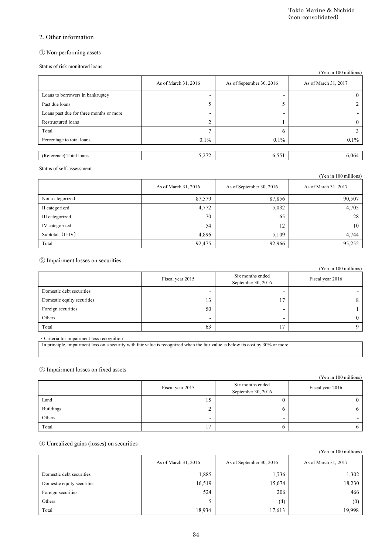# 2. Other information

# ① Non-performing assets

|                                                                                                                                                                               |                                  | Tokio Marine & Nichido                 | (non-consolidated)           |
|-------------------------------------------------------------------------------------------------------------------------------------------------------------------------------|----------------------------------|----------------------------------------|------------------------------|
| 2. Other information                                                                                                                                                          |                                  |                                        |                              |
| 1 Non-performing assets                                                                                                                                                       |                                  |                                        |                              |
| Status of risk monitored loans                                                                                                                                                |                                  |                                        |                              |
|                                                                                                                                                                               |                                  |                                        | (Yen in 100 millions)        |
|                                                                                                                                                                               | As of March 31, 2016             | As of September 30, 2016               | As of March 31, 2017         |
| Loans to borrowers in bankruptcy                                                                                                                                              |                                  | ۰                                      | $\bf{0}$                     |
| Past due loans                                                                                                                                                                | 5                                | 5                                      | 2                            |
| Loans past due for three months or more                                                                                                                                       |                                  |                                        |                              |
| Restructured loans                                                                                                                                                            | $\overline{c}$<br>$\overline{7}$ | 1                                      | $\boldsymbol{0}$             |
| Total<br>Percentage to total loans                                                                                                                                            | 0.1%                             | 6<br>0.1%                              | 3<br>0.1%                    |
|                                                                                                                                                                               |                                  |                                        |                              |
| (Reference) Total loans                                                                                                                                                       | 5,272                            | 6,551                                  | 6,064                        |
| Status of self-assessment                                                                                                                                                     |                                  |                                        | (Yen in 100 millions)        |
|                                                                                                                                                                               | As of March 31, 2016             | As of September 30, 2016               | As of March 31, 2017         |
| Non-categorized                                                                                                                                                               | 87,579                           | 87,856                                 | 90,507                       |
| II categorized                                                                                                                                                                | 4,772                            | 5,032                                  | 4,705                        |
| III categorized                                                                                                                                                               | 70                               | 65                                     | 28                           |
|                                                                                                                                                                               | 54                               | 12                                     | 10                           |
| IV categorized                                                                                                                                                                |                                  |                                        |                              |
| Subtotal (II-IV)                                                                                                                                                              | 4,896                            | 5,109                                  | 4,744                        |
| Total                                                                                                                                                                         | 92,475                           | 92,966                                 | 95,252                       |
|                                                                                                                                                                               |                                  |                                        |                              |
|                                                                                                                                                                               | Fiscal year 2015                 | Six months ended<br>September 30, 2016 | Fiscal year 2016             |
| Domestic debt securities                                                                                                                                                      | ÷                                | $\overline{a}$                         |                              |
| Domestic equity securities                                                                                                                                                    | 13                               | 17                                     | 8                            |
| 2 Impairment losses on securities<br>Foreign securities                                                                                                                       | 50                               | -                                      | (Yen in 100 millions)<br>1   |
| Others                                                                                                                                                                        |                                  | $\overline{\phantom{a}}$               | 0                            |
| Total                                                                                                                                                                         | 63                               | 17                                     | 9                            |
| · Criteria for impairment loss recognition<br>In principle, impairment loss on a security with fair value is recognized when the fair value is below its cost by 30% or more. |                                  |                                        |                              |
|                                                                                                                                                                               |                                  |                                        |                              |
|                                                                                                                                                                               |                                  |                                        |                              |
|                                                                                                                                                                               |                                  |                                        |                              |
|                                                                                                                                                                               | Fiscal year 2015                 | Six months ended<br>September 30, 2016 | Fiscal year 2016             |
| Land                                                                                                                                                                          | 15                               | $\boldsymbol{0}$                       | $\boldsymbol{0}$             |
| <b>Buildings</b>                                                                                                                                                              | 2                                | 6                                      | 6                            |
| Others                                                                                                                                                                        |                                  | -                                      |                              |
| 3 Impairment losses on fixed assets<br>Total                                                                                                                                  | 17                               | 6                                      | (Yen in 100 millions)<br>6   |
|                                                                                                                                                                               |                                  |                                        |                              |
|                                                                                                                                                                               | As of March 31, 2016             | As of September 30, 2016               | As of March 31, 2017         |
|                                                                                                                                                                               |                                  |                                        |                              |
| Domestic debt securities<br>Domestic equity securities                                                                                                                        | 1,885                            | 1,736                                  | 1,302                        |
|                                                                                                                                                                               | 16,519<br>524                    | 15,674<br>206                          | 18,230<br>466                |
| 4 Unrealized gains (losses) on securities<br>Foreign securities<br>Others                                                                                                     | 5                                | (4)                                    | (Yen in 100 millions)<br>(0) |

|                  |                      |                          | (Yen in 100 millions) |
|------------------|----------------------|--------------------------|-----------------------|
|                  | As of March 31, 2016 | As of September 30, 2016 | As of March 31, 2017  |
| Non-categorized  | 87,579               | 87,856                   | 90,507                |
| II categorized   | 4,772                | 5,032                    | 4,705                 |
| III categorized  | 70                   | 65                       | 28                    |
| IV categorized   | 54                   | 12                       | 10                    |
| Subtotal (II-IV) | 4,896                | 5,109                    | 4,744                 |
| Total            | 92,475               | 92,966                   | 95,252                |

|                            |                          |                                        | (Yen in 100 millions) |
|----------------------------|--------------------------|----------------------------------------|-----------------------|
|                            | Fiscal year 2015         | Six months ended<br>September 30, 2016 | Fiscal year 2016      |
| Domestic debt securities   |                          |                                        |                       |
| Domestic equity securities | 13                       | 17                                     | 8                     |
| Foreign securities         | 50                       | -                                      |                       |
| Others                     | $\overline{\phantom{0}}$ | $\overline{\phantom{0}}$               | 0                     |
| Total                      | 63                       | 1 <sub>7</sub>                         |                       |

#### ③ Impairment losses on fixed assets

|                  |                          |                                        | $(1$ cu in Too minions)  |
|------------------|--------------------------|----------------------------------------|--------------------------|
|                  | Fiscal year 2015         | Six months ended<br>September 30, 2016 | Fiscal year 2016         |
| Land             | IJ                       |                                        |                          |
| <b>Buildings</b> |                          | U                                      | o                        |
| Others           | $\overline{\phantom{0}}$ | -                                      | $\overline{\phantom{0}}$ |
| Total            |                          |                                        |                          |

### ④ Unrealized gains (losses) on securities

|                            | As of March 31, 2016 | As of September 30, 2016 | As of March 31, 2017 |
|----------------------------|----------------------|--------------------------|----------------------|
| Domestic debt securities   | 1,885                | 1,736                    | 1,302                |
| Domestic equity securities | 16,519               | 15,674                   | 18,230               |
| Foreign securities         | 524                  | 206                      | 466                  |
| Others                     |                      | (4)                      | (0)                  |
| Total                      | 18,934               | 17,613                   | 19.998               |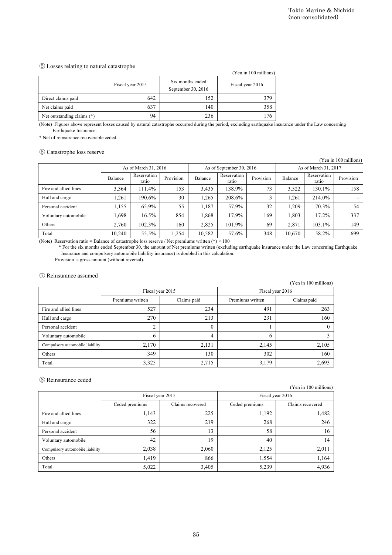#### ⑤ Losses relating to natural catastrophe

|                              | (Yen in 100 millions) |                                        |                  |  |  |
|------------------------------|-----------------------|----------------------------------------|------------------|--|--|
|                              | Fiscal year 2015      | Six months ended<br>September 30, 2016 | Fiscal year 2016 |  |  |
| Direct claims paid           | 642                   | 152                                    | 379              |  |  |
| Net claims paid              | 637                   | 140                                    | 358              |  |  |
| Net outstanding claims $(*)$ | 94                    | 236                                    |                  |  |  |

#### ⑥ Catastrophe loss reserve

|                                                                                                                                                         |         |                                    |           |                                        |                          |                       |         | Tokio Marine & Nichido<br>(non-consolidated) |                       |
|---------------------------------------------------------------------------------------------------------------------------------------------------------|---------|------------------------------------|-----------|----------------------------------------|--------------------------|-----------------------|---------|----------------------------------------------|-----------------------|
|                                                                                                                                                         |         |                                    |           |                                        |                          |                       |         |                                              |                       |
|                                                                                                                                                         |         |                                    |           |                                        |                          |                       |         |                                              |                       |
|                                                                                                                                                         |         |                                    |           |                                        |                          |                       |         |                                              |                       |
|                                                                                                                                                         |         |                                    |           |                                        |                          |                       |         |                                              |                       |
| 5 Losses relating to natural catastrophe                                                                                                                |         |                                    |           |                                        |                          |                       |         |                                              |                       |
|                                                                                                                                                         |         |                                    |           |                                        |                          | (Yen in 100 millions) |         |                                              |                       |
|                                                                                                                                                         |         | Fiscal year 2015                   |           | Six months ended<br>September 30, 2016 | Fiscal year 2016         |                       |         |                                              |                       |
| Direct claims paid                                                                                                                                      |         | 642                                |           | 152                                    |                          | 379                   |         |                                              |                       |
| Net claims paid                                                                                                                                         |         | 637                                |           | 140                                    |                          | 358                   |         |                                              |                       |
| Net outstanding claims (*)                                                                                                                              |         | 94                                 |           | 236                                    |                          | 176                   |         |                                              |                       |
| (Note) Figures above represent losses caused by natural catastrophe occurred during the period, excluding earthquake insurance under the Law concerning |         |                                    |           |                                        |                          |                       |         |                                              |                       |
| Earthquake Insurance.                                                                                                                                   |         |                                    |           |                                        |                          |                       |         |                                              |                       |
| * Net of reinsurance recoverable ceded.                                                                                                                 |         |                                    |           |                                        |                          |                       |         |                                              |                       |
| 6 Catastrophe loss reserve                                                                                                                              |         |                                    |           |                                        |                          |                       |         |                                              |                       |
|                                                                                                                                                         |         |                                    |           |                                        |                          |                       |         |                                              | (Yen in 100 millions) |
|                                                                                                                                                         |         | As of March 31, 2016               |           |                                        | As of September 30, 2016 |                       |         | As of March 31, 2017                         |                       |
|                                                                                                                                                         | Balance | Reservation<br>ratio               | Provision | Balance                                | Reservation<br>ratio     | Provision             | Balance | Reservation<br>ratio                         | Provision             |
| Fire and allied lines                                                                                                                                   | 3,364   | 111.4%                             | 153       | 3,435                                  | 138.9%                   | 73                    | 3,522   | 130.1%                                       | 158                   |
| Hull and cargo                                                                                                                                          | 1,261   | 190.6%                             | 30        | 1,265                                  | 208.6%                   | 3                     | 1,261   | 214.0%                                       |                       |
| Personal accident                                                                                                                                       | 1,155   | 65.9%                              | 55        | 1,187                                  | 57.9%                    | 32                    | 1,209   | 70.3%                                        | 54                    |
| Voluntary automobile                                                                                                                                    | 1,698   | 16.5%                              | 854       | 1,868                                  | 17.9%                    | 169                   | 1,803   | 17.2%                                        | 337                   |
| Others                                                                                                                                                  | 2,760   | 102.3%                             | 160       | 2,825                                  | 101.9%                   | 69                    | 2,871   | 103.1%                                       | 149                   |
| Total                                                                                                                                                   | 10,240  | 55.5%                              | 1,254     | 10,582                                 | 57.6%                    | 348                   | 10,670  | 58.2%                                        | 699                   |
| (7) Reinsurance assumed                                                                                                                                 |         |                                    |           |                                        |                          |                       |         | (Yen in 100 millions)                        |                       |
|                                                                                                                                                         |         | Fiscal year 2015                   |           |                                        |                          | Fiscal year 2016      |         |                                              |                       |
|                                                                                                                                                         |         | Premiums written                   |           | Claims paid                            | Premiums written         |                       |         | Claims paid                                  |                       |
| Fire and allied lines                                                                                                                                   |         | 527                                |           | 234                                    |                          | 491                   |         | 263                                          |                       |
| Hull and cargo                                                                                                                                          |         | 270                                |           | 213                                    |                          | 231                   |         | 160                                          |                       |
| Personal accident                                                                                                                                       |         | $\overline{c}$                     |           | $\mathbf{0}$                           |                          |                       |         | $\mathbf{0}$                                 |                       |
| Voluntary automobile                                                                                                                                    |         | 6                                  |           |                                        |                          | $\mathbf{1}$          |         |                                              |                       |
| Compulsory automobile liability                                                                                                                         |         |                                    |           | $\overline{4}$                         |                          | 6                     |         | $\overline{3}$                               |                       |
|                                                                                                                                                         |         | 2,170                              |           | 2,131                                  |                          | 2,145                 |         | 2,105                                        |                       |
| Others                                                                                                                                                  |         | 349                                |           | 130                                    |                          | 302                   |         | 160                                          |                       |
| Total                                                                                                                                                   |         | 3,325                              |           | 2,715                                  |                          | 3,179                 |         | 2,693                                        |                       |
|                                                                                                                                                         |         |                                    |           |                                        |                          |                       |         |                                              |                       |
| 8 Reinsurance ceded                                                                                                                                     |         |                                    |           |                                        |                          |                       |         |                                              |                       |
|                                                                                                                                                         |         |                                    |           |                                        |                          |                       |         | (Yen in 100 millions)                        |                       |
|                                                                                                                                                         |         | Fiscal year 2015<br>Ceded premiums |           | Claims recovered                       | Ceded premiums           | Fiscal year 2016      |         | Claims recovered                             |                       |
| Fire and allied lines                                                                                                                                   |         | 1,143                              |           | 225                                    |                          | 1,192                 |         | 1,482                                        |                       |
| Hull and cargo                                                                                                                                          |         | 322                                |           | 219                                    |                          | 268                   |         | 246                                          |                       |
| Personal accident                                                                                                                                       |         | 56                                 |           | 13                                     |                          | 58                    |         | 16                                           |                       |
| Voluntary automobile                                                                                                                                    |         | 42                                 |           | 19                                     |                          | 40                    |         | 14                                           |                       |
| Compulsory automobile liability                                                                                                                         |         | 2,038                              |           | 2,060                                  |                          | 2,125                 |         | 2,011                                        |                       |
| Others                                                                                                                                                  |         | 1,419                              |           | 866                                    |                          | 1,554                 |         | 1,164                                        |                       |
|                                                                                                                                                         |         |                                    |           |                                        |                          |                       |         |                                              |                       |
| Total                                                                                                                                                   |         | 5,022                              |           | 3,405                                  |                          | 5,239                 |         | 4,936                                        |                       |

#### ⑦ Reinsurance assumed

| (Yen in 100 millions)           |                  |             |                  |             |  |
|---------------------------------|------------------|-------------|------------------|-------------|--|
|                                 | Fiscal year 2015 |             | Fiscal year 2016 |             |  |
|                                 | Premiums written | Claims paid | Premiums written | Claims paid |  |
| Fire and allied lines           | 527              | 234         | 491              | 263         |  |
| Hull and cargo                  | 270              | 213         | 231              | 160         |  |
| Personal accident               |                  | $\theta$    |                  |             |  |
| Voluntary automobile            | 6                | 4           | O                |             |  |
| Compulsory automobile liability | 2,170            | 2,131       | 2,145            | 2,105       |  |
| Others                          | 349              | 130         | 302              | 160         |  |
| Total                           | 3,325            | 2,715       | 3,179            | 2,693       |  |

### ⑧ Reinsurance ceded

|                                 | Fiscal year 2015 |                  | Fiscal year 2016 |                  |  |
|---------------------------------|------------------|------------------|------------------|------------------|--|
|                                 | Ceded premiums   | Claims recovered | Ceded premiums   | Claims recovered |  |
| Fire and allied lines           | 1,143            | 225              | 1,192            | 1,482            |  |
| Hull and cargo                  | 322              | 219              | 268              | 246              |  |
| Personal accident               | 56               | 13               | 58               | 16               |  |
| Voluntary automobile            | 42               | 19               | 40               | 14               |  |
| Compulsory automobile liability | 2,038            | 2,060            | 2,125            | 2,011            |  |
| Others                          | 1.419            | 866              | 1,554            | 1.164            |  |
| Total                           | 5,022            | 3,405            | 5,239            | 4,936            |  |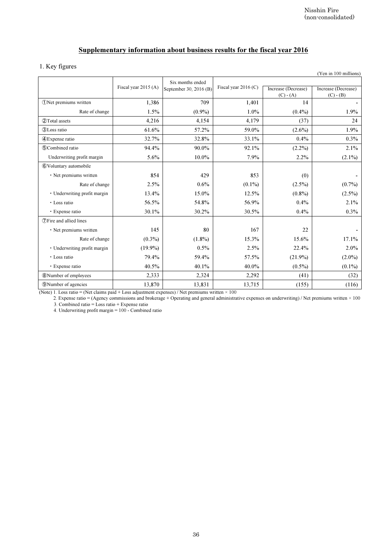# Supplementary information about business results for the fiscal year 2016

## 1. Key figures

|                                                                                                          |                      |                                                                           |                      |                                    | Nisshin Fire<br>(non-consolidated) |
|----------------------------------------------------------------------------------------------------------|----------------------|---------------------------------------------------------------------------|----------------------|------------------------------------|------------------------------------|
|                                                                                                          |                      | Supplementary information about business results for the fiscal year 2016 |                      |                                    |                                    |
| 1. Key figures                                                                                           |                      |                                                                           |                      |                                    | (Yen in 100 millions)              |
|                                                                                                          |                      | Six months ended                                                          |                      |                                    |                                    |
|                                                                                                          | Fiscal year 2015 (A) | September 30, 2016 (B)                                                    | Fiscal year 2016 (C) | Increase (Decrease)<br>$(C) - (A)$ | Increase (Decrease)<br>$(C) - (B)$ |
| <b>ONet premiums written</b>                                                                             | 1,386                | 709                                                                       | 1,401                | 14                                 |                                    |
| Rate of change                                                                                           | 1.5%                 | $(0.9\%)$                                                                 | $1.0\%$              | $(0.4\%)$                          | 1.9%                               |
| 2 Total assets                                                                                           | 4,216                | 4,154                                                                     | 4,179                | (37)                               | 24                                 |
| 3)Loss ratio                                                                                             | 61.6%                | 57.2%                                                                     | 59.0%                | $(2.6\%)$                          | 1.9%                               |
| <b>4</b> ) Expense ratio                                                                                 | 32.7%                | 32.8%                                                                     | 33.1%                | 0.4%                               | 0.3%                               |
| <b>5</b> Combined ratio                                                                                  | 94.4%                | $90.0\%$                                                                  | 92.1%                | $(2.2\%)$                          | 2.1%                               |
| Underwriting profit margin                                                                               | 5.6%                 | 10.0%                                                                     | 7.9%                 | 2.2%                               | $(2.1\%)$                          |
| 6 Voluntary automobile                                                                                   |                      |                                                                           |                      |                                    |                                    |
| • Net premiums written                                                                                   | 854                  | 429                                                                       | 853                  | (0)                                |                                    |
| Rate of change                                                                                           | 2.5%                 | 0.6%                                                                      | $(0.1\%)$            | $(2.5\%)$                          | $(0.7\%)$                          |
| · Underwriting profit margin                                                                             | 13.4%                | 15.0%                                                                     | 12.5%                | $(0.8\%)$                          | $(2.5\%)$                          |
| • Loss ratio                                                                                             | 56.5%                | 54.8%                                                                     | 56.9%                | 0.4%                               | 2.1%                               |
| · Expense ratio                                                                                          | 30.1%                | 30.2%                                                                     | 30.5%                | 0.4%                               | 0.3%                               |
| <b><i>OFire and allied lines</i></b>                                                                     |                      |                                                                           |                      |                                    |                                    |
| • Net premiums written                                                                                   | 145                  | 80                                                                        | 167                  | 22                                 |                                    |
| Rate of change                                                                                           | $(0.3\%)$            | $(1.8\%)$                                                                 | 15.3%                | 15.6%                              | 17.1%                              |
| · Underwriting profit margin                                                                             | $(19.9\%)$           | 0.5%                                                                      | 2.5%                 | 22.4%                              | 2.0%                               |
| • Loss ratio                                                                                             | 79.4%                | 59.4%                                                                     | 57.5%                | $(21.9\%)$                         | $(2.0\%)$                          |
| · Expense ratio                                                                                          | 40.5%                | 40.1%                                                                     | 40.0%                | $(0.5\%)$                          | $(0.1\%)$                          |
| <b>8</b> Number of employees                                                                             | 2,333                | 2,324                                                                     | 2,292                | (41)                               | (32)                               |
| <b>9</b> Number of agencies                                                                              | 13,870               | 13,831                                                                    | 13,715               | (155)                              | (116)                              |
| 3. Combined ratio = Loss ratio + Expense ratio<br>4. Underwriting profit margin $= 100$ - Combined ratio |                      |                                                                           |                      |                                    |                                    |
|                                                                                                          |                      | $36\,$                                                                    |                      |                                    |                                    |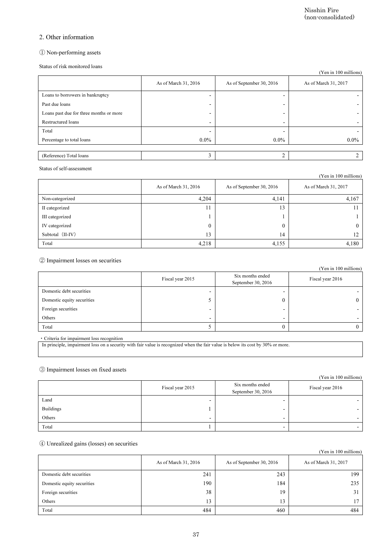### 2. Other information

### ① Non-performing assets

|                                                                                                                                 |                          |                                        | Nisshin Fire<br>(non-consolidated)                   |
|---------------------------------------------------------------------------------------------------------------------------------|--------------------------|----------------------------------------|------------------------------------------------------|
| 2. Other information                                                                                                            |                          |                                        |                                                      |
| 1 Non-performing assets                                                                                                         |                          |                                        |                                                      |
| Status of risk monitored loans                                                                                                  |                          |                                        | (Yen in 100 millions)                                |
|                                                                                                                                 | As of March 31, 2016     | As of September 30, 2016               | As of March 31, 2017                                 |
| Loans to borrowers in bankruptcy                                                                                                |                          | $\overline{a}$                         |                                                      |
| Past due loans                                                                                                                  |                          |                                        |                                                      |
| Loans past due for three months or more                                                                                         |                          |                                        |                                                      |
| Restructured loans                                                                                                              |                          | $\overline{\phantom{0}}$               |                                                      |
| Total                                                                                                                           |                          |                                        |                                                      |
| Percentage to total loans                                                                                                       | $0.0\%$                  | $0.0\%$                                | $0.0\%$                                              |
| (Reference) Total loans                                                                                                         | 3                        | $\overline{c}$                         | $\overline{c}$                                       |
| Status of self-assessment                                                                                                       |                          |                                        |                                                      |
|                                                                                                                                 |                          |                                        | (Yen in 100 millions)                                |
|                                                                                                                                 | As of March 31, 2016     | As of September 30, 2016               | As of March 31, 2017                                 |
| Non-categorized                                                                                                                 | 4,204                    | 4,141                                  | 4,167                                                |
| II categorized                                                                                                                  | 11                       | 13                                     | 11                                                   |
| III categorized                                                                                                                 | 1                        | 1                                      | 1                                                    |
|                                                                                                                                 | $\mathbf{0}$             | $\mathbf{0}$                           | $\mathbf{0}$                                         |
| IV categorized                                                                                                                  |                          |                                        | 12                                                   |
| Subtotal (II-IV)<br>Total                                                                                                       | 13<br>4,218              | 14<br>4,155                            | 4,180                                                |
|                                                                                                                                 | Fiscal year 2015         | Six months ended<br>September 30, 2016 | (Yen in 100 millions)<br>Fiscal year 2016            |
| Domestic debt securities                                                                                                        |                          | $\overline{a}$                         |                                                      |
| Domestic equity securities                                                                                                      | 5                        | $\mathbf{0}$                           | 0                                                    |
| 2 Impairment losses on securities<br>Foreign securities                                                                         |                          | $\qquad \qquad \blacksquare$           |                                                      |
| Others                                                                                                                          | $\blacksquare$           | $\overline{\phantom{a}}$               |                                                      |
| Total<br>· Criteria for impairment loss recognition                                                                             | 5                        | $\boldsymbol{0}$                       | $\boldsymbol{0}$                                     |
| In principle, impairment loss on a security with fair value is recognized when the fair value is below its cost by 30% or more. |                          |                                        |                                                      |
|                                                                                                                                 |                          |                                        |                                                      |
|                                                                                                                                 |                          |                                        |                                                      |
|                                                                                                                                 | Fiscal year 2015         | Six months ended<br>September 30, 2016 | Fiscal year 2016                                     |
| Land                                                                                                                            | $\overline{\phantom{a}}$ | $\overline{a}$                         |                                                      |
| <b>Buildings</b>                                                                                                                | 1                        | $\blacksquare$                         |                                                      |
| Others                                                                                                                          |                          | $\overline{a}$                         |                                                      |
| Total                                                                                                                           | 1                        | $\overline{\phantom{a}}$               |                                                      |
|                                                                                                                                 |                          |                                        |                                                      |
|                                                                                                                                 | As of March 31, 2016     | As of September 30, 2016               | As of March 31, 2017                                 |
| Domestic debt securities                                                                                                        | 241                      | 243                                    | 199                                                  |
| 3 Impairment losses on fixed assets<br>4 Unrealized gains (losses) on securities<br>Domestic equity securities                  | 190                      | 184                                    | 235                                                  |
| Foreign securities                                                                                                              | 38                       | 19                                     | 31                                                   |
| Others                                                                                                                          | 13                       | 13                                     | (Yen in 100 millions)<br>(Yen in 100 millions)<br>17 |

|                  |                      |                          | (Yen in 100 millions) |
|------------------|----------------------|--------------------------|-----------------------|
|                  | As of March 31, 2016 | As of September 30, 2016 | As of March 31, 2017  |
| Non-categorized  | 4,204                | 4,141                    | 4,167                 |
| II categorized   |                      | 13                       |                       |
| III categorized  |                      |                          |                       |
| IV categorized   |                      | 0                        | 0                     |
| Subtotal (II-IV) | 13                   | 14                       | 12                    |
| Total            | 4,218                | 4,155                    | 4,180                 |

|                            |                          |                                        | (Yen in 100 millions)    |
|----------------------------|--------------------------|----------------------------------------|--------------------------|
|                            | Fiscal year 2015         | Six months ended<br>September 30, 2016 | Fiscal year 2016         |
| Domestic debt securities   |                          |                                        |                          |
| Domestic equity securities |                          |                                        | 0                        |
| Foreign securities         |                          |                                        | $\overline{\phantom{a}}$ |
| Others                     | $\overline{\phantom{0}}$ | $\overline{\phantom{0}}$               | $\overline{\phantom{0}}$ |
| Total                      |                          |                                        |                          |

#### ③ Impairment losses on fixed assets

|                  |                          |                                        | (Yen in 100 millions)    |
|------------------|--------------------------|----------------------------------------|--------------------------|
|                  | Fiscal year 2015         | Six months ended<br>September 30, 2016 | Fiscal year 2016         |
| Land             |                          | -                                      |                          |
| <b>Buildings</b> |                          |                                        |                          |
| Others           | $\overline{\phantom{0}}$ | $\overline{\phantom{0}}$               | $\overline{\phantom{0}}$ |
| Total            |                          | -                                      |                          |

### ④ Unrealized gains (losses) on securities

|                            | As of March 31, 2016 | As of September 30, 2016 | As of March 31, 2017 |
|----------------------------|----------------------|--------------------------|----------------------|
| Domestic debt securities   | 241                  | 243                      | 199                  |
| Domestic equity securities | 190                  | 184                      | 235                  |
| Foreign securities         | 38                   | 19                       |                      |
| Others                     | 13                   | 13                       |                      |
| Total                      | 484                  | 460                      | 484                  |